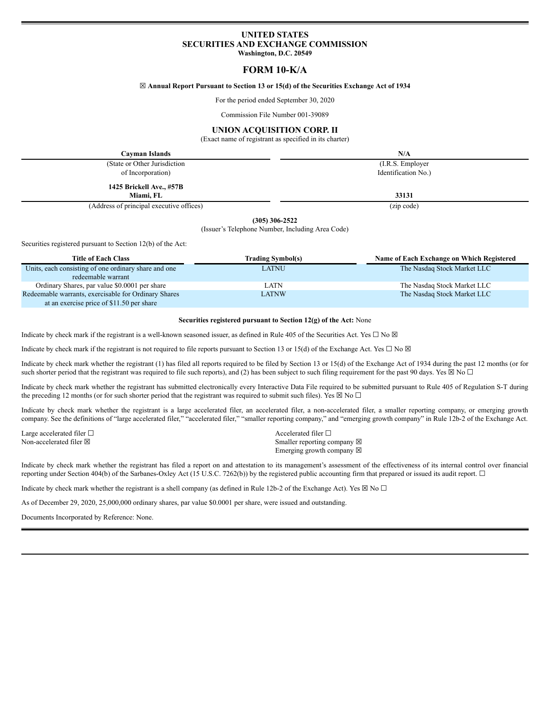# **UNITED STATES SECURITIES AND EXCHANGE COMMISSION Washington, D.C. 20549**

# **FORM 10-K/A**

## ☒ **Annual Report Pursuant to Section 13 or 15(d) of the Securities Exchange Act of 1934**

For the period ended September 30, 2020

Commission File Number 001-39089

## **UNION ACQUISITION CORP. II**

(Exact name of registrant as specified in its charter)

| Cavman Islands                           | N/A                 |
|------------------------------------------|---------------------|
| (State or Other Jurisdiction)            | (I.R.S. Employer)   |
| of Incorporation)                        | Identification No.) |
| 1425 Brickell Ave., #57B<br>Miami. FL    | 33131               |
| (Address of principal executive offices) | (zip code)          |

**(305) 306-2522**

(Issuer's Telephone Number, Including Area Code)

Securities registered pursuant to Section 12(b) of the Act:

| <b>Title of Each Class</b>                           | <b>Trading Symbol(s)</b> | Name of Each Exchange on Which Registered |
|------------------------------------------------------|--------------------------|-------------------------------------------|
| Units, each consisting of one ordinary share and one | LATNU                    | The Nasdaq Stock Market LLC               |
| redeemable warrant                                   |                          |                                           |
| Ordinary Shares, par value \$0.0001 per share        | LATN                     | The Nasdaq Stock Market LLC               |
| Redeemable warrants, exercisable for Ordinary Shares | LATNW                    | The Nasdaq Stock Market LLC               |
| at an exercise price of \$11.50 per share            |                          |                                           |

#### **Securities registered pursuant to Section 12(g) of the Act:** None

Indicate by check mark if the registrant is a well-known seasoned issuer, as defined in Rule 405 of the Securities Act. Yes  $\Box$  No  $\boxtimes$ 

Indicate by check mark if the registrant is not required to file reports pursuant to Section 13 or 15(d) of the Exchange Act. Yes  $\Box$  No  $\boxtimes$ 

Indicate by check mark whether the registrant (1) has filed all reports required to be filed by Section 13 or 15(d) of the Exchange Act of 1934 during the past 12 months (or for such shorter period that the registrant was required to file such reports), and (2) has been subject to such filing requirement for the past 90 days. Yes  $\boxtimes$  No  $\Box$ 

Indicate by check mark whether the registrant has submitted electronically every Interactive Data File required to be submitted pursuant to Rule 405 of Regulation S-T during the preceding 12 months (or for such shorter period that the registrant was required to submit such files). Yes  $\boxtimes$  No  $\Box$ 

Indicate by check mark whether the registrant is a large accelerated filer, an accelerated filer, a non-accelerated filer, a smaller reporting company, or emerging growth company. See the definitions of "large accelerated filer," "accelerated filer," "smaller reporting company," and "emerging growth company" in Rule 12b-2 of the Exchange Act.

Large accelerated filer □ accelerated filer □ accelerated filer □

Non-accelerated filer  $\boxtimes$  Smaller reporting company  $\boxtimes$ Emerging growth company  $\boxtimes$ 

Indicate by check mark whether the registrant has filed a report on and attestation to its management's assessment of the effectiveness of its internal control over financial reporting under Section 404(b) of the Sarbanes-Oxley Act (15 U.S.C. 7262(b)) by the registered public accounting firm that prepared or issued its audit report. ☐

Indicate by check mark whether the registrant is a shell company (as defined in Rule 12b-2 of the Exchange Act). Yes  $\boxtimes$  No  $\Box$ 

As of December 29, 2020, 25,000,000 ordinary shares, par value \$0.0001 per share, were issued and outstanding.

Documents Incorporated by Reference: None.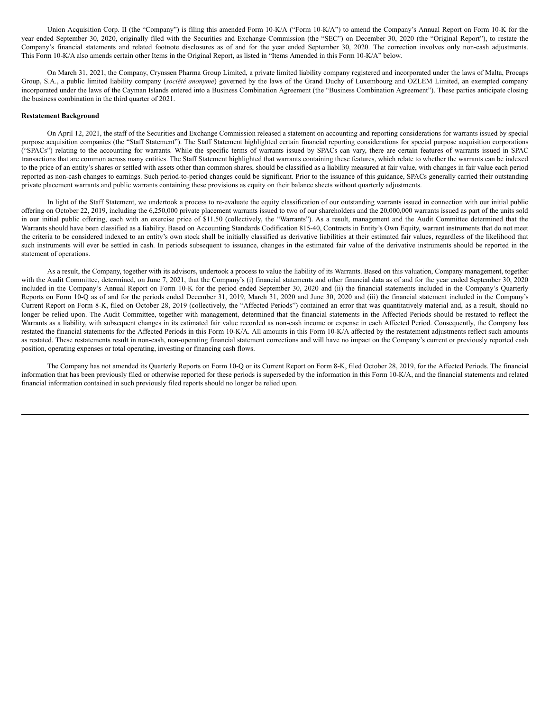Union Acquisition Corp. II (the "Company") is filing this amended Form 10-K/A ("Form 10-K/A") to amend the Company's Annual Report on Form 10-K for the year ended September 30, 2020, originally filed with the Securities and Exchange Commission (the "SEC") on December 30, 2020 (the "Original Report"), to restate the Company's financial statements and related footnote disclosures as of and for the year ended September 30, 2020. The correction involves only non-cash adjustments. This Form 10-K/A also amends certain other Items in the Original Report, as listed in "Items Amended in this Form 10-K/A" below.

On March 31, 2021, the Company, Crynssen Pharma Group Limited, a private limited liability company registered and incorporated under the laws of Malta, Procaps Group, S.A., a public limited liability company (*société anonyme*) governed by the laws of the Grand Duchy of Luxembourg and OZLEM Limited, an exempted company incorporated under the laws of the Cayman Islands entered into a Business Combination Agreement (the "Business Combination Agreement"). These parties anticipate closing the business combination in the third quarter of 2021.

#### **Restatement Background**

On April 12, 2021, the staff of the Securities and Exchange Commission released a statement on accounting and reporting considerations for warrants issued by special purpose acquisition companies (the "Staff Statement"). The Staff Statement highlighted certain financial reporting considerations for special purpose acquisition corporations ("SPACs") relating to the accounting for warrants. While the specific terms of warrants issued by SPACs can vary, there are certain features of warrants issued in SPAC transactions that are common across many entities. The Staff Statement highlighted that warrants containing these features, which relate to whether the warrants can be indexed to the price of an entity's shares or settled with assets other than common shares, should be classified as a liability measured at fair value, with changes in fair value each period reported as non-cash changes to earnings. Such period-to-period changes could be significant. Prior to the issuance of this guidance, SPACs generally carried their outstanding private placement warrants and public warrants containing these provisions as equity on their balance sheets without quarterly adjustments.

In light of the Staff Statement, we undertook a process to re-evaluate the equity classification of our outstanding warrants issued in connection with our initial public offering on October 22, 2019, including the 6,250,000 private placement warrants issued to two of our shareholders and the 20,000,000 warrants issued as part of the units sold in our initial public offering, each with an exercise price of \$11.50 (collectively, the "Warrants"). As a result, management and the Audit Committee determined that the Warrants should have been classified as a liability. Based on Accounting Standards Codification 815-40, Contracts in Entity's Own Equity, warrant instruments that do not meet the criteria to be considered indexed to an entity's own stock shall be initially classified as derivative liabilities at their estimated fair values, regardless of the likelihood that such instruments will ever be settled in cash. In periods subsequent to issuance, changes in the estimated fair value of the derivative instruments should be reported in the statement of operations.

As a result, the Company, together with its advisors, undertook a process to value the liability of its Warrants. Based on this valuation, Company management, together with the Audit Committee, determined, on June 7, 2021, that the Company's (i) financial statements and other financial data as of and for the year ended September 30, 2020 included in the Company's Annual Report on Form 10-K for the period ended September 30, 2020 and (ii) the financial statements included in the Company's Quarterly Reports on Form 10-Q as of and for the periods ended December 31, 2019, March 31, 2020 and June 30, 2020 and (iii) the financial statement included in the Company's Current Report on Form 8-K, filed on October 28, 2019 (collectively, the "Affected Periods") contained an error that was quantitatively material and, as a result, should no longer be relied upon. The Audit Committee, together with management, determined that the financial statements in the Affected Periods should be restated to reflect the Warrants as a liability, with subsequent changes in its estimated fair value recorded as non-cash income or expense in each Affected Period. Consequently, the Company has restated the financial statements for the Affected Periods in this Form 10-K/A. All amounts in this Form 10-K/A affected by the restatement adjustments reflect such amounts as restated. These restatements result in non-cash, non-operating financial statement corrections and will have no impact on the Company's current or previously reported cash position, operating expenses or total operating, investing or financing cash flows.

The Company has not amended its Quarterly Reports on Form 10-Q or its Current Report on Form 8-K, filed October 28, 2019, for the Affected Periods. The financial information that has been previously filed or otherwise reported for these periods is superseded by the information in this Form 10-K/A, and the financial statements and related financial information contained in such previously filed reports should no longer be relied upon.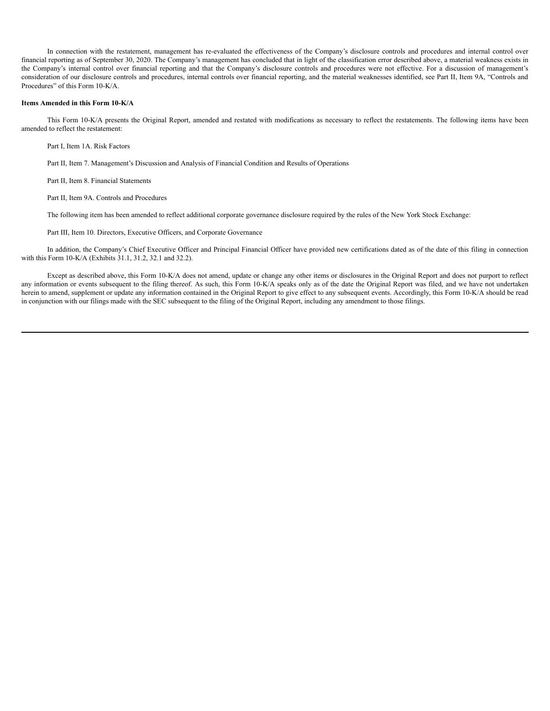In connection with the restatement, management has re-evaluated the effectiveness of the Company's disclosure controls and procedures and internal control over financial reporting as of September 30, 2020. The Company's management has concluded that in light of the classification error described above, a material weakness exists in the Company's internal control over financial reporting and that the Company's disclosure controls and procedures were not effective. For a discussion of management's consideration of our disclosure controls and procedures, internal controls over financial reporting, and the material weaknesses identified, see Part II, Item 9A, "Controls and Procedures" of this Form 10-K/A.

## **Items Amended in this Form 10-K/A**

This Form 10-K/A presents the Original Report, amended and restated with modifications as necessary to reflect the restatements. The following items have been amended to reflect the restatement:

Part I, Item 1A. Risk Factors

Part II, Item 7. Management's Discussion and Analysis of Financial Condition and Results of Operations

Part II, Item 8. Financial Statements

Part II, Item 9A. Controls and Procedures

The following item has been amended to reflect additional corporate governance disclosure required by the rules of the New York Stock Exchange:

Part III, Item 10. Directors, Executive Officers, and Corporate Governance

In addition, the Company's Chief Executive Officer and Principal Financial Officer have provided new certifications dated as of the date of this filing in connection with this Form 10-K/A (Exhibits 31.1, 31.2, 32.1 and 32.2).

Except as described above, this Form 10-K/A does not amend, update or change any other items or disclosures in the Original Report and does not purport to reflect any information or events subsequent to the filing thereof. As such, this Form 10-K/A speaks only as of the date the Original Report was filed, and we have not undertaken herein to amend, supplement or update any information contained in the Original Report to give effect to any subsequent events. Accordingly, this Form 10-K/A should be read in conjunction with our filings made with the SEC subsequent to the filing of the Original Report, including any amendment to those filings.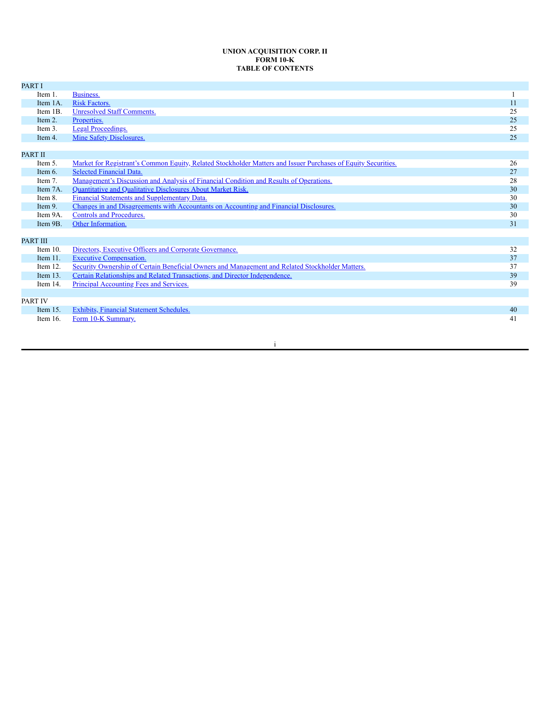## **UNION ACQUISITION CORP. II FORM 10-K TABLE OF CONTENTS**

| <b>PART I</b>   |                                                                                                               |    |
|-----------------|---------------------------------------------------------------------------------------------------------------|----|
| Item 1.         | Business.                                                                                                     |    |
| Item 1A.        | Risk Factors.                                                                                                 | 11 |
| Item 1B.        | <b>Unresolved Staff Comments.</b>                                                                             | 25 |
| Item 2.         | Properties.                                                                                                   | 25 |
| Item 3.         | <b>Legal Proceedings.</b>                                                                                     | 25 |
| Item 4.         | <b>Mine Safety Disclosures.</b>                                                                               | 25 |
|                 |                                                                                                               |    |
| <b>PART II</b>  |                                                                                                               |    |
| Item 5.         | Market for Registrant's Common Equity, Related Stockholder Matters and Issuer Purchases of Equity Securities. | 26 |
| Item $6.$       | <b>Selected Financial Data.</b>                                                                               | 27 |
| Item 7.         | Management's Discussion and Analysis of Financial Condition and Results of Operations.                        | 28 |
| Item 7A.        | Quantitative and Qualitative Disclosures About Market Risk.                                                   | 30 |
| Item 8.         | Financial Statements and Supplementary Data.                                                                  | 30 |
| Item 9.         | Changes in and Disagreements with Accountants on Accounting and Financial Disclosures.                        | 30 |
| Item 9A.        | <b>Controls and Procedures.</b>                                                                               | 30 |
| Item 9B.        | Other Information.                                                                                            | 31 |
|                 |                                                                                                               |    |
| <b>PART III</b> |                                                                                                               |    |
| Item $10$ .     | Directors, Executive Officers and Corporate Governance.                                                       | 32 |
| Item $11$ .     | <b>Executive Compensation.</b>                                                                                | 37 |
| Item 12.        | Security Ownership of Certain Beneficial Owners and Management and Related Stockholder Matters.               | 37 |
| Item $13$ .     | Certain Relationships and Related Transactions, and Director Independence.                                    | 39 |
| Item 14.        | <b>Principal Accounting Fees and Services.</b>                                                                | 39 |
|                 |                                                                                                               |    |
| <b>PART IV</b>  |                                                                                                               |    |
| Item $15$ .     | <b>Exhibits, Financial Statement Schedules.</b>                                                               | 40 |
| Item 16.        | Form 10-K Summary.                                                                                            | 41 |
|                 |                                                                                                               |    |

i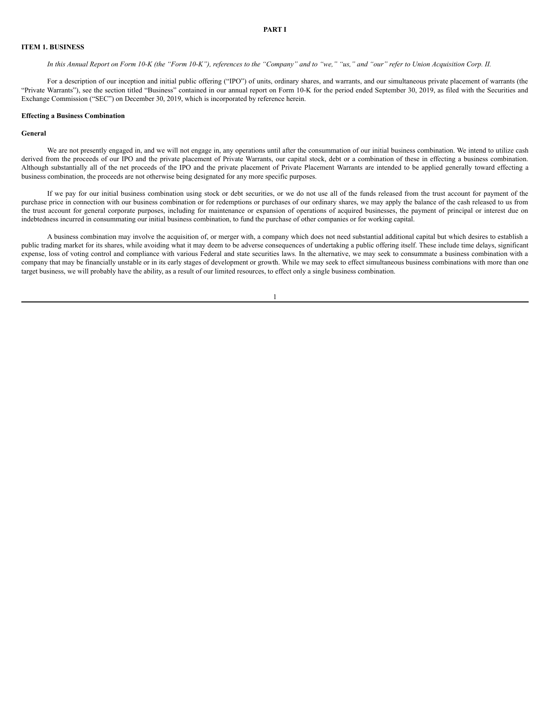#### <span id="page-4-0"></span>**ITEM 1. BUSINESS**

In this Annual Report on Form 10-K (the "Form 10-K"), references to the "Company" and to "we," "us," and "our" refer to Union Acquisition Corp. II.

For a description of our inception and initial public offering ("IPO") of units, ordinary shares, and warrants, and our simultaneous private placement of warrants (the "Private Warrants"), see the section titled "Business" contained in our annual report on Form 10-K for the period ended September 30, 2019, as filed with the Securities and Exchange Commission ("SEC") on December 30, 2019, which is incorporated by reference herein.

#### **Effecting a Business Combination**

#### **General**

We are not presently engaged in, and we will not engage in, any operations until after the consummation of our initial business combination. We intend to utilize cash derived from the proceeds of our IPO and the private placement of Private Warrants, our capital stock, debt or a combination of these in effecting a business combination. Although substantially all of the net proceeds of the IPO and the private placement of Private Placement Warrants are intended to be applied generally toward effecting a business combination, the proceeds are not otherwise being designated for any more specific purposes.

If we pay for our initial business combination using stock or debt securities, or we do not use all of the funds released from the trust account for payment of the purchase price in connection with our business combination or for redemptions or purchases of our ordinary shares, we may apply the balance of the cash released to us from the trust account for general corporate purposes, including for maintenance or expansion of operations of acquired businesses, the payment of principal or interest due on indebtedness incurred in consummating our initial business combination, to fund the purchase of other companies or for working capital.

A business combination may involve the acquisition of, or merger with, a company which does not need substantial additional capital but which desires to establish a public trading market for its shares, while avoiding what it may deem to be adverse consequences of undertaking a public offering itself. These include time delays, significant expense, loss of voting control and compliance with various Federal and state securities laws. In the alternative, we may seek to consummate a business combination with a company that may be financially unstable or in its early stages of development or growth. While we may seek to effect simultaneous business combinations with more than one target business, we will probably have the ability, as a result of our limited resources, to effect only a single business combination.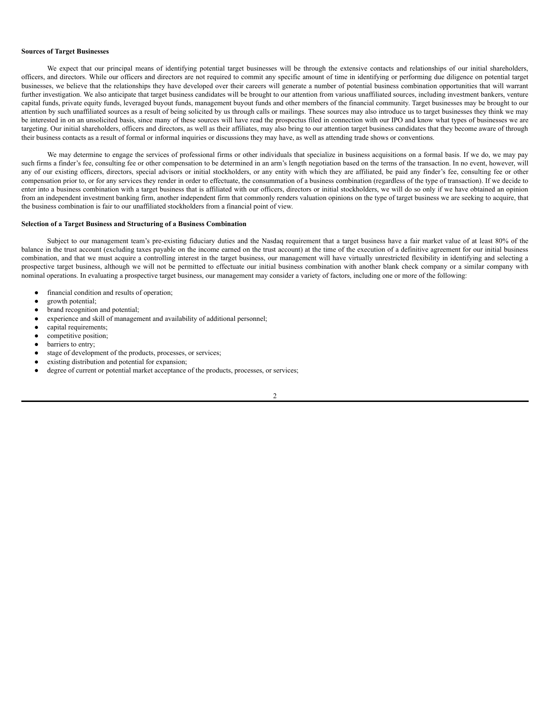#### **Sources of Target Businesses**

We expect that our principal means of identifying potential target businesses will be through the extensive contacts and relationships of our initial shareholders, officers, and directors. While our officers and directors are not required to commit any specific amount of time in identifying or performing due diligence on potential target businesses, we believe that the relationships they have developed over their careers will generate a number of potential business combination opportunities that will warrant further investigation. We also anticipate that target business candidates will be brought to our attention from various unaffiliated sources, including investment bankers, venture capital funds, private equity funds, leveraged buyout funds, management buyout funds and other members of the financial community. Target businesses may be brought to our attention by such unaffiliated sources as a result of being solicited by us through calls or mailings. These sources may also introduce us to target businesses they think we may be interested in on an unsolicited basis, since many of these sources will have read the prospectus filed in connection with our IPO and know what types of businesses we are targeting. Our initial shareholders, officers and directors, as well as their affiliates, may also bring to our attention target business candidates that they become aware of through their business contacts as a result of formal or informal inquiries or discussions they may have, as well as attending trade shows or conventions.

We may determine to engage the services of professional firms or other individuals that specialize in business acquisitions on a formal basis. If we do, we may pay such firms a finder's fee, consulting fee or other compensation to be determined in an arm's length negotiation based on the terms of the transaction. In no event, however, will any of our existing officers, directors, special advisors or initial stockholders, or any entity with which they are affiliated, be paid any finder's fee, consulting fee or other compensation prior to, or for any services they render in order to effectuate, the consummation of a business combination (regardless of the type of transaction). If we decide to enter into a business combination with a target business that is affiliated with our officers, directors or initial stockholders, we will do so only if we have obtained an opinion from an independent investment banking firm, another independent firm that commonly renders valuation opinions on the type of target business we are seeking to acquire, that the business combination is fair to our unaffiliated stockholders from a financial point of view.

#### **Selection of a Target Business and Structuring of a Business Combination**

Subject to our management team's pre-existing fiduciary duties and the Nasdaq requirement that a target business have a fair market value of at least 80% of the balance in the trust account (excluding taxes payable on the income earned on the trust account) at the time of the execution of a definitive agreement for our initial business combination, and that we must acquire a controlling interest in the target business, our management will have virtually unrestricted flexibility in identifying and selecting a prospective target business, although we will not be permitted to effectuate our initial business combination with another blank check company or a similar company with nominal operations. In evaluating a prospective target business, our management may consider a variety of factors, including one or more of the following:

- financial condition and results of operation;
- growth potential;
- brand recognition and potential;
- experience and skill of management and availability of additional personnel;
- capital requirements;
- competitive position;
- barriers to entry;
- stage of development of the products, processes, or services;
- existing distribution and potential for expansion;
- degree of current or potential market acceptance of the products, processes, or services;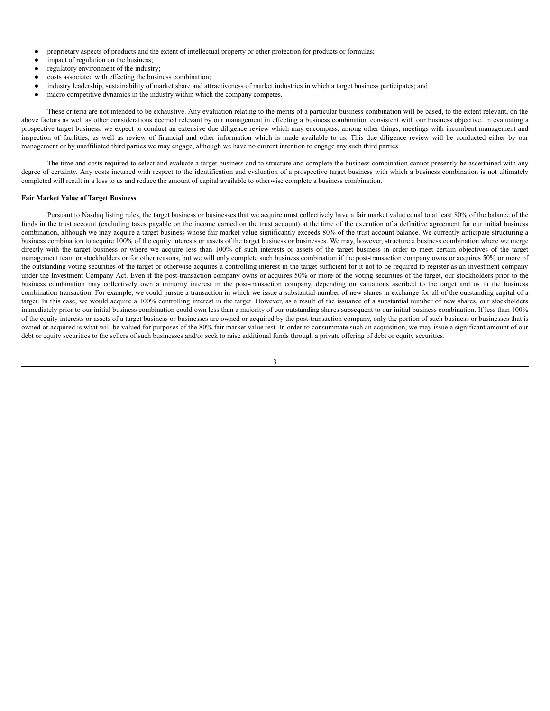- proprietary aspects of products and the extent of intellectual property or other protection for products or formulas;
- impact of regulation on the business;
- regulatory environment of the industry;
- costs associated with effecting the business combination:
- industry leadership, sustainability of market share and attractiveness of market industries in which a target business participates; and
- macro competitive dynamics in the industry within which the company competes.

These criteria are not intended to be exhaustive. Any evaluation relating to the merits of a particular business combination will be based, to the extent relevant, on the above factors as well as other considerations deemed relevant by our management in effecting a business combination consistent with our business objective. In evaluating a prospective target business, we expect to conduct an extensive due diligence review which may encompass, among other things, meetings with incumbent management and inspection of facilities, as well as review of financial and other information which is made available to us. This due diligence review will be conducted either by our management or by unaffiliated third parties we may engage, although we have no current intention to engage any such third parties.

The time and costs required to select and evaluate a target business and to structure and complete the business combination cannot presently be ascertained with any degree of certainty. Any costs incurred with respect to the identification and evaluation of a prospective target business with which a business combination is not ultimately completed will result in a loss to us and reduce the amount of capital available to otherwise complete a business combination.

## **Fair Market Value of Target Business**

Pursuant to Nasdaq listing rules, the target business or businesses that we acquire must collectively have a fair market value equal to at least 80% of the balance of the funds in the trust account (excluding taxes payable on the income earned on the trust account) at the time of the execution of a definitive agreement for our initial business combination, although we may acquire a target business whose fair market value significantly exceeds 80% of the trust account balance. We currently anticipate structuring a business combination to acquire 100% of the equity interests or assets of the target business or businesses. We may, however, structure a business combination where we merge directly with the target business or where we acquire less than 100% of such interests or assets of the target business in order to meet certain objectives of the target management team or stockholders or for other reasons, but we will only complete such business combination if the post-transaction company owns or acquires 50% or more of the outstanding voting securities of the target or otherwise acquires a controlling interest in the target sufficient for it not to be required to register as an investment company under the Investment Company Act. Even if the post-transaction company owns or acquires 50% or more of the voting securities of the target, our stockholders prior to the business combination may collectively own a minority interest in the post-transaction company, depending on valuations ascribed to the target and us in the business combination transaction. For example, we could pursue a transaction in which we issue a substantial number of new shares in exchange for all of the outstanding capital of a target. In this case, we would acquire a 100% controlling interest in the target. However, as a result of the issuance of a substantial number of new shares, our stockholders immediately prior to our initial business combination could own less than a majority of our outstanding shares subsequent to our initial business combination. If less than 100% of the equity interests or assets of a target business or businesses are owned or acquired by the post-transaction company, only the portion of such business or businesses that is owned or acquired is what will be valued for purposes of the 80% fair market value test. In order to consummate such an acquisition, we may issue a significant amount of our debt or equity securities to the sellers of such businesses and/or seek to raise additional funds through a private offering of debt or equity securities.

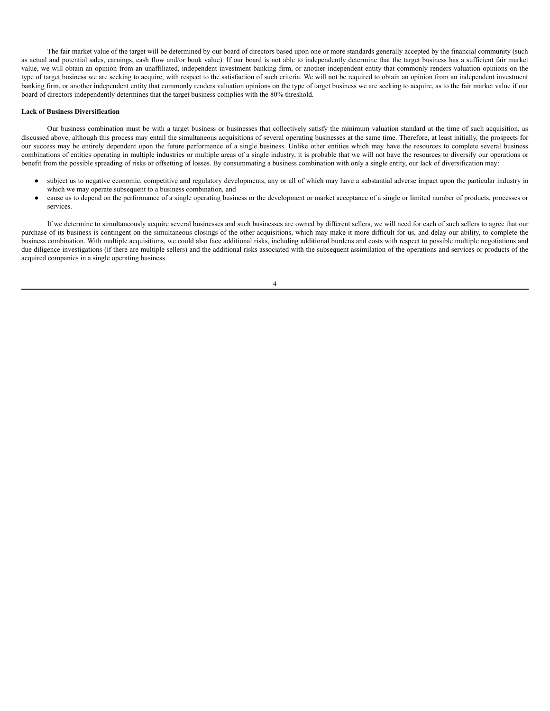The fair market value of the target will be determined by our board of directors based upon one or more standards generally accepted by the financial community (such as actual and potential sales, earnings, cash flow and/or book value). If our board is not able to independently determine that the target business has a sufficient fair market value, we will obtain an opinion from an unaffiliated, independent investment banking firm, or another independent entity that commonly renders valuation opinions on the type of target business we are seeking to acquire, with respect to the satisfaction of such criteria. We will not be required to obtain an opinion from an independent investment banking firm, or another independent entity that commonly renders valuation opinions on the type of target business we are seeking to acquire, as to the fair market value if our board of directors independently determines that the target business complies with the 80% threshold.

#### **Lack of Business Diversification**

Our business combination must be with a target business or businesses that collectively satisfy the minimum valuation standard at the time of such acquisition, as discussed above, although this process may entail the simultaneous acquisitions of several operating businesses at the same time. Therefore, at least initially, the prospects for our success may be entirely dependent upon the future performance of a single business. Unlike other entities which may have the resources to complete several business combinations of entities operating in multiple industries or multiple areas of a single industry, it is probable that we will not have the resources to diversify our operations or benefit from the possible spreading of risks or offsetting of losses. By consummating a business combination with only a single entity, our lack of diversification may:

- subject us to negative economic, competitive and regulatory developments, any or all of which may have a substantial adverse impact upon the particular industry in which we may operate subsequent to a business combination, and
- cause us to depend on the performance of a single operating business or the development or market acceptance of a single or limited number of products, processes or services.

If we determine to simultaneously acquire several businesses and such businesses are owned by different sellers, we will need for each of such sellers to agree that our purchase of its business is contingent on the simultaneous closings of the other acquisitions, which may make it more difficult for us, and delay our ability, to complete the business combination. With multiple acquisitions, we could also face additional risks, including additional burdens and costs with respect to possible multiple negotiations and due diligence investigations (if there are multiple sellers) and the additional risks associated with the subsequent assimilation of the operations and services or products of the acquired companies in a single operating business.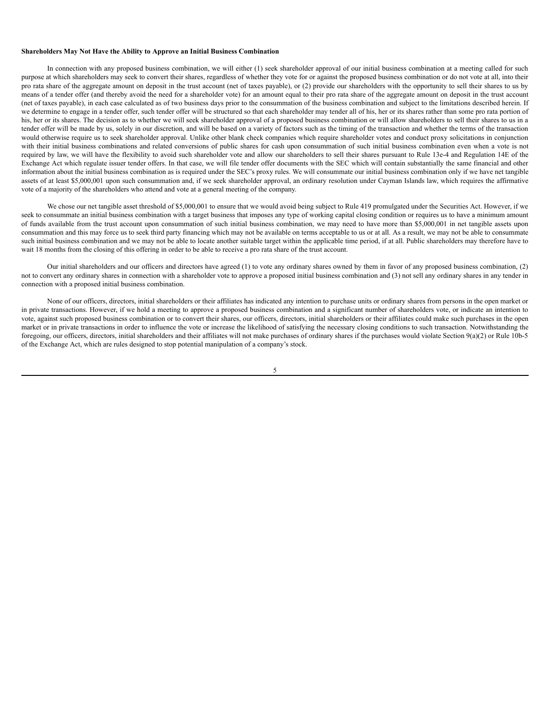#### **Shareholders May Not Have the Ability to Approve an Initial Business Combination**

In connection with any proposed business combination, we will either (1) seek shareholder approval of our initial business combination at a meeting called for such purpose at which shareholders may seek to convert their shares, regardless of whether they vote for or against the proposed business combination or do not vote at all, into their pro rata share of the aggregate amount on deposit in the trust account (net of taxes payable), or (2) provide our shareholders with the opportunity to sell their shares to us by means of a tender offer (and thereby avoid the need for a shareholder vote) for an amount equal to their pro rata share of the aggregate amount on deposit in the trust account (net of taxes payable), in each case calculated as of two business days prior to the consummation of the business combination and subject to the limitations described herein. If we determine to engage in a tender offer, such tender offer will be structured so that each shareholder may tender all of his, her or its shares rather than some pro rata portion of his, her or its shares. The decision as to whether we will seek shareholder approval of a proposed business combination or will allow shareholders to sell their shares to us in a tender offer will be made by us, solely in our discretion, and will be based on a variety of factors such as the timing of the transaction and whether the terms of the transaction would otherwise require us to seek shareholder approval. Unlike other blank check companies which require shareholder votes and conduct proxy solicitations in conjunction with their initial business combinations and related conversions of public shares for cash upon consummation of such initial business combination even when a vote is not required by law, we will have the flexibility to avoid such shareholder vote and allow our shareholders to sell their shares pursuant to Rule 13e-4 and Regulation 14E of the Exchange Act which regulate issuer tender offers. In that case, we will file tender offer documents with the SEC which will contain substantially the same financial and other information about the initial business combination as is required under the SEC's proxy rules. We will consummate our initial business combination only if we have net tangible assets of at least \$5,000,001 upon such consummation and, if we seek shareholder approval, an ordinary resolution under Cayman Islands law, which requires the affirmative vote of a majority of the shareholders who attend and vote at a general meeting of the company.

We chose our net tangible asset threshold of \$5,000,001 to ensure that we would avoid being subject to Rule 419 promulgated under the Securities Act. However, if we seek to consummate an initial business combination with a target business that imposes any type of working capital closing condition or requires us to have a minimum amount of funds available from the trust account upon consummation of such initial business combination, we may need to have more than \$5,000,001 in net tangible assets upon consummation and this may force us to seek third party financing which may not be available on terms acceptable to us or at all. As a result, we may not be able to consummate such initial business combination and we may not be able to locate another suitable target within the applicable time period, if at all. Public shareholders may therefore have to wait 18 months from the closing of this offering in order to be able to receive a pro rata share of the trust account.

Our initial shareholders and our officers and directors have agreed (1) to vote any ordinary shares owned by them in favor of any proposed business combination, (2) not to convert any ordinary shares in connection with a shareholder vote to approve a proposed initial business combination and (3) not sell any ordinary shares in any tender in connection with a proposed initial business combination.

None of our officers, directors, initial shareholders or their affiliates has indicated any intention to purchase units or ordinary shares from persons in the open market or in private transactions. However, if we hold a meeting to approve a proposed business combination and a significant number of shareholders vote, or indicate an intention to vote, against such proposed business combination or to convert their shares, our officers, directors, initial shareholders or their affiliates could make such purchases in the open market or in private transactions in order to influence the vote or increase the likelihood of satisfying the necessary closing conditions to such transaction. Notwithstanding the foregoing, our officers, directors, initial shareholders and their affiliates will not make purchases of ordinary shares if the purchases would violate Section 9(a)(2) or Rule 10b-5 of the Exchange Act, which are rules designed to stop potential manipulation of a company's stock.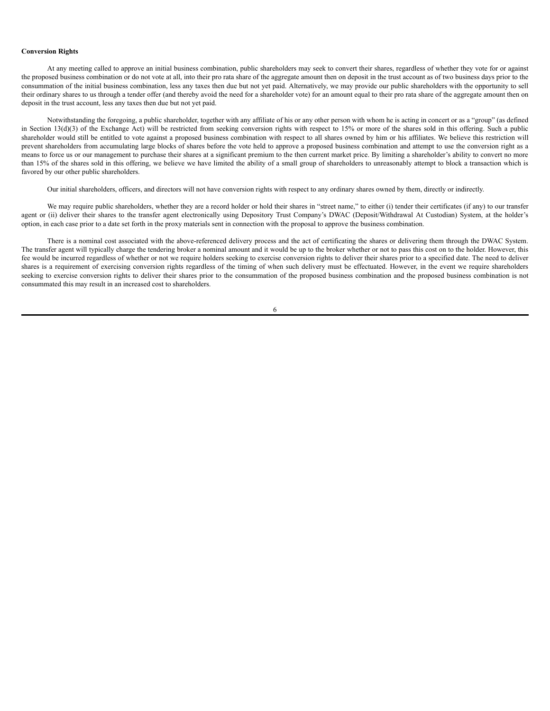#### **Conversion Rights**

At any meeting called to approve an initial business combination, public shareholders may seek to convert their shares, regardless of whether they vote for or against the proposed business combination or do not vote at all, into their pro rata share of the aggregate amount then on deposit in the trust account as of two business days prior to the consummation of the initial business combination, less any taxes then due but not yet paid. Alternatively, we may provide our public shareholders with the opportunity to sell their ordinary shares to us through a tender offer (and thereby avoid the need for a shareholder vote) for an amount equal to their pro rata share of the aggregate amount then on deposit in the trust account, less any taxes then due but not yet paid.

Notwithstanding the foregoing, a public shareholder, together with any affiliate of his or any other person with whom he is acting in concert or as a "group" (as defined in Section  $13(d)(3)$  of the Exchange Act) will be restricted from seeking conversion rights with respect to 15% or more of the shares sold in this offering. Such a public shareholder would still be entitled to vote against a proposed business combination with respect to all shares owned by him or his affiliates. We believe this restriction will prevent shareholders from accumulating large blocks of shares before the vote held to approve a proposed business combination and attempt to use the conversion right as a means to force us or our management to purchase their shares at a significant premium to the then current market price. By limiting a shareholder's ability to convert no more than 15% of the shares sold in this offering, we believe we have limited the ability of a small group of shareholders to unreasonably attempt to block a transaction which is favored by our other public shareholders.

Our initial shareholders, officers, and directors will not have conversion rights with respect to any ordinary shares owned by them, directly or indirectly.

We may require public shareholders, whether they are a record holder or hold their shares in "street name," to either (i) tender their certificates (if any) to our transfer agent or (ii) deliver their shares to the transfer agent electronically using Depository Trust Company's DWAC (Deposit/Withdrawal At Custodian) System, at the holder's option, in each case prior to a date set forth in the proxy materials sent in connection with the proposal to approve the business combination.

There is a nominal cost associated with the above-referenced delivery process and the act of certificating the shares or delivering them through the DWAC System. The transfer agent will typically charge the tendering broker a nominal amount and it would be up to the broker whether or not to pass this cost on to the holder. However, this fee would be incurred regardless of whether or not we require holders seeking to exercise conversion rights to deliver their shares prior to a specified date. The need to deliver shares is a requirement of exercising conversion rights regardless of the timing of when such delivery must be effectuated. However, in the event we require shareholders seeking to exercise conversion rights to deliver their shares prior to the consummation of the proposed business combination and the proposed business combination is not consummated this may result in an increased cost to shareholders.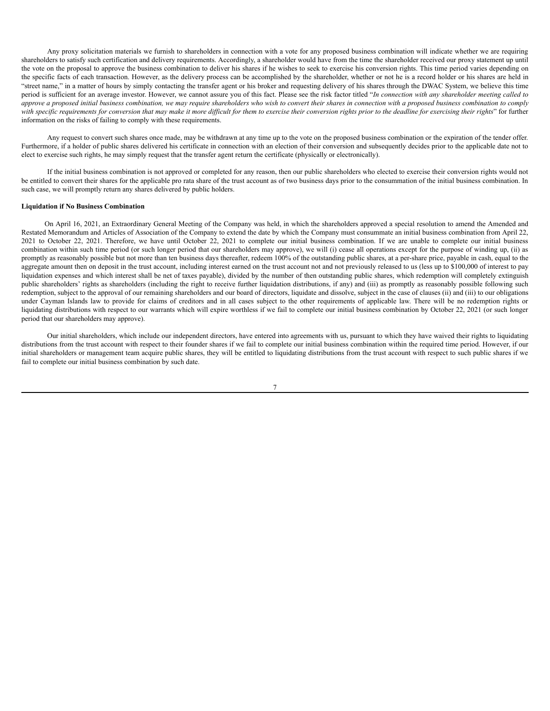Any proxy solicitation materials we furnish to shareholders in connection with a vote for any proposed business combination will indicate whether we are requiring shareholders to satisfy such certification and delivery requirements. Accordingly, a shareholder would have from the time the shareholder received our proxy statement up until the vote on the proposal to approve the business combination to deliver his shares if he wishes to seek to exercise his conversion rights. This time period varies depending on the specific facts of each transaction. However, as the delivery process can be accomplished by the shareholder, whether or not he is a record holder or his shares are held in "street name," in a matter of hours by simply contacting the transfer agent or his broker and requesting delivery of his shares through the DWAC System, we believe this time period is sufficient for an average investor. However, we cannot assure you of this fact. Please see the risk factor titled "In connection with any shareholder meeting called to approve a proposed initial business combination, we may require shareholders who wish to convert their shares in connection with a proposed business combination to comply with specific requirements for conversion that may make it more difficult for them to exercise their conversion rights prior to the deadline for exercising their rights" for further information on the risks of failing to comply with these requirements.

Any request to convert such shares once made, may be withdrawn at any time up to the vote on the proposed business combination or the expiration of the tender offer. Furthermore, if a holder of public shares delivered his certificate in connection with an election of their conversion and subsequently decides prior to the applicable date not to elect to exercise such rights, he may simply request that the transfer agent return the certificate (physically or electronically).

If the initial business combination is not approved or completed for any reason, then our public shareholders who elected to exercise their conversion rights would not be entitled to convert their shares for the applicable pro rata share of the trust account as of two business days prior to the consummation of the initial business combination. In such case, we will promptly return any shares delivered by public holders.

## **Liquidation if No Business Combination**

On April 16, 2021, an Extraordinary General Meeting of the Company was held, in which the shareholders approved a special resolution to amend the Amended and Restated Memorandum and Articles of Association of the Company to extend the date by which the Company must consummate an initial business combination from April 22, 2021 to October 22, 2021. Therefore, we have until October 22, 2021 to complete our initial business combination. If we are unable to complete our initial business combination within such time period (or such longer period that our shareholders may approve), we will (i) cease all operations except for the purpose of winding up, (ii) as promptly as reasonably possible but not more than ten business days thereafter, redeem 100% of the outstanding public shares, at a per-share price, payable in cash, equal to the aggregate amount then on deposit in the trust account, including interest earned on the trust account not and not previously released to us (less up to \$100,000 of interest to pay liquidation expenses and which interest shall be net of taxes payable), divided by the number of then outstanding public shares, which redemption will completely extinguish public shareholders' rights as shareholders (including the right to receive further liquidation distributions, if any) and (iii) as promptly as reasonably possible following such redemption, subject to the approval of our remaining shareholders and our board of directors, liquidate and dissolve, subject in the case of clauses (ii) and (iii) to our obligations under Cayman Islands law to provide for claims of creditors and in all cases subject to the other requirements of applicable law. There will be no redemption rights or liquidating distributions with respect to our warrants which will expire worthless if we fail to complete our initial business combination by October 22, 2021 (or such longer period that our shareholders may approve).

Our initial shareholders, which include our independent directors, have entered into agreements with us, pursuant to which they have waived their rights to liquidating distributions from the trust account with respect to their founder shares if we fail to complete our initial business combination within the required time period. However, if our initial shareholders or management team acquire public shares, they will be entitled to liquidating distributions from the trust account with respect to such public shares if we fail to complete our initial business combination by such date.

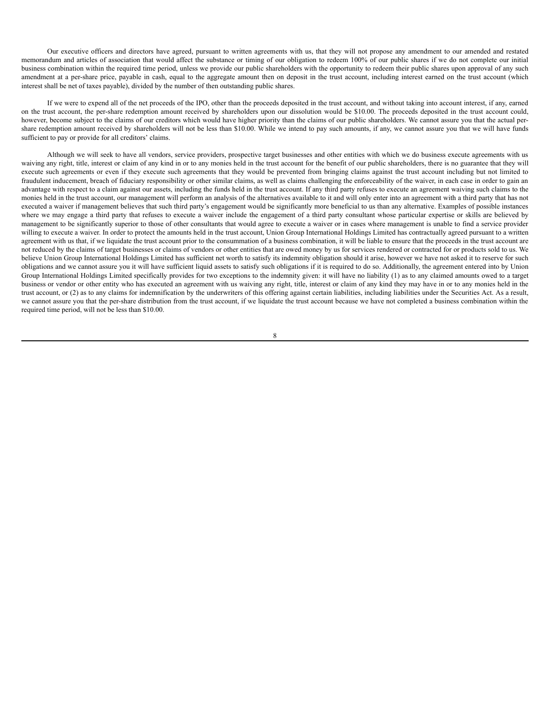Our executive officers and directors have agreed, pursuant to written agreements with us, that they will not propose any amendment to our amended and restated memorandum and articles of association that would affect the substance or timing of our obligation to redeem 100% of our public shares if we do not complete our initial business combination within the required time period, unless we provide our public shareholders with the opportunity to redeem their public shares upon approval of any such amendment at a per-share price, payable in cash, equal to the aggregate amount then on deposit in the trust account, including interest earned on the trust account (which interest shall be net of taxes payable), divided by the number of then outstanding public shares.

If we were to expend all of the net proceeds of the IPO, other than the proceeds deposited in the trust account, and without taking into account interest, if any, earned on the trust account, the per-share redemption amount received by shareholders upon our dissolution would be \$10.00. The proceeds deposited in the trust account could, however, become subject to the claims of our creditors which would have higher priority than the claims of our public shareholders. We cannot assure you that the actual pershare redemption amount received by shareholders will not be less than \$10.00. While we intend to pay such amounts, if any, we cannot assure you that we will have funds sufficient to pay or provide for all creditors' claims.

Although we will seek to have all vendors, service providers, prospective target businesses and other entities with which we do business execute agreements with us waiving any right, title, interest or claim of any kind in or to any monies held in the trust account for the benefit of our public shareholders, there is no guarantee that they will execute such agreements or even if they execute such agreements that they would be prevented from bringing claims against the trust account including but not limited to fraudulent inducement, breach of fiduciary responsibility or other similar claims, as well as claims challenging the enforceability of the waiver, in each case in order to gain an advantage with respect to a claim against our assets, including the funds held in the trust account. If any third party refuses to execute an agreement waiving such claims to the monies held in the trust account, our management will perform an analysis of the alternatives available to it and will only enter into an agreement with a third party that has not executed a waiver if management believes that such third party's engagement would be significantly more beneficial to us than any alternative. Examples of possible instances where we may engage a third party that refuses to execute a waiver include the engagement of a third party consultant whose particular expertise or skills are believed by management to be significantly superior to those of other consultants that would agree to execute a waiver or in cases where management is unable to find a service provider willing to execute a waiver. In order to protect the amounts held in the trust account, Union Group International Holdings Limited has contractually agreed pursuant to a written agreement with us that, if we liquidate the trust account prior to the consummation of a business combination, it will be liable to ensure that the proceeds in the trust account are not reduced by the claims of target businesses or claims of vendors or other entities that are owed money by us for services rendered or contracted for or products sold to us. We believe Union Group International Holdings Limited has sufficient net worth to satisfy its indemnity obligation should it arise, however we have not asked it to reserve for such obligations and we cannot assure you it will have sufficient liquid assets to satisfy such obligations if it is required to do so. Additionally, the agreement entered into by Union Group International Holdings Limited specifically provides for two exceptions to the indemnity given: it will have no liability (1) as to any claimed amounts owed to a target business or vendor or other entity who has executed an agreement with us waiving any right, title, interest or claim of any kind they may have in or to any monies held in the trust account, or (2) as to any claims for indemnification by the underwriters of this offering against certain liabilities, including liabilities under the Securities Act. As a result, we cannot assure you that the per-share distribution from the trust account, if we liquidate the trust account because we have not completed a business combination within the required time period, will not be less than \$10.00.

 $\mathbf{Q}$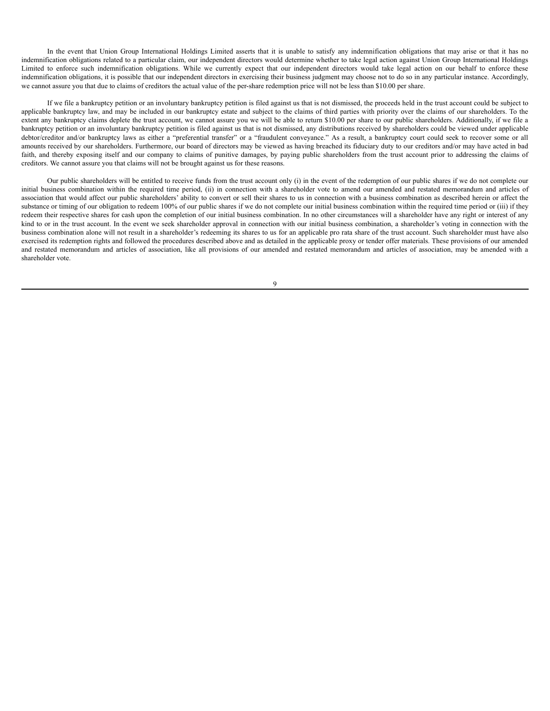In the event that Union Group International Holdings Limited asserts that it is unable to satisfy any indemnification obligations that may arise or that it has no indemnification obligations related to a particular claim, our independent directors would determine whether to take legal action against Union Group International Holdings Limited to enforce such indemnification obligations. While we currently expect that our independent directors would take legal action on our behalf to enforce these indemnification obligations, it is possible that our independent directors in exercising their business judgment may choose not to do so in any particular instance. Accordingly, we cannot assure you that due to claims of creditors the actual value of the per-share redemption price will not be less than \$10.00 per share.

If we file a bankruptcy petition or an involuntary bankruptcy petition is filed against us that is not dismissed, the proceeds held in the trust account could be subject to applicable bankruptcy law, and may be included in our bankruptcy estate and subject to the claims of third parties with priority over the claims of our shareholders. To the extent any bankruptcy claims deplete the trust account, we cannot assure you we will be able to return \$10.00 per share to our public shareholders. Additionally, if we file a bankruptcy petition or an involuntary bankruptcy petition is filed against us that is not dismissed, any distributions received by shareholders could be viewed under applicable debtor/creditor and/or bankruptcy laws as either a "preferential transfer" or a "fraudulent conveyance." As a result, a bankruptcy court could seek to recover some or all amounts received by our shareholders. Furthermore, our board of directors may be viewed as having breached its fiduciary duty to our creditors and/or may have acted in bad faith, and thereby exposing itself and our company to claims of punitive damages, by paying public shareholders from the trust account prior to addressing the claims of creditors. We cannot assure you that claims will not be brought against us for these reasons.

Our public shareholders will be entitled to receive funds from the trust account only (i) in the event of the redemption of our public shares if we do not complete our initial business combination within the required time period, (ii) in connection with a shareholder vote to amend our amended and restated memorandum and articles of association that would affect our public shareholders' ability to convert or sell their shares to us in connection with a business combination as described herein or affect the substance or timing of our obligation to redeem 100% of our public shares if we do not complete our initial business combination within the required time period or (iii) if they redeem their respective shares for cash upon the completion of our initial business combination. In no other circumstances will a shareholder have any right or interest of any kind to or in the trust account. In the event we seek shareholder approval in connection with our initial business combination, a shareholder's voting in connection with the business combination alone will not result in a shareholder's redeeming its shares to us for an applicable pro rata share of the trust account. Such shareholder must have also exercised its redemption rights and followed the procedures described above and as detailed in the applicable proxy or tender offer materials. These provisions of our amended and restated memorandum and articles of association, like all provisions of our amended and restated memorandum and articles of association, may be amended with a shareholder vote.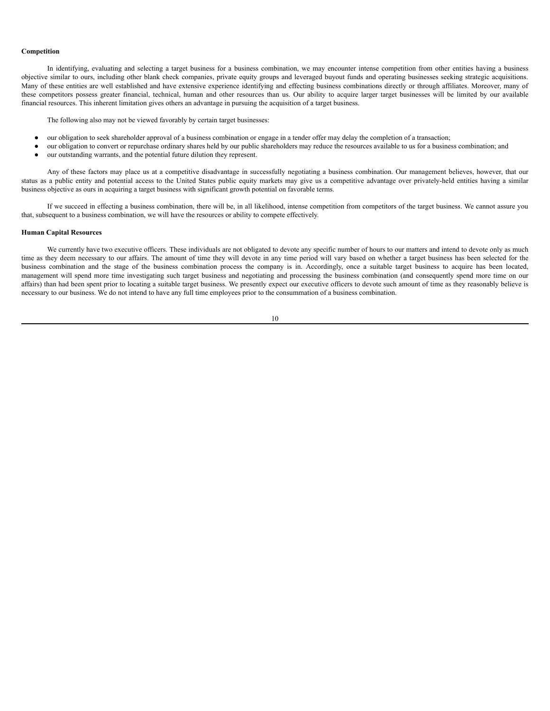#### **Competition**

In identifying, evaluating and selecting a target business for a business combination, we may encounter intense competition from other entities having a business objective similar to ours, including other blank check companies, private equity groups and leveraged buyout funds and operating businesses seeking strategic acquisitions. Many of these entities are well established and have extensive experience identifying and effecting business combinations directly or through affiliates. Moreover, many of these competitors possess greater financial, technical, human and other resources than us. Our ability to acquire larger target businesses will be limited by our available financial resources. This inherent limitation gives others an advantage in pursuing the acquisition of a target business.

The following also may not be viewed favorably by certain target businesses:

- our obligation to seek shareholder approval of a business combination or engage in a tender offer may delay the completion of a transaction;
- our obligation to convert or repurchase ordinary shares held by our public shareholders may reduce the resources available to us for a business combination; and
- our outstanding warrants, and the potential future dilution they represent.

Any of these factors may place us at a competitive disadvantage in successfully negotiating a business combination. Our management believes, however, that our status as a public entity and potential access to the United States public equity markets may give us a competitive advantage over privately-held entities having a similar business objective as ours in acquiring a target business with significant growth potential on favorable terms.

If we succeed in effecting a business combination, there will be, in all likelihood, intense competition from competitors of the target business. We cannot assure you that, subsequent to a business combination, we will have the resources or ability to compete effectively.

#### **Human Capital Resources**

We currently have two executive officers. These individuals are not obligated to devote any specific number of hours to our matters and intend to devote only as much time as they deem necessary to our affairs. The amount of time they will devote in any time period will vary based on whether a target business has been selected for the business combination and the stage of the business combination process the company is in. Accordingly, once a suitable target business to acquire has been located, management will spend more time investigating such target business and negotiating and processing the business combination (and consequently spend more time on our affairs) than had been spent prior to locating a suitable target business. We presently expect our executive officers to devote such amount of time as they reasonably believe is necessary to our business. We do not intend to have any full time employees prior to the consummation of a business combination.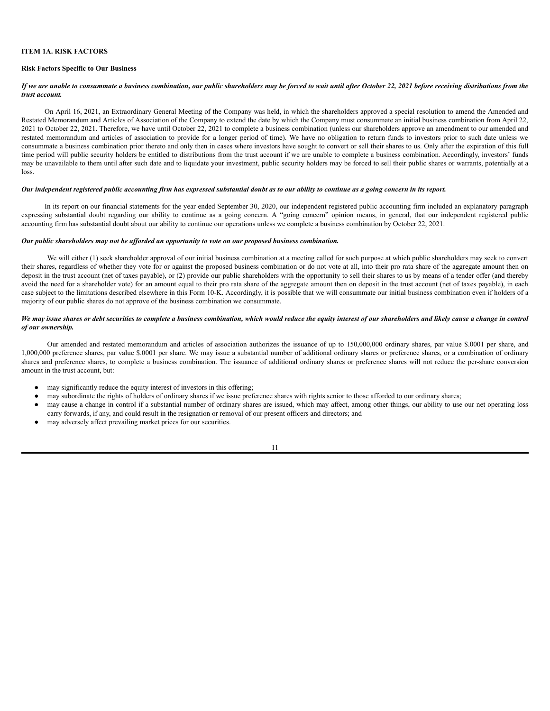# <span id="page-14-0"></span>**ITEM 1A. RISK FACTORS**

## **Risk Factors Specific to Our Business**

## If we are unable to consummate a business combination, our public shareholders may be forced to wait until after October 22, 2021 before receiving distributions from the *trust account.*

On April 16, 2021, an Extraordinary General Meeting of the Company was held, in which the shareholders approved a special resolution to amend the Amended and Restated Memorandum and Articles of Association of the Company to extend the date by which the Company must consummate an initial business combination from April 22, 2021 to October 22, 2021. Therefore, we have until October 22, 2021 to complete a business combination (unless our shareholders approve an amendment to our amended and restated memorandum and articles of association to provide for a longer period of time). We have no obligation to return funds to investors prior to such date unless we consummate a business combination prior thereto and only then in cases where investors have sought to convert or sell their shares to us. Only after the expiration of this full time period will public security holders be entitled to distributions from the trust account if we are unable to complete a business combination. Accordingly, investors' funds may be unavailable to them until after such date and to liquidate your investment, public security holders may be forced to sell their public shares or warrants, potentially at a loss.

#### Our independent registered public accounting firm has expressed substantial doubt as to our ability to continue as a going concern in its report.

In its report on our financial statements for the year ended September 30, 2020, our independent registered public accounting firm included an explanatory paragraph expressing substantial doubt regarding our ability to continue as a going concern. A "going concern" opinion means, in general, that our independent registered public accounting firm has substantial doubt about our ability to continue our operations unless we complete a business combination by October 22, 2021.

#### *Our public shareholders may not be af orded an opportunity to vote on our proposed business combination.*

We will either (1) seek shareholder approval of our initial business combination at a meeting called for such purpose at which public shareholders may seek to convert their shares, regardless of whether they vote for or against the proposed business combination or do not vote at all, into their pro rata share of the aggregate amount then on deposit in the trust account (net of taxes payable), or (2) provide our public shareholders with the opportunity to sell their shares to us by means of a tender offer (and thereby avoid the need for a shareholder vote) for an amount equal to their pro rata share of the aggregate amount then on deposit in the trust account (net of taxes payable), in each case subject to the limitations described elsewhere in this Form 10-K. Accordingly, it is possible that we will consummate our initial business combination even if holders of a majority of our public shares do not approve of the business combination we consummate.

### We may issue shares or debt securities to complete a business combination, which would reduce the equity interest of our shareholders and likely cause a change in control *of our ownership.*

Our amended and restated memorandum and articles of association authorizes the issuance of up to 150,000,000 ordinary shares, par value \$.0001 per share, and 1,000,000 preference shares, par value \$.0001 per share. We may issue a substantial number of additional ordinary shares or preference shares, or a combination of ordinary shares and preference shares, to complete a business combination. The issuance of additional ordinary shares or preference shares will not reduce the per-share conversion amount in the trust account, but:

- may significantly reduce the equity interest of investors in this offering;
- may subordinate the rights of holders of ordinary shares if we issue preference shares with rights senior to those afforded to our ordinary shares;
- may cause a change in control if a substantial number of ordinary shares are issued, which may affect, among other things, our ability to use our net operating loss carry forwards, if any, and could result in the resignation or removal of our present officers and directors; and
- may adversely affect prevailing market prices for our securities.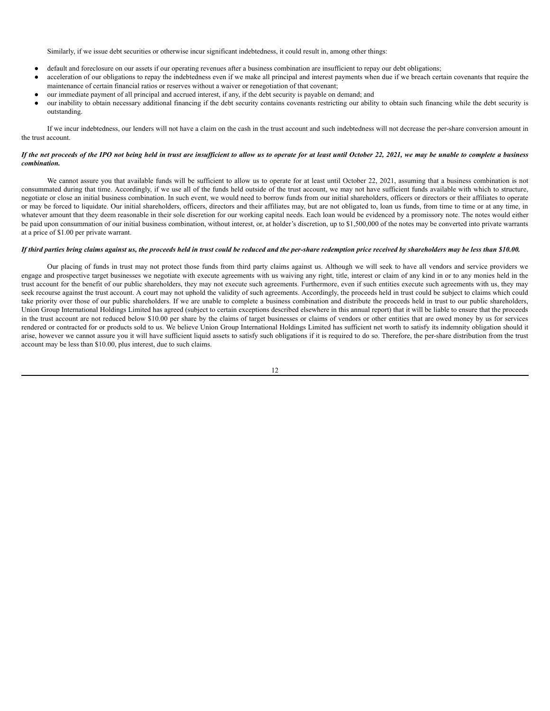Similarly, if we issue debt securities or otherwise incur significant indebtedness, it could result in, among other things:

- default and foreclosure on our assets if our operating revenues after a business combination are insufficient to repay our debt obligations;
- acceleration of our obligations to repay the indebtedness even if we make all principal and interest payments when due if we breach certain covenants that require the maintenance of certain financial ratios or reserves without a waiver or renegotiation of that covenant;
- our immediate payment of all principal and accrued interest, if any, if the debt security is payable on demand; and
- our inability to obtain necessary additional financing if the debt security contains covenants restricting our ability to obtain such financing while the debt security is outstanding.

If we incur indebtedness, our lenders will not have a claim on the cash in the trust account and such indebtedness will not decrease the per-share conversion amount in the trust account.

## If the net proceeds of the IPO not being held in trust are insufficient to allow us to operate for at least until October 22, 2021, we may be unable to complete a business *combination.*

We cannot assure you that available funds will be sufficient to allow us to operate for at least until October 22, 2021, assuming that a business combination is not consummated during that time. Accordingly, if we use all of the funds held outside of the trust account, we may not have sufficient funds available with which to structure, negotiate or close an initial business combination. In such event, we would need to borrow funds from our initial shareholders, officers or directors or their affiliates to operate or may be forced to liquidate. Our initial shareholders, officers, directors and their affiliates may, but are not obligated to, loan us funds, from time to time or at any time, in whatever amount that they deem reasonable in their sole discretion for our working capital needs. Each loan would be evidenced by a promissory note. The notes would either be paid upon consummation of our initial business combination, without interest, or, at holder's discretion, up to \$1,500,000 of the notes may be converted into private warrants at a price of \$1.00 per private warrant.

## If third parties bring claims against us, the proceeds held in trust could be reduced and the per-share redemption price received by shareholders may be less than \$10.00.

Our placing of funds in trust may not protect those funds from third party claims against us. Although we will seek to have all vendors and service providers we engage and prospective target businesses we negotiate with execute agreements with us waiving any right, title, interest or claim of any kind in or to any monies held in the trust account for the benefit of our public shareholders, they may not execute such agreements. Furthermore, even if such entities execute such agreements with us, they may seek recourse against the trust account. A court may not uphold the validity of such agreements. Accordingly, the proceeds held in trust could be subject to claims which could take priority over those of our public shareholders. If we are unable to complete a business combination and distribute the proceeds held in trust to our public shareholders, Union Group International Holdings Limited has agreed (subject to certain exceptions described elsewhere in this annual report) that it will be liable to ensure that the proceeds in the trust account are not reduced below \$10.00 per share by the claims of target businesses or claims of vendors or other entities that are owed money by us for services rendered or contracted for or products sold to us. We believe Union Group International Holdings Limited has sufficient net worth to satisfy its indemnity obligation should it arise, however we cannot assure you it will have sufficient liquid assets to satisfy such obligations if it is required to do so. Therefore, the per-share distribution from the trust account may be less than \$10.00, plus interest, due to such claims.

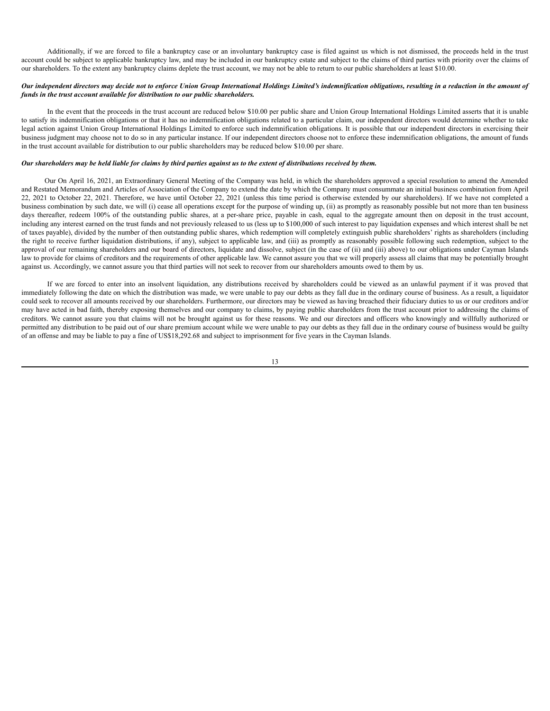Additionally, if we are forced to file a bankruptcy case or an involuntary bankruptcy case is filed against us which is not dismissed, the proceeds held in the trust account could be subject to applicable bankruptcy law, and may be included in our bankruptcy estate and subject to the claims of third parties with priority over the claims of our shareholders. To the extent any bankruptcy claims deplete the trust account, we may not be able to return to our public shareholders at least \$10.00.

## Our independent directors may decide not to enforce Union Group International Holdings Limited's indemnification obligations, resulting in a reduction in the amount of *funds in the trust account available for distribution to our public shareholders.*

In the event that the proceeds in the trust account are reduced below \$10.00 per public share and Union Group International Holdings Limited asserts that it is unable to satisfy its indemnification obligations or that it has no indemnification obligations related to a particular claim, our independent directors would determine whether to take legal action against Union Group International Holdings Limited to enforce such indemnification obligations. It is possible that our independent directors in exercising their business judgment may choose not to do so in any particular instance. If our independent directors choose not to enforce these indemnification obligations, the amount of funds in the trust account available for distribution to our public shareholders may be reduced below \$10.00 per share.

#### Our shareholders may be held liable for claims by third parties against us to the extent of distributions received by them.

Our On April 16, 2021, an Extraordinary General Meeting of the Company was held, in which the shareholders approved a special resolution to amend the Amended and Restated Memorandum and Articles of Association of the Company to extend the date by which the Company must consummate an initial business combination from April 22, 2021 to October 22, 2021. Therefore, we have until October 22, 2021 (unless this time period is otherwise extended by our shareholders). If we have not completed a business combination by such date, we will (i) cease all operations except for the purpose of winding up, (ii) as promptly as reasonably possible but not more than ten business days thereafter, redeem 100% of the outstanding public shares, at a per-share price, payable in cash, equal to the aggregate amount then on deposit in the trust account, including any interest earned on the trust funds and not previously released to us (less up to \$100,000 of such interest to pay liquidation expenses and which interest shall be net of taxes payable), divided by the number of then outstanding public shares, which redemption will completely extinguish public shareholders' rights as shareholders (including the right to receive further liquidation distributions, if any), subject to applicable law, and (iii) as promptly as reasonably possible following such redemption, subject to the approval of our remaining shareholders and our board of directors, liquidate and dissolve, subject (in the case of (ii) and (iii) above) to our obligations under Cayman Islands law to provide for claims of creditors and the requirements of other applicable law. We cannot assure you that we will properly assess all claims that may be potentially brought against us. Accordingly, we cannot assure you that third parties will not seek to recover from our shareholders amounts owed to them by us.

If we are forced to enter into an insolvent liquidation, any distributions received by shareholders could be viewed as an unlawful payment if it was proved that immediately following the date on which the distribution was made, we were unable to pay our debts as they fall due in the ordinary course of business. As a result, a liquidator could seek to recover all amounts received by our shareholders. Furthermore, our directors may be viewed as having breached their fiduciary duties to us or our creditors and/or may have acted in bad faith, thereby exposing themselves and our company to claims, by paying public shareholders from the trust account prior to addressing the claims of creditors. We cannot assure you that claims will not be brought against us for these reasons. We and our directors and officers who knowingly and willfully authorized or permitted any distribution to be paid out of our share premium account while we were unable to pay our debts as they fall due in the ordinary course of business would be guilty of an offense and may be liable to pay a fine of US\$18,292.68 and subject to imprisonment for five years in the Cayman Islands.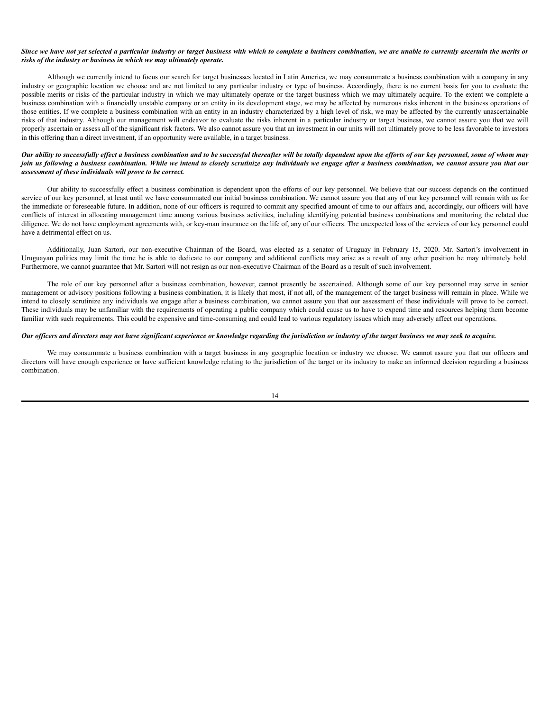#### Since we have not yet selected a particular industry or target business with which to complete a business combination, we are unable to currently ascertain the merits or *risks of the industry or business in which we may ultimately operate.*

Although we currently intend to focus our search for target businesses located in Latin America, we may consummate a business combination with a company in any industry or geographic location we choose and are not limited to any particular industry or type of business. Accordingly, there is no current basis for you to evaluate the possible merits or risks of the particular industry in which we may ultimately operate or the target business which we may ultimately acquire. To the extent we complete a business combination with a financially unstable company or an entity in its development stage, we may be affected by numerous risks inherent in the business operations of those entities. If we complete a business combination with an entity in an industry characterized by a high level of risk, we may be affected by the currently unascertainable risks of that industry. Although our management will endeavor to evaluate the risks inherent in a particular industry or target business, we cannot assure you that we will properly ascertain or assess all of the significant risk factors. We also cannot assure you that an investment in our units will not ultimately prove to be less favorable to investors in this offering than a direct investment, if an opportunity were available, in a target business.

## Our ability to successfully effect a business combination and to be successful thereafter will be totally dependent upon the efforts of our key personnel, some of whom may join us following a business combination. While we intend to closely scrutinize any individuals we engage after a business combination, we cannot assure you that our *assessment of these individuals will prove to be correct.*

Our ability to successfully effect a business combination is dependent upon the efforts of our key personnel. We believe that our success depends on the continued service of our key personnel, at least until we have consummated our initial business combination. We cannot assure you that any of our key personnel will remain with us for the immediate or foreseeable future. In addition, none of our officers is required to commit any specified amount of time to our affairs and, accordingly, our officers will have conflicts of interest in allocating management time among various business activities, including identifying potential business combinations and monitoring the related due diligence. We do not have employment agreements with, or key-man insurance on the life of, any of our officers. The unexpected loss of the services of our key personnel could have a detrimental effect on us.

Additionally, Juan Sartori, our non-executive Chairman of the Board, was elected as a senator of Uruguay in February 15, 2020. Mr. Sartori's involvement in Uruguayan politics may limit the time he is able to dedicate to our company and additional conflicts may arise as a result of any other position he may ultimately hold. Furthermore, we cannot guarantee that Mr. Sartori will not resign as our non-executive Chairman of the Board as a result of such involvement.

The role of our key personnel after a business combination, however, cannot presently be ascertained. Although some of our key personnel may serve in senior management or advisory positions following a business combination, it is likely that most, if not all, of the management of the target business will remain in place. While we intend to closely scrutinize any individuals we engage after a business combination, we cannot assure you that our assessment of these individuals will prove to be correct. These individuals may be unfamiliar with the requirements of operating a public company which could cause us to have to expend time and resources helping them become familiar with such requirements. This could be expensive and time-consuming and could lead to various regulatory issues which may adversely affect our operations.

## Our officers and directors may not have significant experience or knowledge regarding the jurisdiction or industry of the target business we may seek to acquire.

We may consummate a business combination with a target business in any geographic location or industry we choose. We cannot assure you that our officers and directors will have enough experience or have sufficient knowledge relating to the jurisdiction of the target or its industry to make an informed decision regarding a business combination.

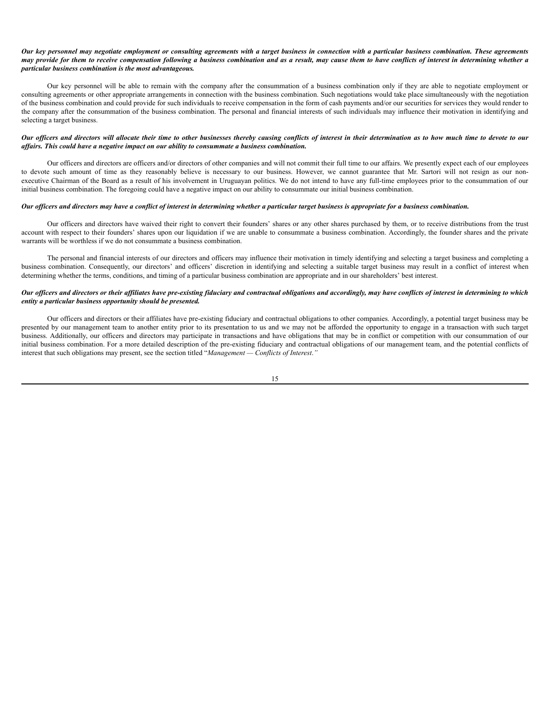#### Our key personnel may negotiate employment or consulting agreements with a target business in connection with a particular business combination. These agreements may provide for them to receive compensation following a business combination and as a result, may cause them to have conflicts of interest in determining whether a *particular business combination is the most advantageous.*

Our key personnel will be able to remain with the company after the consummation of a business combination only if they are able to negotiate employment or consulting agreements or other appropriate arrangements in connection with the business combination. Such negotiations would take place simultaneously with the negotiation of the business combination and could provide for such individuals to receive compensation in the form of cash payments and/or our securities for services they would render to the company after the consummation of the business combination. The personal and financial interests of such individuals may influence their motivation in identifying and selecting a target business.

## Our officers and directors will allocate their time to other businesses thereby causing conflicts of interest in their determination as to how much time to devote to our *af airs. This could have a negative impact on our ability to consummate a business combination.*

Our officers and directors are officers and/or directors of other companies and will not commit their full time to our affairs. We presently expect each of our employees to devote such amount of time as they reasonably believe is necessary to our business. However, we cannot guarantee that Mr. Sartori will not resign as our nonexecutive Chairman of the Board as a result of his involvement in Uruguayan politics. We do not intend to have any full-time employees prior to the consummation of our initial business combination. The foregoing could have a negative impact on our ability to consummate our initial business combination.

## Our officers and directors may have a conflict of interest in determining whether a particular target business is appropriate for a business combination.

Our officers and directors have waived their right to convert their founders' shares or any other shares purchased by them, or to receive distributions from the trust account with respect to their founders' shares upon our liquidation if we are unable to consummate a business combination. Accordingly, the founder shares and the private warrants will be worthless if we do not consummate a business combination.

The personal and financial interests of our directors and officers may influence their motivation in timely identifying and selecting a target business and completing a business combination. Consequently, our directors' and officers' discretion in identifying and selecting a suitable target business may result in a conflict of interest when determining whether the terms, conditions, and timing of a particular business combination are appropriate and in our shareholders' best interest.

## Our officers and directors or their affiliates have pre-existing fiduciary and contractual obligations and accordingly, may have conflicts of interest in determining to which *entity a particular business opportunity should be presented.*

Our officers and directors or their affiliates have pre-existing fiduciary and contractual obligations to other companies. Accordingly, a potential target business may be presented by our management team to another entity prior to its presentation to us and we may not be afforded the opportunity to engage in a transaction with such target business. Additionally, our officers and directors may participate in transactions and have obligations that may be in conflict or competition with our consummation of our initial business combination. For a more detailed description of the pre-existing fiduciary and contractual obligations of our management team, and the potential conflicts of interest that such obligations may present, see the section titled "*Management — Conflicts of Interest*.*"*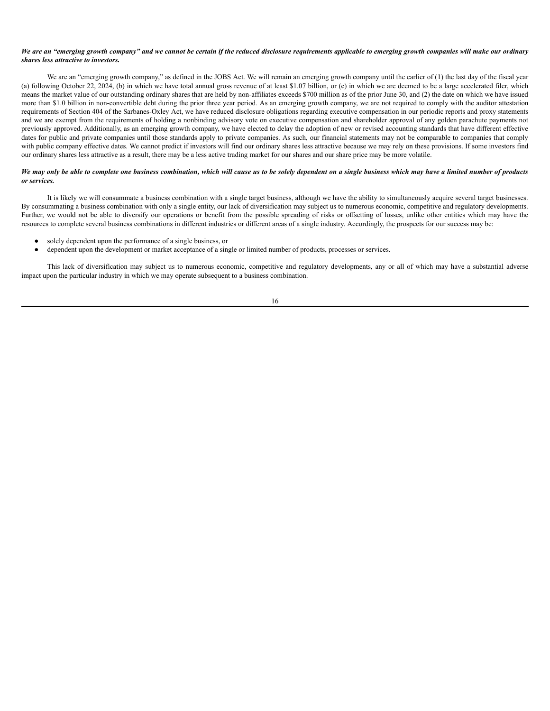#### We are an "emerging growth company" and we cannot be certain if the reduced disclosure requirements applicable to emerging growth companies will make our ordinary *shares less attractive to investors.*

We are an "emerging growth company," as defined in the JOBS Act. We will remain an emerging growth company until the earlier of (1) the last day of the fiscal year (a) following October 22, 2024, (b) in which we have total annual gross revenue of at least \$1.07 billion, or (c) in which we are deemed to be a large accelerated filer, which means the market value of our outstanding ordinary shares that are held by non-affiliates exceeds \$700 million as of the prior June 30, and (2) the date on which we have issued more than \$1.0 billion in non-convertible debt during the prior three year period. As an emerging growth company, we are not required to comply with the auditor attestation requirements of Section 404 of the Sarbanes-Oxley Act, we have reduced disclosure obligations regarding executive compensation in our periodic reports and proxy statements and we are exempt from the requirements of holding a nonbinding advisory vote on executive compensation and shareholder approval of any golden parachute payments not previously approved. Additionally, as an emerging growth company, we have elected to delay the adoption of new or revised accounting standards that have different effective dates for public and private companies until those standards apply to private companies. As such, our financial statements may not be comparable to companies that comply with public company effective dates. We cannot predict if investors will find our ordinary shares less attractive because we may rely on these provisions. If some investors find our ordinary shares less attractive as a result, there may be a less active trading market for our shares and our share price may be more volatile.

## We may only be able to complete one business combination, which will cause us to be solely dependent on a single business which may have a limited number of products *or services.*

It is likely we will consummate a business combination with a single target business, although we have the ability to simultaneously acquire several target businesses. By consummating a business combination with only a single entity, our lack of diversification may subject us to numerous economic, competitive and regulatory developments. Further, we would not be able to diversify our operations or benefit from the possible spreading of risks or offsetting of losses, unlike other entities which may have the resources to complete several business combinations in different industries or different areas of a single industry. Accordingly, the prospects for our success may be:

- solely dependent upon the performance of a single business, or
- dependent upon the development or market acceptance of a single or limited number of products, processes or services.

This lack of diversification may subject us to numerous economic, competitive and regulatory developments, any or all of which may have a substantial adverse impact upon the particular industry in which we may operate subsequent to a business combination.

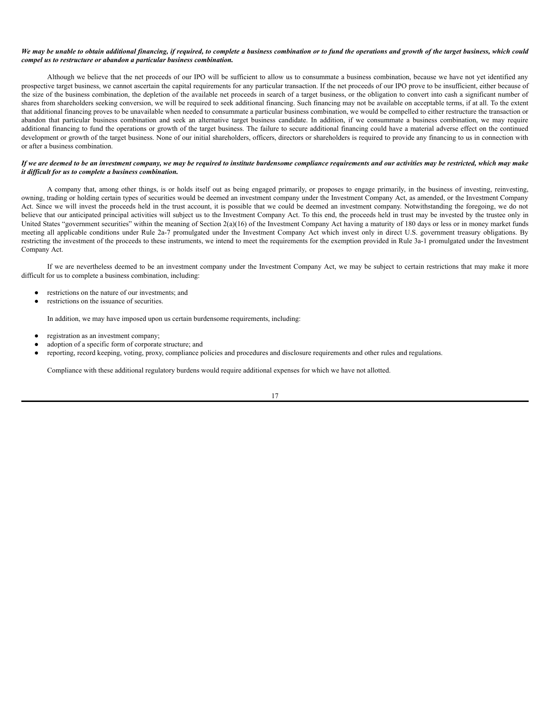#### We may be unable to obtain additional financing, if required, to complete a business combination or to fund the operations and growth of the target business, which could *compel us to restructure or abandon a particular business combination.*

Although we believe that the net proceeds of our IPO will be sufficient to allow us to consummate a business combination, because we have not yet identified any prospective target business, we cannot ascertain the capital requirements for any particular transaction. If the net proceeds of our IPO prove to be insufficient, either because of the size of the business combination, the depletion of the available net proceeds in search of a target business, or the obligation to convert into cash a significant number of shares from shareholders seeking conversion, we will be required to seek additional financing. Such financing may not be available on acceptable terms, if at all. To the extent that additional financing proves to be unavailable when needed to consummate a particular business combination, we would be compelled to either restructure the transaction or abandon that particular business combination and seek an alternative target business candidate. In addition, if we consummate a business combination, we may require additional financing to fund the operations or growth of the target business. The failure to secure additional financing could have a material adverse effect on the continued development or growth of the target business. None of our initial shareholders, officers, directors or shareholders is required to provide any financing to us in connection with or after a business combination.

#### If we are deemed to be an investment company, we may be required to institute burdensome compliance requirements and our activities may be restricted, which may make *it dif icult for us to complete a business combination.*

A company that, among other things, is or holds itself out as being engaged primarily, or proposes to engage primarily, in the business of investing, reinvesting, owning, trading or holding certain types of securities would be deemed an investment company under the Investment Company Act, as amended, or the Investment Company Act. Since we will invest the proceeds held in the trust account, it is possible that we could be deemed an investment company. Notwithstanding the foregoing, we do not believe that our anticipated principal activities will subject us to the Investment Company Act. To this end, the proceeds held in trust may be invested by the trustee only in United States "government securities" within the meaning of Section  $2(a)(16)$  of the Investment Company Act having a maturity of 180 days or less or in money market funds meeting all applicable conditions under Rule 2a-7 promulgated under the Investment Company Act which invest only in direct U.S. government treasury obligations. By restricting the investment of the proceeds to these instruments, we intend to meet the requirements for the exemption provided in Rule 3a-1 promulgated under the Investment Company Act.

If we are nevertheless deemed to be an investment company under the Investment Company Act, we may be subject to certain restrictions that may make it more difficult for us to complete a business combination, including:

- restrictions on the nature of our investments; and
- restrictions on the issuance of securities.

In addition, we may have imposed upon us certain burdensome requirements, including:

- registration as an investment company;
- adoption of a specific form of corporate structure; and
- reporting, record keeping, voting, proxy, compliance policies and procedures and disclosure requirements and other rules and regulations.

Compliance with these additional regulatory burdens would require additional expenses for which we have not allotted.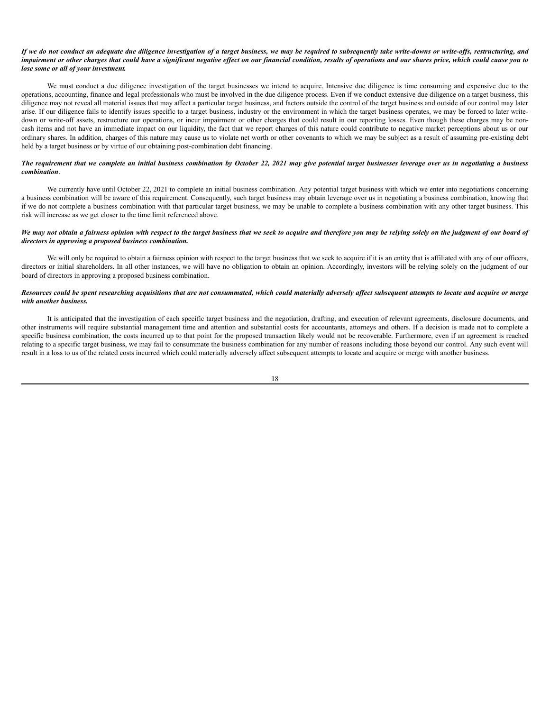#### If we do not conduct an adequate due diligence investigation of a target business, we may be required to subsequently take write-downs or write-offs, restructuring, and impairment or other charges that could have a significant negative effect on our financial condition, results of operations and our shares price, which could cause you to *lose some or all of your investment.*

We must conduct a due diligence investigation of the target businesses we intend to acquire. Intensive due diligence is time consuming and expensive due to the operations, accounting, finance and legal professionals who must be involved in the due diligence process. Even if we conduct extensive due diligence on a target business, this diligence may not reveal all material issues that may affect a particular target business, and factors outside the control of the target business and outside of our control may later arise. If our diligence fails to identify issues specific to a target business, industry or the environment in which the target business operates, we may be forced to later writedown or write-off assets, restructure our operations, or incur impairment or other charges that could result in our reporting losses. Even though these charges may be noncash items and not have an immediate impact on our liquidity, the fact that we report charges of this nature could contribute to negative market perceptions about us or our ordinary shares. In addition, charges of this nature may cause us to violate net worth or other covenants to which we may be subject as a result of assuming pre-existing debt held by a target business or by virtue of our obtaining post-combination debt financing.

## The requirement that we complete an initial business combination by October 22, 2021 may give potential target businesses leverage over us in negotiating a business *combination*.

We currently have until October 22, 2021 to complete an initial business combination. Any potential target business with which we enter into negotiations concerning a business combination will be aware of this requirement. Consequently, such target business may obtain leverage over us in negotiating a business combination, knowing that if we do not complete a business combination with that particular target business, we may be unable to complete a business combination with any other target business. This risk will increase as we get closer to the time limit referenced above.

#### We may not obtain a fairness opinion with respect to the target business that we seek to acquire and therefore you may be relying solely on the judgment of our board of *directors in approving a proposed business combination.*

We will only be required to obtain a fairness opinion with respect to the target business that we seek to acquire if it is an entity that is affiliated with any of our officers, directors or initial shareholders. In all other instances, we will have no obligation to obtain an opinion. Accordingly, investors will be relying solely on the judgment of our board of directors in approving a proposed business combination.

## Resources could be spent researching acquisitions that are not consummated, which could materially adversely affect subsequent attempts to locate and acquire or merge *with another business.*

It is anticipated that the investigation of each specific target business and the negotiation, drafting, and execution of relevant agreements, disclosure documents, and other instruments will require substantial management time and attention and substantial costs for accountants, attorneys and others. If a decision is made not to complete a specific business combination, the costs incurred up to that point for the proposed transaction likely would not be recoverable. Furthermore, even if an agreement is reached relating to a specific target business, we may fail to consummate the business combination for any number of reasons including those beyond our control. Any such event will result in a loss to us of the related costs incurred which could materially adversely affect subsequent attempts to locate and acquire or merge with another business.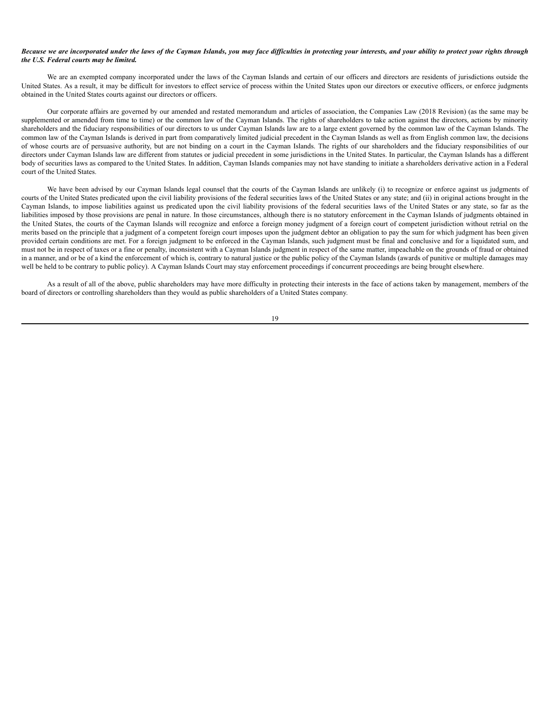#### Because we are incorporated under the laws of the Cayman Islands, you may face difficulties in protecting your interests, and your ability to protect your rights through *the U.S. Federal courts may be limited.*

We are an exempted company incorporated under the laws of the Cayman Islands and certain of our officers and directors are residents of jurisdictions outside the United States. As a result, it may be difficult for investors to effect service of process within the United States upon our directors or executive officers, or enforce judgments obtained in the United States courts against our directors or officers.

Our corporate affairs are governed by our amended and restated memorandum and articles of association, the Companies Law (2018 Revision) (as the same may be supplemented or amended from time to time) or the common law of the Cayman Islands. The rights of shareholders to take action against the directors, actions by minority shareholders and the fiduciary responsibilities of our directors to us under Cayman Islands law are to a large extent governed by the common law of the Cayman Islands. The common law of the Cayman Islands is derived in part from comparatively limited judicial precedent in the Cayman Islands as well as from English common law, the decisions of whose courts are of persuasive authority, but are not binding on a court in the Cayman Islands. The rights of our shareholders and the fiduciary responsibilities of our directors under Cayman Islands law are different from statutes or judicial precedent in some jurisdictions in the United States. In particular, the Cayman Islands has a different body of securities laws as compared to the United States. In addition, Cayman Islands companies may not have standing to initiate a shareholders derivative action in a Federal court of the United States.

We have been advised by our Cayman Islands legal counsel that the courts of the Cayman Islands are unlikely (i) to recognize or enforce against us judgments of courts of the United States predicated upon the civil liability provisions of the federal securities laws of the United States or any state; and (ii) in original actions brought in the Cayman Islands, to impose liabilities against us predicated upon the civil liability provisions of the federal securities laws of the United States or any state, so far as the liabilities imposed by those provisions are penal in nature. In those circumstances, although there is no statutory enforcement in the Cayman Islands of judgments obtained in the United States, the courts of the Cayman Islands will recognize and enforce a foreign money judgment of a foreign court of competent jurisdiction without retrial on the merits based on the principle that a judgment of a competent foreign court imposes upon the judgment debtor an obligation to pay the sum for which judgment has been given provided certain conditions are met. For a foreign judgment to be enforced in the Cayman Islands, such judgment must be final and conclusive and for a liquidated sum, and must not be in respect of taxes or a fine or penalty, inconsistent with a Cayman Islands judgment in respect of the same matter, impeachable on the grounds of fraud or obtained in a manner, and or be of a kind the enforcement of which is, contrary to natural justice or the public policy of the Cayman Islands (awards of punitive or multiple damages may well be held to be contrary to public policy). A Cayman Islands Court may stay enforcement proceedings if concurrent proceedings are being brought elsewhere.

As a result of all of the above, public shareholders may have more difficulty in protecting their interests in the face of actions taken by management, members of the board of directors or controlling shareholders than they would as public shareholders of a United States company.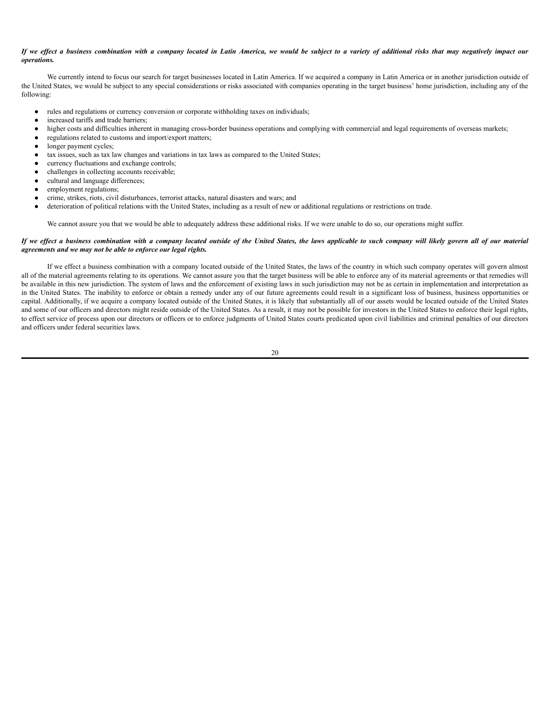## If we effect a business combination with a company located in Latin America, we would be subject to a variety of additional risks that may negatively impact our *operations.*

We currently intend to focus our search for target businesses located in Latin America. If we acquired a company in Latin America or in another jurisdiction outside of the United States, we would be subject to any special considerations or risks associated with companies operating in the target business' home jurisdiction, including any of the following:

- rules and regulations or currency conversion or corporate withholding taxes on individuals;
- increased tariffs and trade barriers;
- higher costs and difficulties inherent in managing cross-border business operations and complying with commercial and legal requirements of overseas markets;
- regulations related to customs and import/export matters;
- longer payment cycles;
- tax issues, such as tax law changes and variations in tax laws as compared to the United States;
- currency fluctuations and exchange controls;
- challenges in collecting accounts receivable;
- cultural and language differences:
- employment regulations;
- crime, strikes, riots, civil disturbances, terrorist attacks, natural disasters and wars; and
- deterioration of political relations with the United States, including as a result of new or additional regulations or restrictions on trade.

We cannot assure you that we would be able to adequately address these additional risks. If we were unable to do so, our operations might suffer.

#### If we effect a business combination with a company located outside of the United States, the laws applicable to such company will likely govern all of our material *agreements and we may not be able to enforce our legal rights.*

If we effect a business combination with a company located outside of the United States, the laws of the country in which such company operates will govern almost all of the material agreements relating to its operations. We cannot assure you that the target business will be able to enforce any of its material agreements or that remedies will be available in this new jurisdiction. The system of laws and the enforcement of existing laws in such jurisdiction may not be as certain in implementation and interpretation as in the United States. The inability to enforce or obtain a remedy under any of our future agreements could result in a significant loss of business, business opportunities or capital. Additionally, if we acquire a company located outside of the United States, it is likely that substantially all of our assets would be located outside of the United States and some of our officers and directors might reside outside of the United States. As a result, it may not be possible for investors in the United States to enforce their legal rights, to effect service of process upon our directors or officers or to enforce judgments of United States courts predicated upon civil liabilities and criminal penalties of our directors and officers under federal securities laws.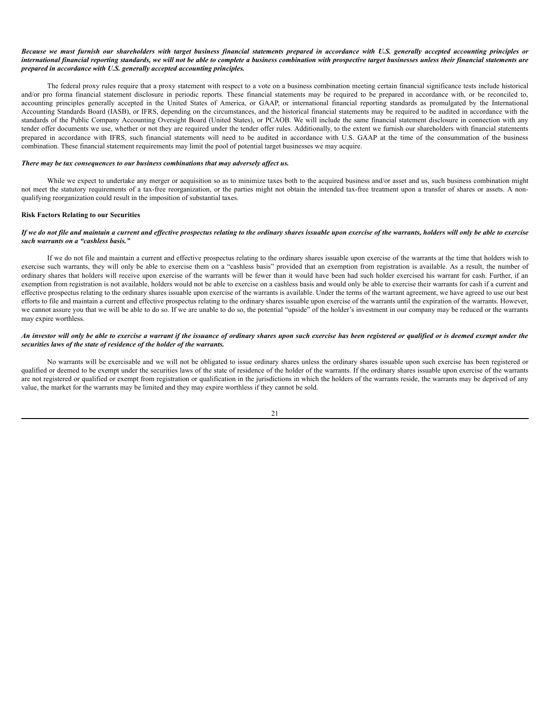#### Because we must furnish our shareholders with target business financial statements prepared in accordance with U.S. generally accepted accounting principles or international financial reporting standards, we will not be able to complete a business combination with prospective target businesses unless their financial statements are *prepared in accordance with U.S. generally accepted accounting principles.*

The federal proxy rules require that a proxy statement with respect to a vote on a business combination meeting certain financial significance tests include historical and/or pro forma financial statement disclosure in periodic reports. These financial statements may be required to be prepared in accordance with, or be reconciled to, accounting principles generally accepted in the United States of America, or GAAP, or international financial reporting standards as promulgated by the International Accounting Standards Board (IASB), or IFRS, depending on the circumstances, and the historical financial statements may be required to be audited in accordance with the standards of the Public Company Accounting Oversight Board (United States), or PCAOB. We will include the same financial statement disclosure in connection with any tender offer documents we use, whether or not they are required under the tender offer rules. Additionally, to the extent we furnish our shareholders with financial statements prepared in accordance with IFRS, such financial statements will need to be audited in accordance with U.S. GAAP at the time of the consummation of the business combination. These financial statement requirements may limit the pool of potential target businesses we may acquire.

#### *There may be tax consequences to our business combinations that may adversely af ect us.*

While we expect to undertake any merger or acquisition so as to minimize taxes both to the acquired business and/or asset and us, such business combination might not meet the statutory requirements of a tax-free reorganization, or the parties might not obtain the intended tax-free treatment upon a transfer of shares or assets. A nonqualifying reorganization could result in the imposition of substantial taxes.

#### **Risk Factors Relating to our Securities**

#### If we do not file and maintain a current and effective prospectus relating to the ordinary shares issuable upon exercise of the warrants, holders will only be able to exercise *such warrants on a "cashless basis."*

If we do not file and maintain a current and effective prospectus relating to the ordinary shares issuable upon exercise of the warrants at the time that holders wish to exercise such warrants, they will only be able to exercise them on a "cashless basis" provided that an exemption from registration is available. As a result, the number of ordinary shares that holders will receive upon exercise of the warrants will be fewer than it would have been had such holder exercised his warrant for cash. Further, if an exemption from registration is not available, holders would not be able to exercise on a cashless basis and would only be able to exercise their warrants for cash if a current and effective prospectus relating to the ordinary shares issuable upon exercise of the warrants is available. Under the terms of the warrant agreement, we have agreed to use our best efforts to file and maintain a current and effective prospectus relating to the ordinary shares issuable upon exercise of the warrants until the expiration of the warrants. However, we cannot assure you that we will be able to do so. If we are unable to do so, the potential "upside" of the holder's investment in our company may be reduced or the warrants may expire worthless.

### An investor will only be able to exercise a warrant if the issuance of ordinary shares upon such exercise has been registered or qualified or is deemed exempt under the *securities laws of the state of residence of the holder of the warrants.*

No warrants will be exercisable and we will not be obligated to issue ordinary shares unless the ordinary shares issuable upon such exercise has been registered or qualified or deemed to be exempt under the securities laws of the state of residence of the holder of the warrants. If the ordinary shares issuable upon exercise of the warrants are not registered or qualified or exempt from registration or qualification in the jurisdictions in which the holders of the warrants reside, the warrants may be deprived of any value, the market for the warrants may be limited and they may expire worthless if they cannot be sold.

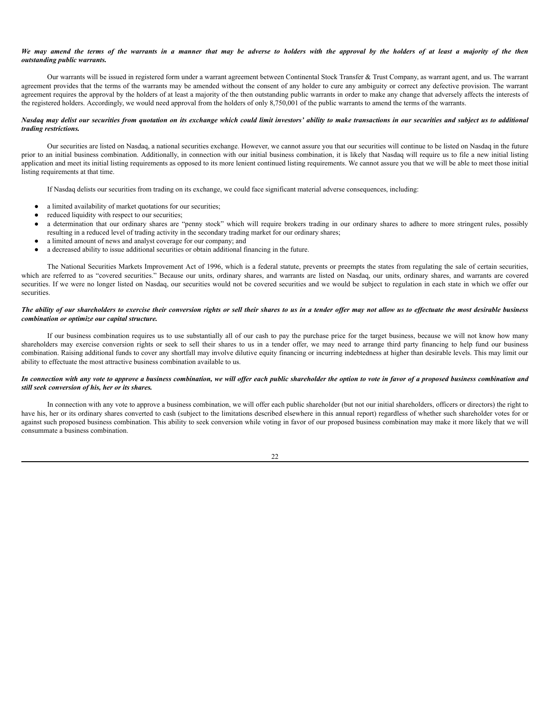#### We may amend the terms of the warrants in a manner that may be adverse to holders with the approval by the holders of at least a majority of the then *outstanding public warrants.*

Our warrants will be issued in registered form under a warrant agreement between Continental Stock Transfer & Trust Company, as warrant agent, and us. The warrant agreement provides that the terms of the warrants may be amended without the consent of any holder to cure any ambiguity or correct any defective provision. The warrant agreement requires the approval by the holders of at least a majority of the then outstanding public warrants in order to make any change that adversely affects the interests of the registered holders. Accordingly, we would need approval from the holders of only 8,750,001 of the public warrants to amend the terms of the warrants.

#### Nasdaq may delist our securities from quotation on its exchange which could limit investors' ability to make transactions in our securities and subject us to additional *trading restrictions.*

Our securities are listed on Nasdaq, a national securities exchange. However, we cannot assure you that our securities will continue to be listed on Nasdaq in the future prior to an initial business combination. Additionally, in connection with our initial business combination, it is likely that Nasdaq will require us to file a new initial listing application and meet its initial listing requirements as opposed to its more lenient continued listing requirements. We cannot assure you that we will be able to meet those initial listing requirements at that time.

If Nasdaq delists our securities from trading on its exchange, we could face significant material adverse consequences, including:

- a limited availability of market quotations for our securities;
- reduced liquidity with respect to our securities;
- a determination that our ordinary shares are "penny stock" which will require brokers trading in our ordinary shares to adhere to more stringent rules, possibly resulting in a reduced level of trading activity in the secondary trading market for our ordinary shares;
- a limited amount of news and analyst coverage for our company; and
- a decreased ability to issue additional securities or obtain additional financing in the future.

The National Securities Markets Improvement Act of 1996, which is a federal statute, prevents or preempts the states from regulating the sale of certain securities, which are referred to as "covered securities." Because our units, ordinary shares, and warrants are listed on Nasdaq, our units, ordinary shares, and warrants are covered securities. If we were no longer listed on Nasdaq, our securities would not be covered securities and we would be subject to regulation in each state in which we offer our securities.

#### The ability of our shareholders to exercise their conversion rights or sell their shares to us in a tender offer may not allow us to effectuate the most desirable business *combination or optimize our capital structure.*

If our business combination requires us to use substantially all of our cash to pay the purchase price for the target business, because we will not know how many shareholders may exercise conversion rights or seek to sell their shares to us in a tender offer, we may need to arrange third party financing to help fund our business combination. Raising additional funds to cover any shortfall may involve dilutive equity financing or incurring indebtedness at higher than desirable levels. This may limit our ability to effectuate the most attractive business combination available to us.

## In connection with any vote to approve a business combination, we will offer each public shareholder the option to vote in favor of a proposed business combination and *still seek conversion of his, her or its shares.*

In connection with any vote to approve a business combination, we will offer each public shareholder (but not our initial shareholders, officers or directors) the right to have his, her or its ordinary shares converted to cash (subject to the limitations described elsewhere in this annual report) regardless of whether such shareholder votes for or against such proposed business combination. This ability to seek conversion while voting in favor of our proposed business combination may make it more likely that we will consummate a business combination.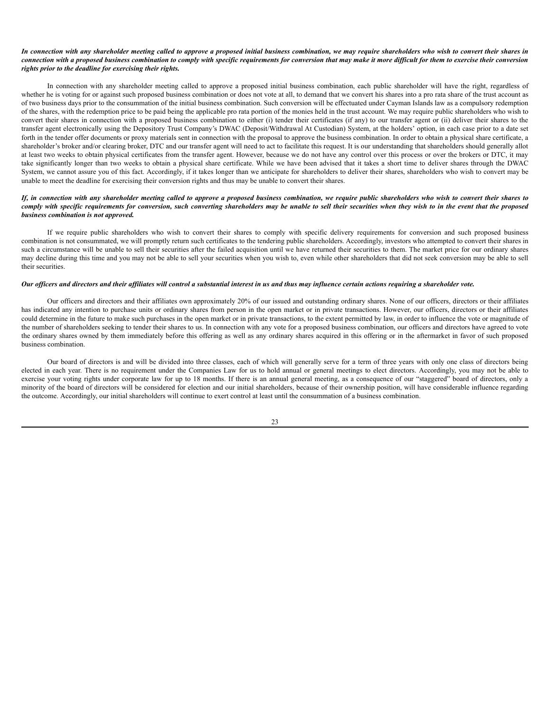#### In connection with any shareholder meeting called to approve a proposed initial business combination, we may require shareholders who wish to convert their shares in connection with a proposed business combination to comply with specific requirements for conversion that may make it more difficult for them to exercise their conversion *rights prior to the deadline for exercising their rights.*

In connection with any shareholder meeting called to approve a proposed initial business combination, each public shareholder will have the right, regardless of whether he is voting for or against such proposed business combination or does not vote at all, to demand that we convert his shares into a pro rata share of the trust account as of two business days prior to the consummation of the initial business combination. Such conversion will be effectuated under Cayman Islands law as a compulsory redemption of the shares, with the redemption price to be paid being the applicable pro rata portion of the monies held in the trust account. We may require public shareholders who wish to convert their shares in connection with a proposed business combination to either (i) tender their certificates (if any) to our transfer agent or (ii) deliver their shares to the transfer agent electronically using the Depository Trust Company's DWAC (Deposit/Withdrawal At Custodian) System, at the holders' option, in each case prior to a date set forth in the tender offer documents or proxy materials sent in connection with the proposal to approve the business combination. In order to obtain a physical share certificate, a shareholder's broker and/or clearing broker, DTC and our transfer agent will need to act to facilitate this request. It is our understanding that shareholders should generally allot at least two weeks to obtain physical certificates from the transfer agent. However, because we do not have any control over this process or over the brokers or DTC, it may take significantly longer than two weeks to obtain a physical share certificate. While we have been advised that it takes a short time to deliver shares through the DWAC System, we cannot assure you of this fact. Accordingly, if it takes longer than we anticipate for shareholders to deliver their shares, shareholders who wish to convert may be unable to meet the deadline for exercising their conversion rights and thus may be unable to convert their shares.

## If, in connection with any shareholder meeting called to approve a proposed business combination, we require public shareholders who wish to convert their shares to comply with specific requirements for conversion, such converting shareholders may be unable to sell their securities when they wish to in the event that the proposed *business combination is not approved.*

If we require public shareholders who wish to convert their shares to comply with specific delivery requirements for conversion and such proposed business combination is not consummated, we will promptly return such certificates to the tendering public shareholders. Accordingly, investors who attempted to convert their shares in such a circumstance will be unable to sell their securities after the failed acquisition until we have returned their securities to them. The market price for our ordinary shares may decline during this time and you may not be able to sell your securities when you wish to, even while other shareholders that did not seek conversion may be able to sell their securities.

#### Our officers and directors and their affiliates will control a substantial interest in us and thus may influence certain actions requiring a shareholder vote.

Our officers and directors and their affiliates own approximately 20% of our issued and outstanding ordinary shares. None of our officers, directors or their affiliates has indicated any intention to purchase units or ordinary shares from person in the open market or in private transactions. However, our officers, directors or their affiliates could determine in the future to make such purchases in the open market or in private transactions, to the extent permitted by law, in order to influence the vote or magnitude of the number of shareholders seeking to tender their shares to us. In connection with any vote for a proposed business combination, our officers and directors have agreed to vote the ordinary shares owned by them immediately before this offering as well as any ordinary shares acquired in this offering or in the aftermarket in favor of such proposed business combination.

Our board of directors is and will be divided into three classes, each of which will generally serve for a term of three years with only one class of directors being elected in each year. There is no requirement under the Companies Law for us to hold annual or general meetings to elect directors. Accordingly, you may not be able to exercise your voting rights under corporate law for up to 18 months. If there is an annual general meeting, as a consequence of our "staggered" board of directors, only a minority of the board of directors will be considered for election and our initial shareholders, because of their ownership position, will have considerable influence regarding the outcome. Accordingly, our initial shareholders will continue to exert control at least until the consummation of a business combination.

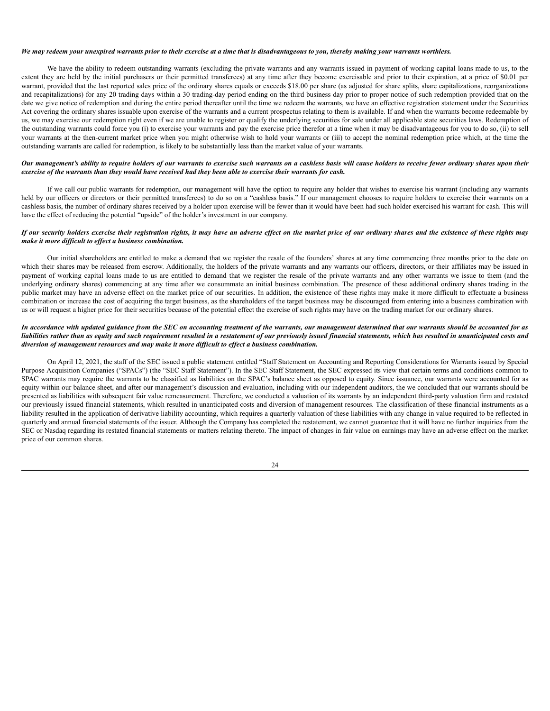#### We may redeem your unexpired warrants prior to their exercise at a time that is disadvantageous to you, thereby making your warrants worthless.

We have the ability to redeem outstanding warrants (excluding the private warrants and any warrants issued in payment of working capital loans made to us, to the extent they are held by the initial purchasers or their permitted transferees) at any time after they become exercisable and prior to their expiration, at a price of \$0.01 per warrant, provided that the last reported sales price of the ordinary shares equals or exceeds \$18.00 per share (as adjusted for share splits, share capitalizations, reorganizations and recapitalizations) for any 20 trading days within a 30 trading-day period ending on the third business day prior to proper notice of such redemption provided that on the date we give notice of redemption and during the entire period thereafter until the time we redeem the warrants, we have an effective registration statement under the Securities Act covering the ordinary shares issuable upon exercise of the warrants and a current prospectus relating to them is available. If and when the warrants become redeemable by us, we may exercise our redemption right even if we are unable to register or qualify the underlying securities for sale under all applicable state securities laws. Redemption of the outstanding warrants could force you (i) to exercise your warrants and pay the exercise price therefor at a time when it may be disadvantageous for you to do so, (ii) to sell your warrants at the then-current market price when you might otherwise wish to hold your warrants or (iii) to accept the nominal redemption price which, at the time the outstanding warrants are called for redemption, is likely to be substantially less than the market value of your warrants.

#### Our management's ability to require holders of our warrants to exercise such warrants on a cashless basis will cause holders to receive fewer ordinary shares upon their exercise of the warrants than they would have received had they been able to exercise their warrants for cash.

If we call our public warrants for redemption, our management will have the option to require any holder that wishes to exercise his warrant (including any warrants held by our officers or directors or their permitted transferees) to do so on a "cashless basis." If our management chooses to require holders to exercise their warrants on a cashless basis, the number of ordinary shares received by a holder upon exercise will be fewer than it would have been had such holder exercised his warrant for cash. This will have the effect of reducing the potential "upside" of the holder's investment in our company.

## If our security holders exercise their registration rights, it may have an adverse effect on the market price of our ordinary shares and the existence of these rights may *make it more dif icult to ef ect a business combination.*

Our initial shareholders are entitled to make a demand that we register the resale of the founders' shares at any time commencing three months prior to the date on which their shares may be released from escrow. Additionally, the holders of the private warrants and any warrants our officers, directors, or their affiliates may be issued in payment of working capital loans made to us are entitled to demand that we register the resale of the private warrants and any other warrants we issue to them (and the underlying ordinary shares) commencing at any time after we consummate an initial business combination. The presence of these additional ordinary shares trading in the public market may have an adverse effect on the market price of our securities. In addition, the existence of these rights may make it more difficult to effectuate a business combination or increase the cost of acquiring the target business, as the shareholders of the target business may be discouraged from entering into a business combination with us or will request a higher price for their securities because of the potential effect the exercise of such rights may have on the trading market for our ordinary shares.

## In accordance with updated guidance from the SEC on accounting treatment of the warrants, our management determined that our warrants should be accounted for as liabilities rather than as equity and such requirement resulted in a restatement of our previously issued financial statements, which has resulted in unanticipated costs and *diversion of management resources and may make it more dif icult to ef ect a business combination.*

On April 12, 2021, the staff of the SEC issued a public statement entitled "Staff Statement on Accounting and Reporting Considerations for Warrants issued by Special Purpose Acquisition Companies ("SPACs") (the "SEC Staff Statement"). In the SEC Staff Statement, the SEC expressed its view that certain terms and conditions common to SPAC warrants may require the warrants to be classified as liabilities on the SPAC's balance sheet as opposed to equity. Since issuance, our warrants were accounted for as equity within our balance sheet, and after our management's discussion and evaluation, including with our independent auditors, the we concluded that our warrants should be presented as liabilities with subsequent fair value remeasurement. Therefore, we conducted a valuation of its warrants by an independent third-party valuation firm and restated our previously issued financial statements, which resulted in unanticipated costs and diversion of management resources. The classification of these financial instruments as a liability resulted in the application of derivative liability accounting, which requires a quarterly valuation of these liabilities with any change in value required to be reflected in quarterly and annual financial statements of the issuer. Although the Company has completed the restatement, we cannot guarantee that it will have no further inquiries from the SEC or Nasdaq regarding its restated financial statements or matters relating thereto. The impact of changes in fair value on earnings may have an adverse effect on the market price of our common shares.

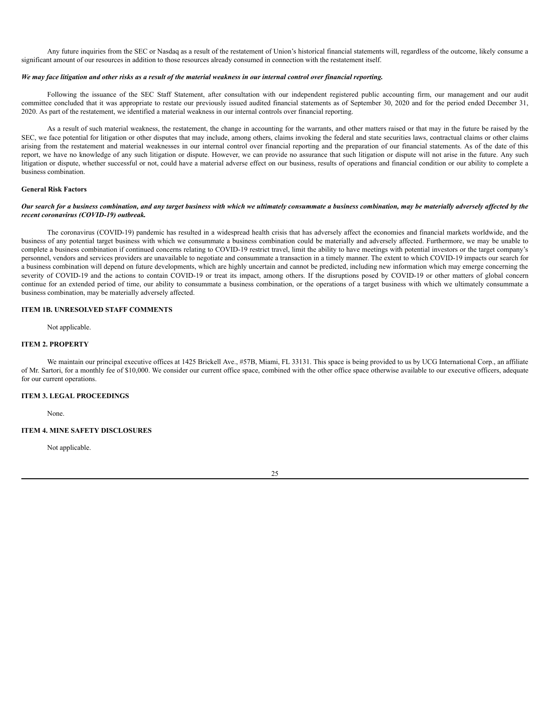Any future inquiries from the SEC or Nasdaq as a result of the restatement of Union's historical financial statements will, regardless of the outcome, likely consume a significant amount of our resources in addition to those resources already consumed in connection with the restatement itself.

## We may face litigation and other risks as a result of the material weakness in our internal control over financial reporting.

Following the issuance of the SEC Staff Statement, after consultation with our independent registered public accounting firm, our management and our audit committee concluded that it was appropriate to restate our previously issued audited financial statements as of September 30, 2020 and for the period ended December 31, 2020. As part of the restatement, we identified a material weakness in our internal controls over financial reporting.

As a result of such material weakness, the restatement, the change in accounting for the warrants, and other matters raised or that may in the future be raised by the SEC, we face potential for litigation or other disputes that may include, among others, claims invoking the federal and state securities laws, contractual claims or other claims arising from the restatement and material weaknesses in our internal control over financial reporting and the preparation of our financial statements. As of the date of this report, we have no knowledge of any such litigation or dispute. However, we can provide no assurance that such litigation or dispute will not arise in the future. Any such litigation or dispute, whether successful or not, could have a material adverse effect on our business, results of operations and financial condition or our ability to complete a business combination.

#### **General Risk Factors**

## Our search for a business combination, and any target business with which we ultimately consummate a business combination, may be materially adversely affected by the *recent coronavirus (COVID-19) outbreak.*

The coronavirus (COVID-19) pandemic has resulted in a widespread health crisis that has adversely affect the economies and financial markets worldwide, and the business of any potential target business with which we consummate a business combination could be materially and adversely affected. Furthermore, we may be unable to complete a business combination if continued concerns relating to COVID-19 restrict travel, limit the ability to have meetings with potential investors or the target company's personnel, vendors and services providers are unavailable to negotiate and consummate a transaction in a timely manner. The extent to which COVID-19 impacts our search for a business combination will depend on future developments, which are highly uncertain and cannot be predicted, including new information which may emerge concerning the severity of COVID-19 and the actions to contain COVID-19 or treat its impact, among others. If the disruptions posed by COVID-19 or other matters of global concern continue for an extended period of time, our ability to consummate a business combination, or the operations of a target business with which we ultimately consummate a business combination, may be materially adversely affected.

## <span id="page-28-0"></span>**ITEM 1B. UNRESOLVED STAFF COMMENTS**

Not applicable.

# <span id="page-28-1"></span>**ITEM 2. PROPERTY**

We maintain our principal executive offices at 1425 Brickell Ave., #57B, Miami, FL 33131. This space is being provided to us by UCG International Corp., an affiliate of Mr. Sartori, for a monthly fee of \$10,000. We consider our current office space, combined with the other office space otherwise available to our executive officers, adequate for our current operations.

## <span id="page-28-2"></span>**ITEM 3. LEGAL PROCEEDINGS**

None.

## <span id="page-28-3"></span>**ITEM 4. MINE SAFETY DISCLOSURES**

Not applicable.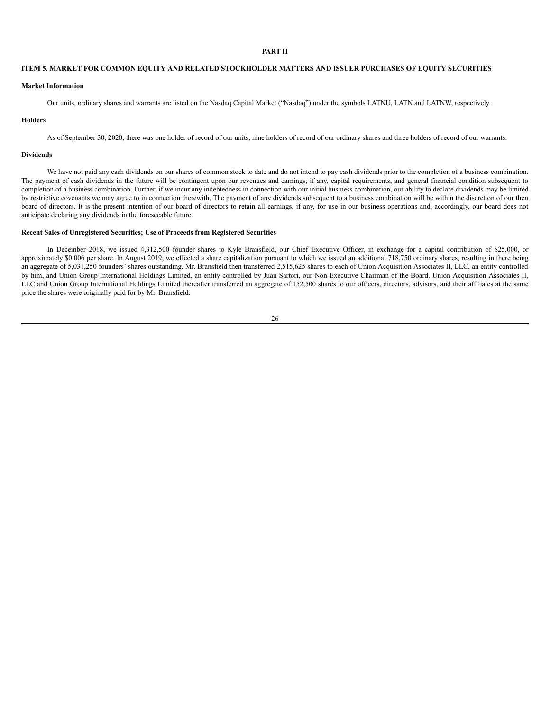# **PART II**

## <span id="page-29-0"></span>**ITEM 5. MARKET FOR COMMON EQUITY AND RELATED STOCKHOLDER MATTERS AND ISSUER PURCHASES OF EQUITY SECURITIES**

## **Market Information**

Our units, ordinary shares and warrants are listed on the Nasdaq Capital Market ("Nasdaq") under the symbols LATNU, LATN and LATNW, respectively.

#### **Holders**

As of September 30, 2020, there was one holder of record of our units, nine holders of record of our ordinary shares and three holders of record of our warrants.

## **Dividends**

We have not paid any cash dividends on our shares of common stock to date and do not intend to pay cash dividends prior to the completion of a business combination. The payment of cash dividends in the future will be contingent upon our revenues and earnings, if any, capital requirements, and general financial condition subsequent to completion of a business combination. Further, if we incur any indebtedness in connection with our initial business combination, our ability to declare dividends may be limited by restrictive covenants we may agree to in connection therewith. The payment of any dividends subsequent to a business combination will be within the discretion of our then board of directors. It is the present intention of our board of directors to retain all earnings, if any, for use in our business operations and, accordingly, our board does not anticipate declaring any dividends in the foreseeable future.

## **Recent Sales of Unregistered Securities; Use of Proceeds from Registered Securities**

In December 2018, we issued 4,312,500 founder shares to Kyle Bransfield, our Chief Executive Officer, in exchange for a capital contribution of \$25,000, or approximately \$0.006 per share. In August 2019, we effected a share capitalization pursuant to which we issued an additional 718,750 ordinary shares, resulting in there being an aggregate of 5,031,250 founders' shares outstanding. Mr. Bransfield then transferred 2,515,625 shares to each of Union Acquisition Associates II, LLC, an entity controlled by him, and Union Group International Holdings Limited, an entity controlled by Juan Sartori, our Non-Executive Chairman of the Board. Union Acquisition Associates II, LLC and Union Group International Holdings Limited thereafter transferred an aggregate of 152,500 shares to our officers, directors, advisors, and their affiliates at the same price the shares were originally paid for by Mr. Bransfield.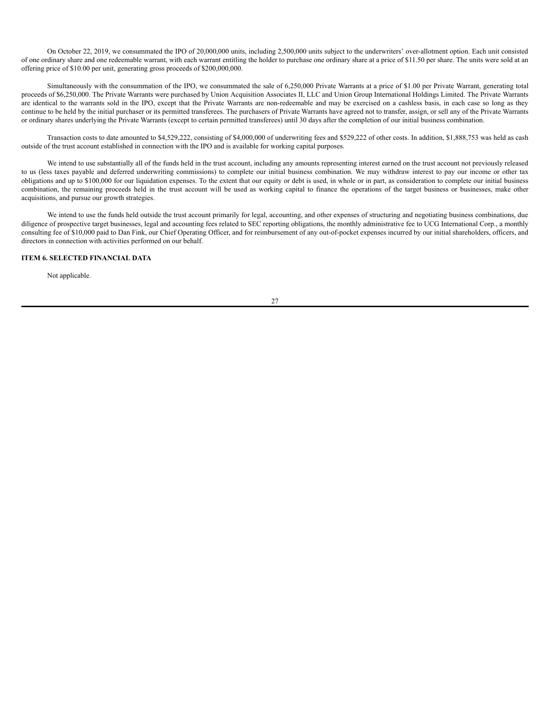On October 22, 2019, we consummated the IPO of 20,000,000 units, including 2,500,000 units subject to the underwriters' over-allotment option. Each unit consisted of one ordinary share and one redeemable warrant, with each warrant entitling the holder to purchase one ordinary share at a price of \$11.50 per share. The units were sold at an offering price of \$10.00 per unit, generating gross proceeds of \$200,000,000.

Simultaneously with the consummation of the IPO, we consummated the sale of 6,250,000 Private Warrants at a price of \$1.00 per Private Warrant, generating total proceeds of \$6,250,000. The Private Warrants were purchased by Union Acquisition Associates II, LLC and Union Group International Holdings Limited. The Private Warrants are identical to the warrants sold in the IPO, except that the Private Warrants are non-redeemable and may be exercised on a cashless basis, in each case so long as they continue to be held by the initial purchaser or its permitted transferees. The purchasers of Private Warrants have agreed not to transfer, assign, or sell any of the Private Warrants or ordinary shares underlying the Private Warrants (except to certain permitted transferees) until 30 days after the completion of our initial business combination.

Transaction costs to date amounted to \$4,529,222, consisting of \$4,000,000 of underwriting fees and \$529,222 of other costs. In addition, \$1,888,753 was held as cash outside of the trust account established in connection with the IPO and is available for working capital purposes.

We intend to use substantially all of the funds held in the trust account, including any amounts representing interest earned on the trust account not previously released to us (less taxes payable and deferred underwriting commissions) to complete our initial business combination. We may withdraw interest to pay our income or other tax obligations and up to \$100,000 for our liquidation expenses. To the extent that our equity or debt is used, in whole or in part, as consideration to complete our initial business combination, the remaining proceeds held in the trust account will be used as working capital to finance the operations of the target business or businesses, make other acquisitions, and pursue our growth strategies.

We intend to use the funds held outside the trust account primarily for legal, accounting, and other expenses of structuring and negotiating business combinations, due diligence of prospective target businesses, legal and accounting fees related to SEC reporting obligations, the monthly administrative fee to UCG International Corp., a monthly consulting fee of \$10,000 paid to Dan Fink, our Chief Operating Officer, and for reimbursement of any out-of-pocket expenses incurred by our initial shareholders, officers, and directors in connection with activities performed on our behalf.

## <span id="page-30-0"></span>**ITEM 6. SELECTED FINANCIAL DATA**

Not applicable.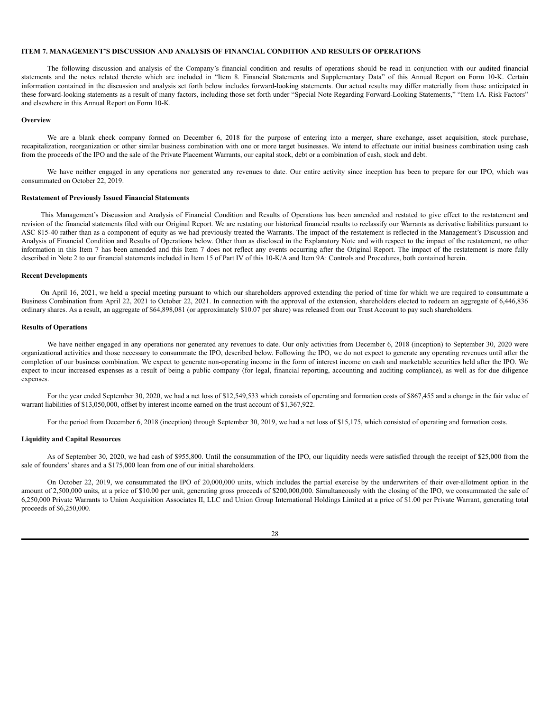## <span id="page-31-0"></span>**ITEM 7. MANAGEMENT'S DISCUSSION AND ANALYSIS OF FINANCIAL CONDITION AND RESULTS OF OPERATIONS**

The following discussion and analysis of the Company's financial condition and results of operations should be read in conjunction with our audited financial statements and the notes related thereto which are included in "Item 8. Financial Statements and Supplementary Data" of this Annual Report on Form 10-K. Certain information contained in the discussion and analysis set forth below includes forward-looking statements. Our actual results may differ materially from those anticipated in these forward-looking statements as a result of many factors, including those set forth under "Special Note Regarding Forward-Looking Statements," "Item 1A. Risk Factors" and elsewhere in this Annual Report on Form 10-K.

#### **Overview**

We are a blank check company formed on December 6, 2018 for the purpose of entering into a merger, share exchange, asset acquisition, stock purchase, recapitalization, reorganization or other similar business combination with one or more target businesses. We intend to effectuate our initial business combination using cash from the proceeds of the IPO and the sale of the Private Placement Warrants, our capital stock, debt or a combination of cash, stock and debt.

We have neither engaged in any operations nor generated any revenues to date. Our entire activity since inception has been to prepare for our IPO, which was consummated on October 22, 2019.

#### **Restatement of Previously Issued Financial Statements**

This Management's Discussion and Analysis of Financial Condition and Results of Operations has been amended and restated to give effect to the restatement and revision of the financial statements filed with our Original Report. We are restating our historical financial results to reclassify our Warrants as derivative liabilities pursuant to ASC 815-40 rather than as a component of equity as we had previously treated the Warrants. The impact of the restatement is reflected in the Management's Discussion and Analysis of Financial Condition and Results of Operations below. Other than as disclosed in the Explanatory Note and with respect to the impact of the restatement, no other information in this Item 7 has been amended and this Item 7 does not reflect any events occurring after the Original Report. The impact of the restatement is more fully described in Note 2 to our financial statements included in Item 15 of Part IV of this 10-K/A and Item 9A: Controls and Procedures, both contained herein.

## **Recent Developments**

On April 16, 2021, we held a special meeting pursuant to which our shareholders approved extending the period of time for which we are required to consummate a Business Combination from April 22, 2021 to October 22, 2021. In connection with the approval of the extension, shareholders elected to redeem an aggregate of 6,446,836 ordinary shares. As a result, an aggregate of \$64,898,081 (or approximately \$10.07 per share) was released from our Trust Account to pay such shareholders.

## **Results of Operations**

We have neither engaged in any operations nor generated any revenues to date. Our only activities from December 6, 2018 (inception) to September 30, 2020 were organizational activities and those necessary to consummate the IPO, described below. Following the IPO, we do not expect to generate any operating revenues until after the completion of our business combination. We expect to generate non-operating income in the form of interest income on cash and marketable securities held after the IPO. We expect to incur increased expenses as a result of being a public company (for legal, financial reporting, accounting and auditing compliance), as well as for due diligence expenses.

For the year ended September 30, 2020, we had a net loss of \$12,549,533 which consists of operating and formation costs of \$867,455 and a change in the fair value of warrant liabilities of \$13,050,000, offset by interest income earned on the trust account of \$1,367,922.

For the period from December 6, 2018 (inception) through September 30, 2019, we had a net loss of \$15,175, which consisted of operating and formation costs.

#### **Liquidity and Capital Resources**

As of September 30, 2020, we had cash of \$955,800. Until the consummation of the IPO, our liquidity needs were satisfied through the receipt of \$25,000 from the sale of founders' shares and a \$175,000 loan from one of our initial shareholders.

On October 22, 2019, we consummated the IPO of 20,000,000 units, which includes the partial exercise by the underwriters of their over-allotment option in the amount of 2,500,000 units, at a price of \$10.00 per unit, generating gross proceeds of \$200,000,000. Simultaneously with the closing of the IPO, we consummated the sale of 6,250,000 Private Warrants to Union Acquisition Associates II, LLC and Union Group International Holdings Limited at a price of \$1.00 per Private Warrant, generating total proceeds of \$6,250,000.

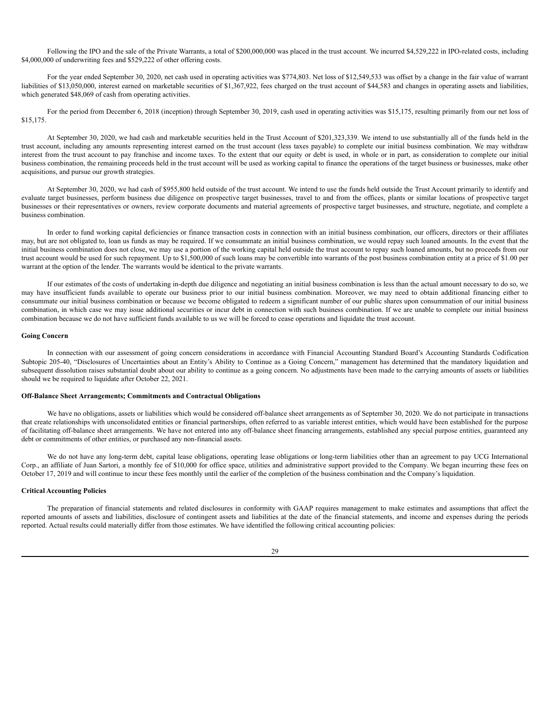Following the IPO and the sale of the Private Warrants, a total of \$200,000,000 was placed in the trust account. We incurred \$4,529,222 in IPO-related costs, including \$4,000,000 of underwriting fees and \$529,222 of other offering costs.

For the year ended September 30, 2020, net cash used in operating activities was \$774,803. Net loss of \$12,549,533 was offset by a change in the fair value of warrant liabilities of \$13,050,000, interest earned on marketable securities of \$1,367,922, fees charged on the trust account of \$44,583 and changes in operating assets and liabilities, which generated \$48,069 of cash from operating activities.

For the period from December 6, 2018 (inception) through September 30, 2019, cash used in operating activities was \$15,175, resulting primarily from our net loss of \$15,175.

At September 30, 2020, we had cash and marketable securities held in the Trust Account of \$201,323,339. We intend to use substantially all of the funds held in the trust account, including any amounts representing interest earned on the trust account (less taxes payable) to complete our initial business combination. We may withdraw interest from the trust account to pay franchise and income taxes. To the extent that our equity or debt is used, in whole or in part, as consideration to complete our initial business combination, the remaining proceeds held in the trust account will be used as working capital to finance the operations of the target business or businesses, make other acquisitions, and pursue our growth strategies.

At September 30, 2020, we had cash of \$955,800 held outside of the trust account. We intend to use the funds held outside the Trust Account primarily to identify and evaluate target businesses, perform business due diligence on prospective target businesses, travel to and from the offices, plants or similar locations of prospective target businesses or their representatives or owners, review corporate documents and material agreements of prospective target businesses, and structure, negotiate, and complete a business combination.

In order to fund working capital deficiencies or finance transaction costs in connection with an initial business combination, our officers, directors or their affiliates may, but are not obligated to, loan us funds as may be required. If we consummate an initial business combination, we would repay such loaned amounts. In the event that the initial business combination does not close, we may use a portion of the working capital held outside the trust account to repay such loaned amounts, but no proceeds from our trust account would be used for such repayment. Up to \$1,500,000 of such loans may be convertible into warrants of the post business combination entity at a price of \$1.00 per warrant at the option of the lender. The warrants would be identical to the private warrants.

If our estimates of the costs of undertaking in-depth due diligence and negotiating an initial business combination is less than the actual amount necessary to do so, we may have insufficient funds available to operate our business prior to our initial business combination. Moreover, we may need to obtain additional financing either to consummate our initial business combination or because we become obligated to redeem a significant number of our public shares upon consummation of our initial business combination, in which case we may issue additional securities or incur debt in connection with such business combination. If we are unable to complete our initial business combination because we do not have sufficient funds available to us we will be forced to cease operations and liquidate the trust account.

#### **Going Concern**

In connection with our assessment of going concern considerations in accordance with Financial Accounting Standard Board's Accounting Standards Codification Subtopic 205-40, "Disclosures of Uncertainties about an Entity's Ability to Continue as a Going Concern," management has determined that the mandatory liquidation and subsequent dissolution raises substantial doubt about our ability to continue as a going concern. No adjustments have been made to the carrying amounts of assets or liabilities should we be required to liquidate after October 22, 2021.

#### **Off-Balance Sheet Arrangements; Commitments and Contractual Obligations**

We have no obligations, assets or liabilities which would be considered off-balance sheet arrangements as of September 30, 2020. We do not participate in transactions that create relationships with unconsolidated entities or financial partnerships, often referred to as variable interest entities, which would have been established for the purpose of facilitating off-balance sheet arrangements. We have not entered into any off-balance sheet financing arrangements, established any special purpose entities, guaranteed any debt or commitments of other entities, or purchased any non-financial assets.

We do not have any long-term debt, capital lease obligations, operating lease obligations or long-term liabilities other than an agreement to pay UCG International Corp., an affiliate of Juan Sartori, a monthly fee of \$10,000 for office space, utilities and administrative support provided to the Company. We began incurring these fees on October 17, 2019 and will continue to incur these fees monthly until the earlier of the completion of the business combination and the Company's liquidation.

## **Critical Accounting Policies**

The preparation of financial statements and related disclosures in conformity with GAAP requires management to make estimates and assumptions that affect the reported amounts of assets and liabilities, disclosure of contingent assets and liabilities at the date of the financial statements, and income and expenses during the periods reported. Actual results could materially differ from those estimates. We have identified the following critical accounting policies: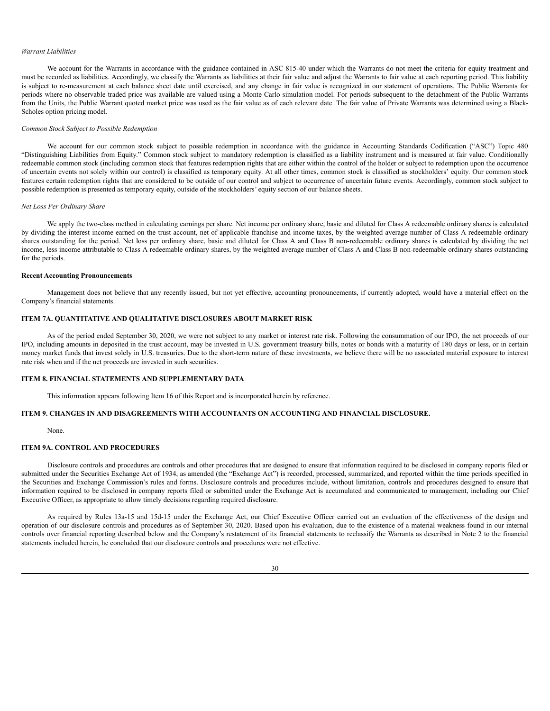#### *Warrant Liabilities*

We account for the Warrants in accordance with the guidance contained in ASC 815-40 under which the Warrants do not meet the criteria for equity treatment and must be recorded as liabilities. Accordingly, we classify the Warrants as liabilities at their fair value and adjust the Warrants to fair value at each reporting period. This liability is subject to re-measurement at each balance sheet date until exercised, and any change in fair value is recognized in our statement of operations. The Public Warrants for periods where no observable traded price was available are valued using a Monte Carlo simulation model. For periods subsequent to the detachment of the Public Warrants from the Units, the Public Warrant quoted market price was used as the fair value as of each relevant date. The fair value of Private Warrants was determined using a Black-Scholes option pricing model.

## *Common Stock Subject to Possible Redemption*

We account for our common stock subject to possible redemption in accordance with the guidance in Accounting Standards Codification ("ASC") Topic 480 "Distinguishing Liabilities from Equity." Common stock subject to mandatory redemption is classified as a liability instrument and is measured at fair value. Conditionally redeemable common stock (including common stock that features redemption rights that are either within the control of the holder or subject to redemption upon the occurrence of uncertain events not solely within our control) is classified as temporary equity. At all other times, common stock is classified as stockholders' equity. Our common stock features certain redemption rights that are considered to be outside of our control and subject to occurrence of uncertain future events. Accordingly, common stock subject to possible redemption is presented as temporary equity, outside of the stockholders' equity section of our balance sheets.

## *Net Loss Per Ordinary Share*

We apply the two-class method in calculating earnings per share. Net income per ordinary share, basic and diluted for Class A redeemable ordinary shares is calculated by dividing the interest income earned on the trust account, net of applicable franchise and income taxes, by the weighted average number of Class A redeemable ordinary shares outstanding for the period. Net loss per ordinary share, basic and diluted for Class A and Class B non-redeemable ordinary shares is calculated by dividing the net income, less income attributable to Class A redeemable ordinary shares, by the weighted average number of Class A and Class B non-redeemable ordinary shares outstanding for the periods.

## **Recent Accounting Pronouncements**

Management does not believe that any recently issued, but not yet effective, accounting pronouncements, if currently adopted, would have a material effect on the Company's financial statements.

## <span id="page-33-0"></span>**ITEM 7A. QUANTITATIVE AND QUALITATIVE DISCLOSURES ABOUT MARKET RISK**

As of the period ended September 30, 2020, we were not subject to any market or interest rate risk. Following the consummation of our IPO, the net proceeds of our IPO, including amounts in deposited in the trust account, may be invested in U.S. government treasury bills, notes or bonds with a maturity of 180 days or less, or in certain money market funds that invest solely in U.S. treasuries. Due to the short-term nature of these investments, we believe there will be no associated material exposure to interest rate risk when and if the net proceeds are invested in such securities.

#### <span id="page-33-1"></span>**ITEM 8. FINANCIAL STATEMENTS AND SUPPLEMENTARY DATA**

This information appears following Item 16 of this Report and is incorporated herein by reference.

# <span id="page-33-2"></span>**ITEM 9. CHANGES IN AND DISAGREEMENTS WITH ACCOUNTANTS ON ACCOUNTING AND FINANCIAL DISCLOSURE.**

## None.

## <span id="page-33-3"></span>**ITEM 9A. CONTROL AND PROCEDURES**

Disclosure controls and procedures are controls and other procedures that are designed to ensure that information required to be disclosed in company reports filed or submitted under the Securities Exchange Act of 1934, as amended (the "Exchange Act") is recorded, processed, summarized, and reported within the time periods specified in the Securities and Exchange Commission's rules and forms. Disclosure controls and procedures include, without limitation, controls and procedures designed to ensure that information required to be disclosed in company reports filed or submitted under the Exchange Act is accumulated and communicated to management, including our Chief Executive Officer, as appropriate to allow timely decisions regarding required disclosure.

As required by Rules 13a-15 and 15d-15 under the Exchange Act, our Chief Executive Officer carried out an evaluation of the effectiveness of the design and operation of our disclosure controls and procedures as of September 30, 2020. Based upon his evaluation, due to the existence of a material weakness found in our internal controls over financial reporting described below and the Company's restatement of its financial statements to reclassify the Warrants as described in Note 2 to the financial statements included herein, he concluded that our disclosure controls and procedures were not effective.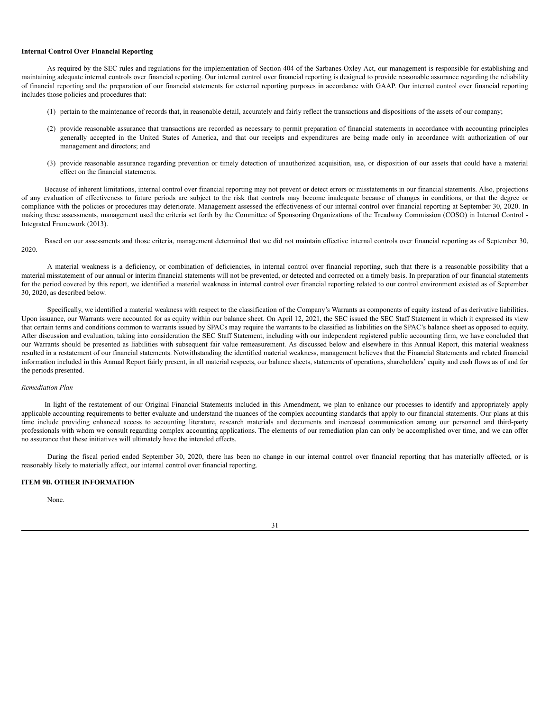#### **Internal Control Over Financial Reporting**

As required by the SEC rules and regulations for the implementation of Section 404 of the Sarbanes-Oxley Act, our management is responsible for establishing and maintaining adequate internal controls over financial reporting. Our internal control over financial reporting is designed to provide reasonable assurance regarding the reliability of financial reporting and the preparation of our financial statements for external reporting purposes in accordance with GAAP. Our internal control over financial reporting includes those policies and procedures that:

- (1) pertain to the maintenance of records that, in reasonable detail, accurately and fairly reflect the transactions and dispositions of the assets of our company;
- (2) provide reasonable assurance that transactions are recorded as necessary to permit preparation of financial statements in accordance with accounting principles generally accepted in the United States of America, and that our receipts and expenditures are being made only in accordance with authorization of our management and directors; and
- (3) provide reasonable assurance regarding prevention or timely detection of unauthorized acquisition, use, or disposition of our assets that could have a material effect on the financial statements.

Because of inherent limitations, internal control over financial reporting may not prevent or detect errors or misstatements in our financial statements. Also, projections of any evaluation of effectiveness to future periods are subject to the risk that controls may become inadequate because of changes in conditions, or that the degree or compliance with the policies or procedures may deteriorate. Management assessed the effectiveness of our internal control over financial reporting at September 30, 2020. In making these assessments, management used the criteria set forth by the Committee of Sponsoring Organizations of the Treadway Commission (COSO) in Internal Control - Integrated Framework (2013).

Based on our assessments and those criteria, management determined that we did not maintain effective internal controls over financial reporting as of September 30, 2020.

A material weakness is a deficiency, or combination of deficiencies, in internal control over financial reporting, such that there is a reasonable possibility that a material misstatement of our annual or interim financial statements will not be prevented, or detected and corrected on a timely basis. In preparation of our financial statements for the period covered by this report, we identified a material weakness in internal control over financial reporting related to our control environment existed as of September 30, 2020, as described below.

Specifically, we identified a material weakness with respect to the classification of the Company's Warrants as components of equity instead of as derivative liabilities. Upon issuance, our Warrants were accounted for as equity within our balance sheet. On April 12, 2021, the SEC issued the SEC Staff Statement in which it expressed its view that certain terms and conditions common to warrants issued by SPACs may require the warrants to be classified as liabilities on the SPAC's balance sheet as opposed to equity. After discussion and evaluation, taking into consideration the SEC Staff Statement, including with our independent registered public accounting firm, we have concluded that our Warrants should be presented as liabilities with subsequent fair value remeasurement. As discussed below and elsewhere in this Annual Report, this material weakness resulted in a restatement of our financial statements. Notwithstanding the identified material weakness, management believes that the Financial Statements and related financial information included in this Annual Report fairly present, in all material respects, our balance sheets, statements of operations, shareholders' equity and cash flows as of and for the periods presented.

#### *Remediation Plan*

In light of the restatement of our Original Financial Statements included in this Amendment, we plan to enhance our processes to identify and appropriately apply applicable accounting requirements to better evaluate and understand the nuances of the complex accounting standards that apply to our financial statements. Our plans at this time include providing enhanced access to accounting literature, research materials and documents and increased communication among our personnel and third-party professionals with whom we consult regarding complex accounting applications. The elements of our remediation plan can only be accomplished over time, and we can offer no assurance that these initiatives will ultimately have the intended effects.

During the fiscal period ended September 30, 2020, there has been no change in our internal control over financial reporting that has materially affected, or is reasonably likely to materially affect, our internal control over financial reporting.

# <span id="page-34-0"></span>**ITEM 9B. OTHER INFORMATION**

None.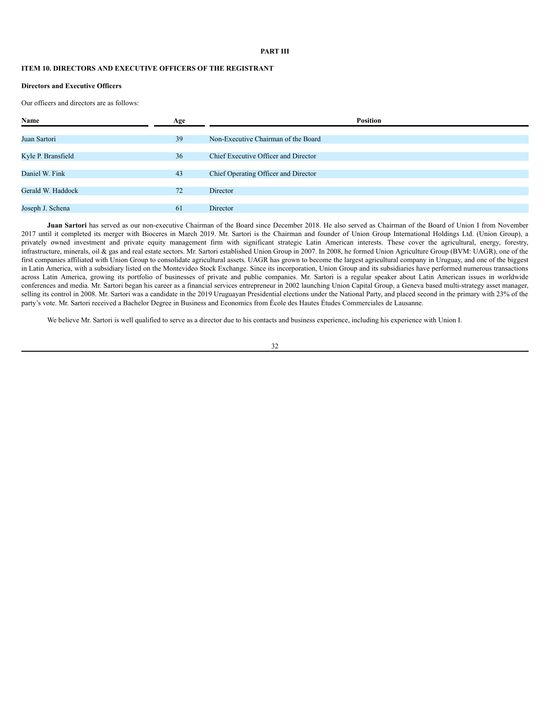## **PART III**

## <span id="page-35-0"></span>**ITEM 10. DIRECTORS AND EXECUTIVE OFFICERS OF THE REGISTRANT**

## **Directors and Executive Officers**

Our officers and directors are as follows:

| Name               | Age | <b>Position</b>                      |  |  |  |  |  |
|--------------------|-----|--------------------------------------|--|--|--|--|--|
|                    |     |                                      |  |  |  |  |  |
| Juan Sartori       | 39  | Non-Executive Chairman of the Board  |  |  |  |  |  |
|                    |     |                                      |  |  |  |  |  |
| Kyle P. Bransfield | 36  | Chief Executive Officer and Director |  |  |  |  |  |
|                    |     |                                      |  |  |  |  |  |
| Daniel W. Fink     | 43  | Chief Operating Officer and Director |  |  |  |  |  |
|                    |     |                                      |  |  |  |  |  |
| Gerald W. Haddock  | 72  | Director                             |  |  |  |  |  |
|                    |     |                                      |  |  |  |  |  |
| Joseph J. Schena   | 61  | Director                             |  |  |  |  |  |
|                    |     |                                      |  |  |  |  |  |

**Juan Sartori** has served as our non-executive Chairman of the Board since December 2018. He also served as Chairman of the Board of Union I from November 2017 until it completed its merger with Bioceres in March 2019. Mr. Sartori is the Chairman and founder of Union Group International Holdings Ltd. (Union Group), a privately owned investment and private equity management firm with significant strategic Latin American interests. These cover the agricultural, energy, forestry, infrastructure, minerals, oil & gas and real estate sectors. Mr. Sartori established Union Group in 2007. In 2008, he formed Union Agriculture Group (BVM: UAGR), one of the first companies affiliated with Union Group to consolidate agricultural assets. UAGR has grown to become the largest agricultural company in Uruguay, and one of the biggest in Latin America, with a subsidiary listed on the Montevideo Stock Exchange. Since its incorporation, Union Group and its subsidiaries have performed numerous transactions across Latin America, growing its portfolio of businesses of private and public companies. Mr. Sartori is a regular speaker about Latin American issues in worldwide conferences and media. Mr. Sartori began his career as a financial services entrepreneur in 2002 launching Union Capital Group, a Geneva based multi-strategy asset manager, selling its control in 2008. Mr. Sartori was a candidate in the 2019 Uruguayan Presidential elections under the National Party, and placed second in the primary with 23% of the party's vote. Mr. Sartori received a Bachelor Degree in Business and Economics from École des Hautes Études Commerciales de Lausanne.

We believe Mr. Sartori is well qualified to serve as a director due to his contacts and business experience, including his experience with Union I.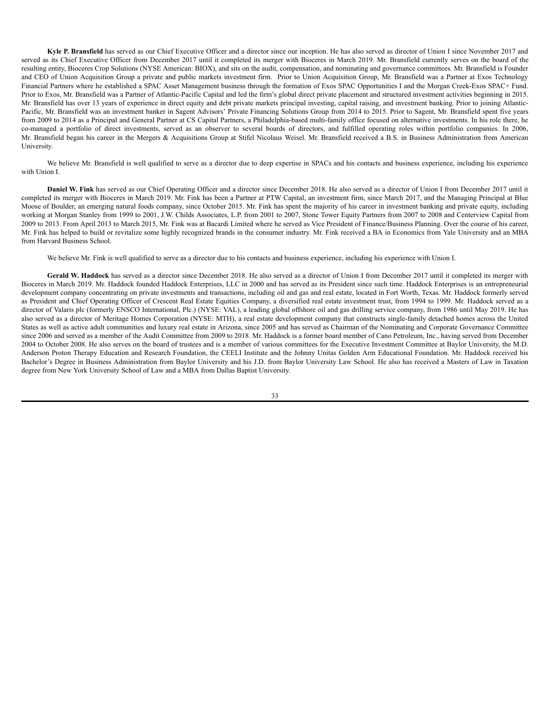**Kyle P. Bransfield** has served as our Chief Executive Officer and a director since our inception. He has also served as director of Union I since November 2017 and served as its Chief Executive Officer from December 2017 until it completed its merger with Bioceres in March 2019. Mr. Bransfield currently serves on the board of the resulting entity, Bioceres Crop Solutions (NYSE American: BIOX), and sits on the audit, compensation, and nominating and governance committees. Mr. Bransfield is Founder and CEO of Union Acquisition Group a private and public markets investment firm. Prior to Union Acquisition Group, Mr. Bransfield was a Partner at Exos Technology Financial Partners where he established a SPAC Asset Management business through the formation of Exos SPAC Opportunities I and the Morgan Creek-Exos SPAC+ Fund. Prior to Exos, Mr. Bransfield was a Partner of Atlantic-Pacific Capital and led the firm's global direct private placement and structured investment activities beginning in 2015. Mr. Bransfield has over 13 years of experience in direct equity and debt private markets principal investing, capital raising, and investment banking. Prior to joining Atlantic-Pacific, Mr. Bransfield was an investment banker in Sagent Advisors' Private Financing Solutions Group from 2014 to 2015. Prior to Sagent, Mr. Bransfield spent five years from 2009 to 2014 as a Principal and General Partner at CS Capital Partners, a Philadelphia-based multi-family office focused on alternative investments. In his role there, he co-managed a portfolio of direct investments, served as an observer to several boards of directors, and fulfilled operating roles within portfolio companies. In 2006, Mr. Bransfield began his career in the Mergers & Acquisitions Group at Stifel Nicolaus Weisel. Mr. Bransfield received a B.S. in Business Administration from American University.

We believe Mr. Bransfield is well qualified to serve as a director due to deep expertise in SPACs and his contacts and business experience, including his experience with Union I.

**Daniel W. Fink** has served as our Chief Operating Officer and a director since December 2018. He also served as a director of Union I from December 2017 until it completed its merger with Bioceres in March 2019. Mr. Fink has been a Partner at PTW Capital, an investment firm, since March 2017, and the Managing Principal at Blue Moose of Boulder, an emerging natural foods company, since October 2015. Mr. Fink has spent the majority of his career in investment banking and private equity, including working at Morgan Stanley from 1999 to 2001, J.W. Childs Associates, L.P. from 2001 to 2007, Stone Tower Equity Partners from 2007 to 2008 and Centerview Capital from 2009 to 2013. From April 2013 to March 2015, Mr. Fink was at Bacardi Limited where he served as Vice President of Finance/Business Planning. Over the course of his career, Mr. Fink has helped to build or revitalize some highly recognized brands in the consumer industry. Mr. Fink received a BA in Economics from Yale University and an MBA from Harvard Business School.

We believe Mr. Fink is well qualified to serve as a director due to his contacts and business experience, including his experience with Union I.

**Gerald W. Haddock** has served as a director since December 2018. He also served as a director of Union I from December 2017 until it completed its merger with Bioceres in March 2019. Mr. Haddock founded Haddock Enterprises, LLC in 2000 and has served as its President since such time. Haddock Enterprises is an entrepreneurial development company concentrating on private investments and transactions, including oil and gas and real estate, located in Fort Worth, Texas. Mr. Haddock formerly served as President and Chief Operating Officer of Crescent Real Estate Equities Company, a diversified real estate investment trust, from 1994 to 1999. Mr. Haddock served as a director of Valaris plc (formerly ENSCO International, Plc.) (NYSE: VAL), a leading global offshore oil and gas drilling service company, from 1986 until May 2019. He has also served as a director of Meritage Homes Corporation (NYSE: MTH), a real estate development company that constructs single-family detached homes across the United States as well as active adult communities and luxury real estate in Arizona, since 2005 and has served as Chairman of the Nominating and Corporate Governance Committee since 2006 and served as a member of the Audit Committee from 2009 to 2018. Mr. Haddock is a former board member of Cano Petroleum, Inc., having served from December 2004 to October 2008. He also serves on the board of trustees and is a member of various committees for the Executive Investment Committee at Baylor University, the M.D. Anderson Proton Therapy Education and Research Foundation, the CEELI Institute and the Johnny Unitas Golden Arm Educational Foundation. Mr. Haddock received his Bachelor's Degree in Business Administration from Baylor University and his J.D. from Baylor University Law School. He also has received a Masters of Law in Taxation degree from New York University School of Law and a MBA from Dallas Baptist University.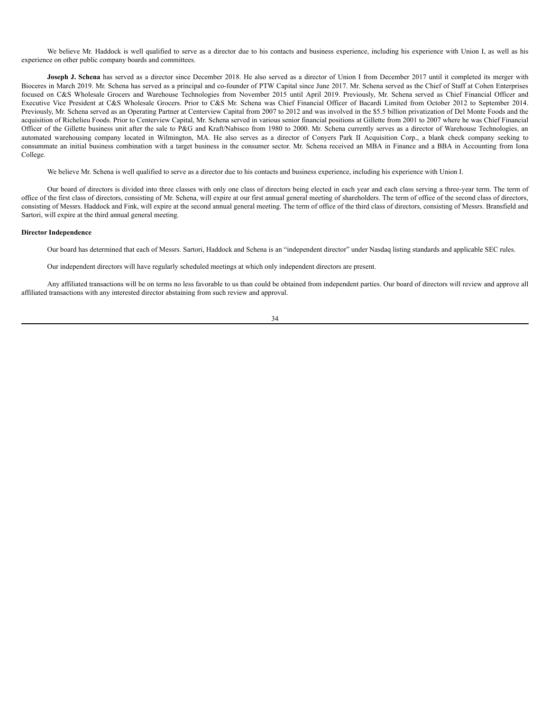We believe Mr. Haddock is well qualified to serve as a director due to his contacts and business experience, including his experience with Union I, as well as his experience on other public company boards and committees.

**Joseph J. Schena** has served as a director since December 2018. He also served as a director of Union I from December 2017 until it completed its merger with Bioceres in March 2019. Mr. Schena has served as a principal and co-founder of PTW Capital since June 2017. Mr. Schena served as the Chief of Staff at Cohen Enterprises focused on C&S Wholesale Grocers and Warehouse Technologies from November 2015 until April 2019. Previously, Mr. Schena served as Chief Financial Officer and Executive Vice President at C&S Wholesale Grocers. Prior to C&S Mr. Schena was Chief Financial Officer of Bacardi Limited from October 2012 to September 2014. Previously, Mr. Schena served as an Operating Partner at Centerview Capital from 2007 to 2012 and was involved in the \$5.5 billion privatization of Del Monte Foods and the acquisition of Richelieu Foods. Prior to Centerview Capital, Mr. Schena served in various senior financial positions at Gillette from 2001 to 2007 where he was Chief Financial Officer of the Gillette business unit after the sale to P&G and Kraft/Nabisco from 1980 to 2000. Mr. Schena currently serves as a director of Warehouse Technologies, an automated warehousing company located in Wilmington, MA. He also serves as a director of Conyers Park II Acquisition Corp., a blank check company seeking to consummate an initial business combination with a target business in the consumer sector. Mr. Schena received an MBA in Finance and a BBA in Accounting from Iona College.

We believe Mr. Schena is well qualified to serve as a director due to his contacts and business experience, including his experience with Union I.

Our board of directors is divided into three classes with only one class of directors being elected in each year and each class serving a three-year term. The term of office of the first class of directors, consisting of Mr. Schena, will expire at our first annual general meeting of shareholders. The term of office of the second class of directors, consisting of Messrs. Haddock and Fink, will expire at the second annual general meeting. The term of office of the third class of directors, consisting of Messrs. Bransfield and Sartori, will expire at the third annual general meeting.

## **Director Independence**

Our board has determined that each of Messrs. Sartori, Haddock and Schena is an "independent director" under Nasdaq listing standards and applicable SEC rules.

Our independent directors will have regularly scheduled meetings at which only independent directors are present.

Any affiliated transactions will be on terms no less favorable to us than could be obtained from independent parties. Our board of directors will review and approve all affiliated transactions with any interested director abstaining from such review and approval.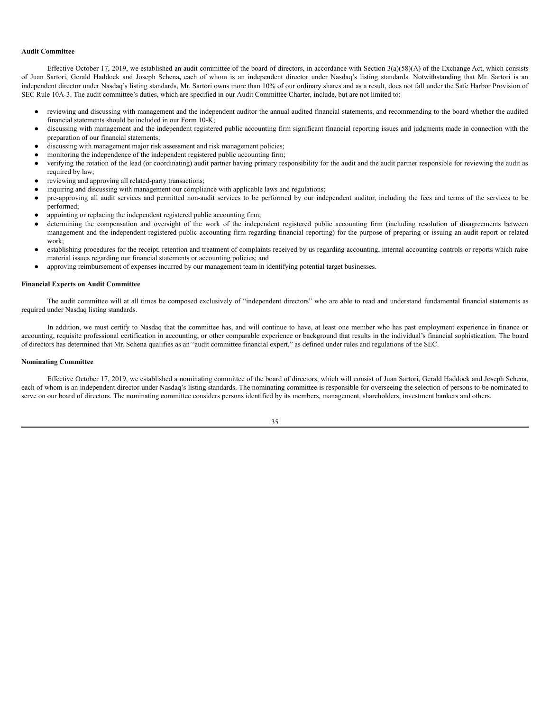#### **Audit Committee**

Effective October 17, 2019, we established an audit committee of the board of directors, in accordance with Section 3(a)(58)(A) of the Exchange Act, which consists of Juan Sartori, Gerald Haddock and Joseph Schena**,** each of whom is an independent director under Nasdaq's listing standards. Notwithstanding that Mr. Sartori is an independent director under Nasdaq's listing standards, Mr. Sartori owns more than 10% of our ordinary shares and as a result, does not fall under the Safe Harbor Provision of SEC Rule 10A-3. The audit committee's duties, which are specified in our Audit Committee Charter, include, but are not limited to:

- reviewing and discussing with management and the independent auditor the annual audited financial statements, and recommending to the board whether the audited financial statements should be included in our Form 10-K;
- discussing with management and the independent registered public accounting firm significant financial reporting issues and judgments made in connection with the preparation of our financial statements;
- discussing with management major risk assessment and risk management policies;
- monitoring the independence of the independent registered public accounting firm;
- verifying the rotation of the lead (or coordinating) audit partner having primary responsibility for the audit and the audit partner responsible for reviewing the audit as required by law;
- reviewing and approving all related-party transactions;
- inquiring and discussing with management our compliance with applicable laws and regulations;
- pre-approving all audit services and permitted non-audit services to be performed by our independent auditor, including the fees and terms of the services to be performed;
- appointing or replacing the independent registered public accounting firm;
- determining the compensation and oversight of the work of the independent registered public accounting firm (including resolution of disagreements between management and the independent registered public accounting firm regarding financial reporting) for the purpose of preparing or issuing an audit report or related work;
- establishing procedures for the receipt, retention and treatment of complaints received by us regarding accounting, internal accounting controls or reports which raise material issues regarding our financial statements or accounting policies; and
- approving reimbursement of expenses incurred by our management team in identifying potential target businesses.

#### **Financial Experts on Audit Committee**

The audit committee will at all times be composed exclusively of "independent directors" who are able to read and understand fundamental financial statements as required under Nasdaq listing standards.

In addition, we must certify to Nasdaq that the committee has, and will continue to have, at least one member who has past employment experience in finance or accounting, requisite professional certification in accounting, or other comparable experience or background that results in the individual's financial sophistication. The board of directors has determined that Mr. Schena qualifies as an "audit committee financial expert," as defined under rules and regulations of the SEC.

#### **Nominating Committee**

Effective October 17, 2019, we established a nominating committee of the board of directors, which will consist of Juan Sartori, Gerald Haddock and Joseph Schena, each of whom is an independent director under Nasdaq's listing standards. The nominating committee is responsible for overseeing the selection of persons to be nominated to serve on our board of directors. The nominating committee considers persons identified by its members, management, shareholders, investment bankers and others.

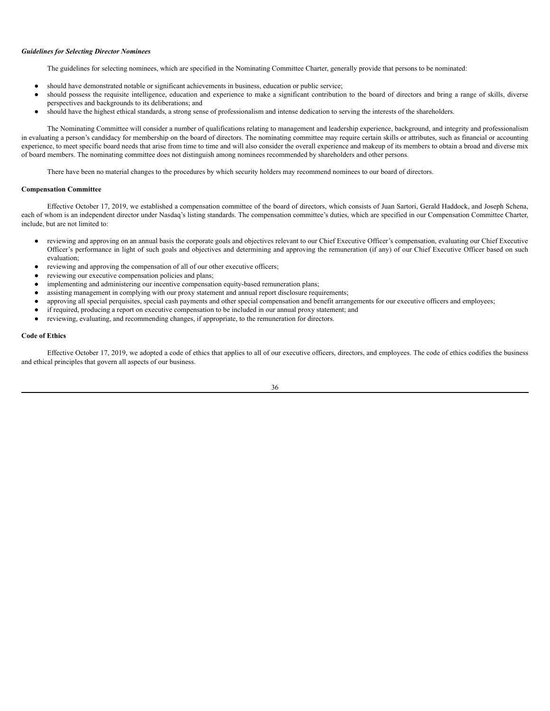#### *Guidelines for Selecting Director Nominees*

The guidelines for selecting nominees, which are specified in the Nominating Committee Charter, generally provide that persons to be nominated:

- should have demonstrated notable or significant achievements in business, education or public service;
- should possess the requisite intelligence, education and experience to make a significant contribution to the board of directors and bring a range of skills, diverse perspectives and backgrounds to its deliberations; and
- should have the highest ethical standards, a strong sense of professionalism and intense dedication to serving the interests of the shareholders.

The Nominating Committee will consider a number of qualifications relating to management and leadership experience, background, and integrity and professionalism in evaluating a person's candidacy for membership on the board of directors. The nominating committee may require certain skills or attributes, such as financial or accounting experience, to meet specific board needs that arise from time to time and will also consider the overall experience and makeup of its members to obtain a broad and diverse mix of board members. The nominating committee does not distinguish among nominees recommended by shareholders and other persons.

There have been no material changes to the procedures by which security holders may recommend nominees to our board of directors.

#### **Compensation Committee**

Effective October 17, 2019, we established a compensation committee of the board of directors, which consists of Juan Sartori, Gerald Haddock, and Joseph Schena, each of whom is an independent director under Nasdaq's listing standards. The compensation committee's duties, which are specified in our Compensation Committee Charter, include, but are not limited to:

- reviewing and approving on an annual basis the corporate goals and objectives relevant to our Chief Executive Officer's compensation, evaluating our Chief Executive Officer's performance in light of such goals and objectives and determining and approving the remuneration (if any) of our Chief Executive Officer based on such evaluation;
- reviewing and approving the compensation of all of our other executive officers;
- reviewing our executive compensation policies and plans;
- implementing and administering our incentive compensation equity-based remuneration plans;
- assisting management in complying with our proxy statement and annual report disclosure requirements;
- approving all special perquisites, special cash payments and other special compensation and benefit arrangements for our executive officers and employees;
- if required, producing a report on executive compensation to be included in our annual proxy statement; and
- reviewing, evaluating, and recommending changes, if appropriate, to the remuneration for directors.

#### **Code of Ethics**

Effective October 17, 2019, we adopted a code of ethics that applies to all of our executive officers, directors, and employees. The code of ethics codifies the business and ethical principles that govern all aspects of our business.

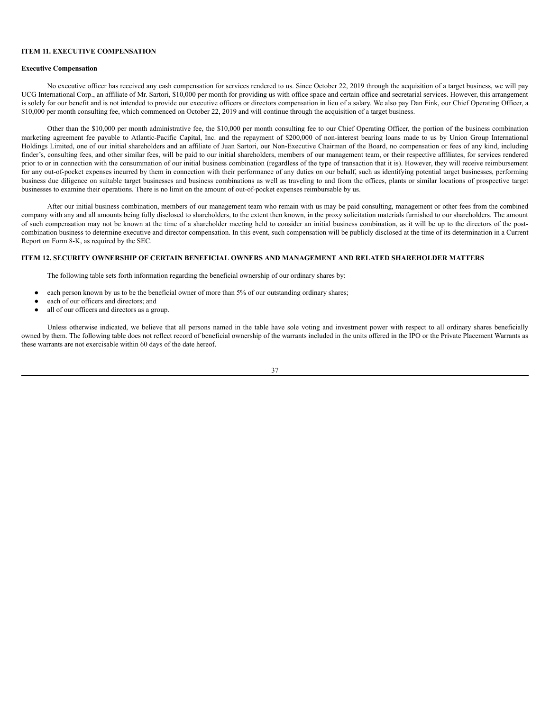## <span id="page-40-0"></span>**ITEM 11. EXECUTIVE COMPENSATION**

#### **Executive Compensation**

No executive officer has received any cash compensation for services rendered to us. Since October 22, 2019 through the acquisition of a target business, we will pay UCG International Corp., an affiliate of Mr. Sartori, \$10,000 per month for providing us with office space and certain office and secretarial services. However, this arrangement is solely for our benefit and is not intended to provide our executive officers or directors compensation in lieu of a salary. We also pay Dan Fink, our Chief Operating Officer, a \$10,000 per month consulting fee, which commenced on October 22, 2019 and will continue through the acquisition of a target business.

Other than the \$10,000 per month administrative fee, the \$10,000 per month consulting fee to our Chief Operating Officer, the portion of the business combination marketing agreement fee payable to Atlantic-Pacific Capital, Inc. and the repayment of \$200,000 of non-interest bearing loans made to us by Union Group International Holdings Limited, one of our initial shareholders and an affiliate of Juan Sartori, our Non-Executive Chairman of the Board, no compensation or fees of any kind, including finder's, consulting fees, and other similar fees, will be paid to our initial shareholders, members of our management team, or their respective affiliates, for services rendered prior to or in connection with the consummation of our initial business combination (regardless of the type of transaction that it is). However, they will receive reimbursement for any out-of-pocket expenses incurred by them in connection with their performance of any duties on our behalf, such as identifying potential target businesses, performing business due diligence on suitable target businesses and business combinations as well as traveling to and from the offices, plants or similar locations of prospective target businesses to examine their operations. There is no limit on the amount of out-of-pocket expenses reimbursable by us.

After our initial business combination, members of our management team who remain with us may be paid consulting, management or other fees from the combined company with any and all amounts being fully disclosed to shareholders, to the extent then known, in the proxy solicitation materials furnished to our shareholders. The amount of such compensation may not be known at the time of a shareholder meeting held to consider an initial business combination, as it will be up to the directors of the postcombination business to determine executive and director compensation. In this event, such compensation will be publicly disclosed at the time of its determination in a Current Report on Form 8-K, as required by the SEC.

# <span id="page-40-1"></span>**ITEM 12. SECURITY OWNERSHIP OF CERTAIN BENEFICIAL OWNERS AND MANAGEMENT AND RELATED SHAREHOLDER MATTERS**

The following table sets forth information regarding the beneficial ownership of our ordinary shares by:

- each person known by us to be the beneficial owner of more than 5% of our outstanding ordinary shares;
- each of our officers and directors; and
- all of our officers and directors as a group.

Unless otherwise indicated, we believe that all persons named in the table have sole voting and investment power with respect to all ordinary shares beneficially owned by them. The following table does not reflect record of beneficial ownership of the warrants included in the units offered in the IPO or the Private Placement Warrants as these warrants are not exercisable within 60 days of the date hereof.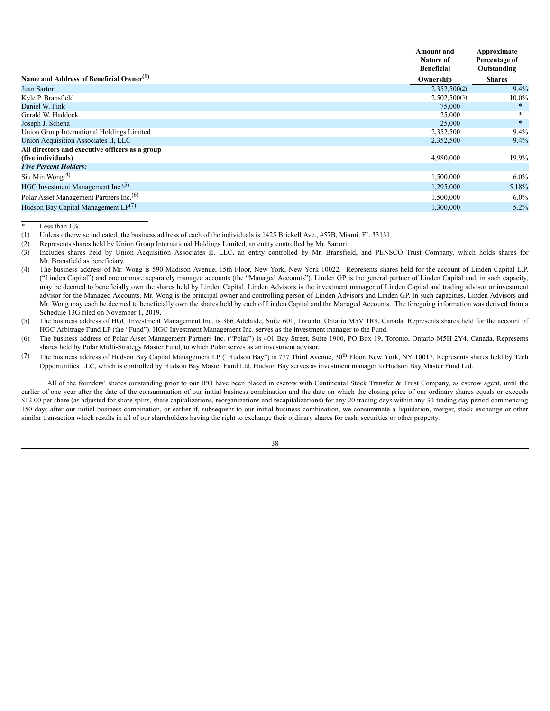|                                                     | Amount and<br>Nature of<br><b>Beneficial</b> | Approximate<br>Percentage of<br>Outstanding |
|-----------------------------------------------------|----------------------------------------------|---------------------------------------------|
| Name and Address of Beneficial Owner <sup>(1)</sup> | Ownership                                    | <b>Shares</b>                               |
| Juan Sartori                                        | 2,352,500(2)                                 | 9.4%                                        |
| Kyle P. Bransfield                                  | 2,502,500(3)                                 | $10.0\%$                                    |
| Daniel W. Fink                                      | 75,000                                       | *                                           |
| Gerald W. Haddock                                   | 25,000                                       |                                             |
| Joseph J. Schena                                    | 25,000                                       | $\ast$                                      |
| Union Group International Holdings Limited          | 2,352,500                                    | $9.4\%$                                     |
| Union Acquisition Associates II, LLC                | 2,352,500                                    | $9.4\%$                                     |
| All directors and executive officers as a group     |                                              |                                             |
| (five individuals)                                  | 4,980,000                                    | 19.9%                                       |
| <b>Five Percent Holders:</b>                        |                                              |                                             |
| Siu Min Wong <sup>(4)</sup>                         | 1,500,000                                    | $6.0\%$                                     |
| HGC Investment Management Inc. <sup>(5)</sup>       | 1,295,000                                    | 5.18%                                       |
| Polar Asset Management Partners Inc. <sup>(6)</sup> | 1,500,000                                    | $6.0\%$                                     |
| Hudson Bay Capital Management $LP(7)$               | 1,300,000                                    | 5.2%                                        |

Less than  $1\%$ .

(1) Unless otherwise indicated, the business address of each of the individuals is 1425 Brickell Ave., #57B, Miami, FL 33131.

(2) Represents shares held by Union Group International Holdings Limited, an entity controlled by Mr. Sartori.

- (3) Includes shares held by Union Acquisition Associates II, LLC, an entity controlled by Mr. Bransfield, and PENSCO Trust Company, which holds shares for Mr. Bransfield as beneficiary.
- (4) The business address of Mr. Wong is 590 Madison Avenue, 15th Floor, New York, New York 10022. Represents shares held for the account of Linden Capital L.P. ("Linden Capital") and one or more separately managed accounts (the "Managed Accounts"). Linden GP is the general partner of Linden Capital and, in such capacity, may be deemed to beneficially own the shares held by Linden Capital. Linden Advisors is the investment manager of Linden Capital and trading advisor or investment advisor for the Managed Accounts. Mr. Wong is the principal owner and controlling person of Linden Advisors and Linden GP. In such capacities, Linden Advisors and Mr. Wong may each be deemed to beneficially own the shares held by each of Linden Capital and the Managed Accounts. The foregoing information was derived from a Schedule 13G filed on November 1, 2019.
- (5) The business address of HGC Investment Management Inc. is 366 Adelaide, Suite 601, Toronto, Ontario M5V 1R9, Canada. Represents shares held for the account of HGC Arbitrage Fund LP (the "Fund"). HGC Investment Management Inc. serves as the investment manager to the Fund.
- (6) The business address of Polar Asset Management Partners Inc. ("Polar") is 401 Bay Street, Suite 1900, PO Box 19, Toronto, Ontario M5H 2Y4, Canada. Represents shares held by Polar Multi-Strategy Master Fund, to which Polar serves as an investment advisor.
- (7) The business address of Hudson Bay Capital Management LP ("Hudson Bay") is 777 Third Avenue,  $30^{\text{th}}$  Floor, New York, NY 10017. Represents shares held by Tech Opportunities LLC, which is controlled by Hudson Bay Master Fund Ltd. Hudson Bay serves as investment manager to Hudson Bay Master Fund Ltd.

All of the founders' shares outstanding prior to our IPO have been placed in escrow with Continental Stock Transfer & Trust Company, as escrow agent, until the earlier of one year after the date of the consummation of our initial business combination and the date on which the closing price of our ordinary shares equals or exceeds \$12.00 per share (as adjusted for share splits, share capitalizations, reorganizations and recapitalizations) for any 20 trading days within any 30-trading day period commencing 150 days after our initial business combination, or earlier if, subsequent to our initial business combination, we consummate a liquidation, merger, stock exchange or other similar transaction which results in all of our shareholders having the right to exchange their ordinary shares for cash, securities or other property.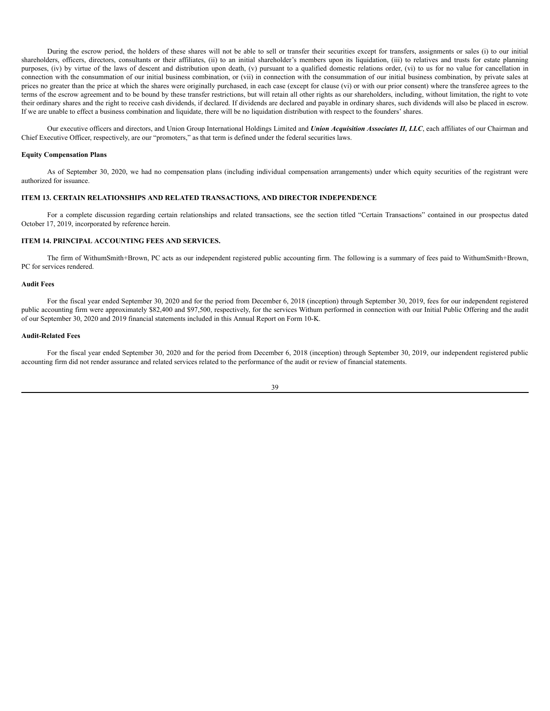During the escrow period, the holders of these shares will not be able to sell or transfer their securities except for transfers, assignments or sales (i) to our initial shareholders, officers, directors, consultants or their affiliates, (ii) to an initial shareholder's members upon its liquidation, (iii) to relatives and trusts for estate planning purposes, (iv) by virtue of the laws of descent and distribution upon death, (v) pursuant to a qualified domestic relations order, (vi) to us for no value for cancellation in connection with the consummation of our initial business combination, or (vii) in connection with the consummation of our initial business combination, by private sales at prices no greater than the price at which the shares were originally purchased, in each case (except for clause (vi) or with our prior consent) where the transferee agrees to the terms of the escrow agreement and to be bound by these transfer restrictions, but will retain all other rights as our shareholders, including, without limitation, the right to vote their ordinary shares and the right to receive cash dividends, if declared. If dividends are declared and payable in ordinary shares, such dividends will also be placed in escrow. If we are unable to effect a business combination and liquidate, there will be no liquidation distribution with respect to the founders' shares.

Our executive officers and directors, and Union Group International Holdings Limited and *Union Acquisition Associates II, LLC*, each affiliates of our Chairman and Chief Executive Officer, respectively, are our "promoters," as that term is defined under the federal securities laws.

#### **Equity Compensation Plans**

As of September 30, 2020, we had no compensation plans (including individual compensation arrangements) under which equity securities of the registrant were authorized for issuance.

# <span id="page-42-0"></span>**ITEM 13. CERTAIN RELATIONSHIPS AND RELATED TRANSACTIONS, AND DIRECTOR INDEPENDENCE**

For a complete discussion regarding certain relationships and related transactions, see the section titled "Certain Transactions" contained in our prospectus dated October 17, 2019, incorporated by reference herein.

#### <span id="page-42-1"></span>**ITEM 14. PRINCIPAL ACCOUNTING FEES AND SERVICES.**

The firm of WithumSmith+Brown, PC acts as our independent registered public accounting firm. The following is a summary of fees paid to WithumSmith+Brown, PC for services rendered.

#### **Audit Fees**

For the fiscal year ended September 30, 2020 and for the period from December 6, 2018 (inception) through September 30, 2019, fees for our independent registered public accounting firm were approximately \$82,400 and \$97,500, respectively, for the services Withum performed in connection with our Initial Public Offering and the audit of our September 30, 2020 and 2019 financial statements included in this Annual Report on Form 10-K.

#### **Audit-Related Fees**

For the fiscal year ended September 30, 2020 and for the period from December 6, 2018 (inception) through September 30, 2019, our independent registered public accounting firm did not render assurance and related services related to the performance of the audit or review of financial statements.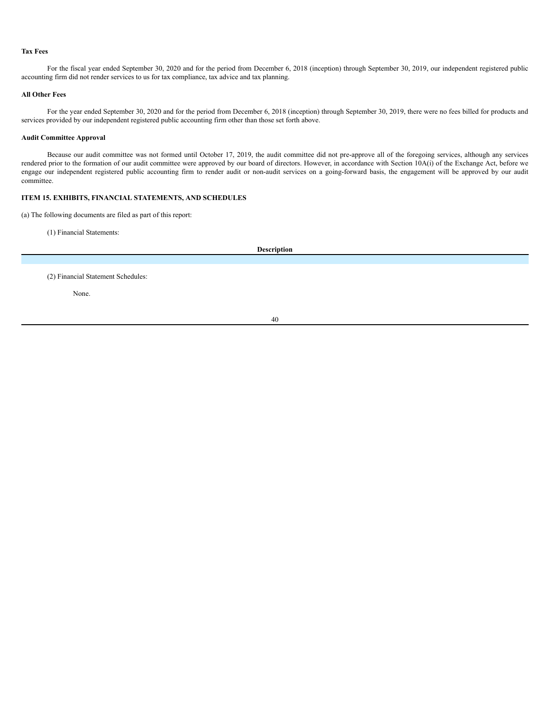#### **Tax Fees**

For the fiscal year ended September 30, 2020 and for the period from December 6, 2018 (inception) through September 30, 2019, our independent registered public accounting firm did not render services to us for tax compliance, tax advice and tax planning.

#### **All Other Fees**

For the year ended September 30, 2020 and for the period from December 6, 2018 (inception) through September 30, 2019, there were no fees billed for products and services provided by our independent registered public accounting firm other than those set forth above.

# **Audit Committee Approval**

Because our audit committee was not formed until October 17, 2019, the audit committee did not pre-approve all of the foregoing services, although any services rendered prior to the formation of our audit committee were approved by our board of directors. However, in accordance with Section 10A(i) of the Exchange Act, before we engage our independent registered public accounting firm to render audit or non-audit services on a going-forward basis, the engagement will be approved by our audit committee.

# <span id="page-43-0"></span>**ITEM 15. EXHIBITS, FINANCIAL STATEMENTS, AND SCHEDULES**

(a) The following documents are filed as part of this report:

(1) Financial Statements:

**Description**

(2) Financial Statement Schedules:

None.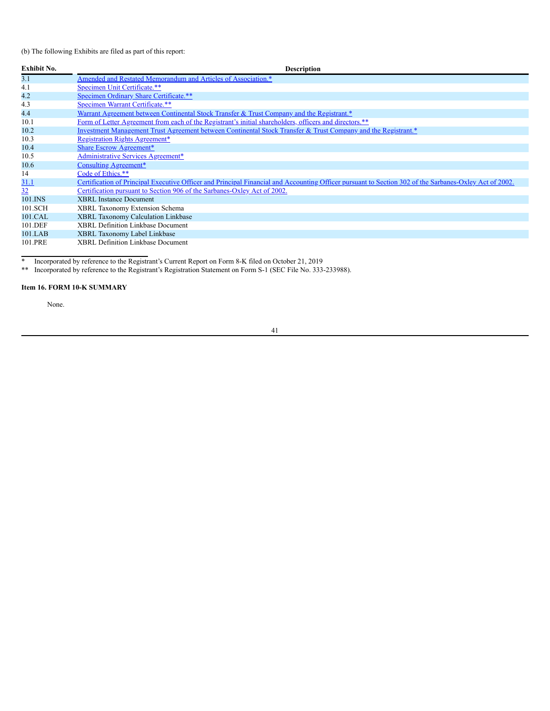(b) The following Exhibits are filed as part of this report:

| <b>Exhibit No.</b> | <b>Description</b>                                                                                                                                     |
|--------------------|--------------------------------------------------------------------------------------------------------------------------------------------------------|
| 3.1                | Amended and Restated Memorandum and Articles of Association.*                                                                                          |
| 4.1                | Specimen Unit Certificate.**                                                                                                                           |
| 4.2                | Specimen Ordinary Share Certificate.**                                                                                                                 |
| 4.3                | Specimen Warrant Certificate.**                                                                                                                        |
| 4.4                | Warrant Agreement between Continental Stock Transfer & Trust Company and the Registrant.*                                                              |
| 10.1               | Form of Letter Agreement from each of the Registrant's initial shareholders, officers and directors.**                                                 |
| 10.2               | Investment Management Trust Agreement between Continental Stock Transfer & Trust Company and the Registrant.*                                          |
| 10.3               | <b>Registration Rights Agreement*</b>                                                                                                                  |
| 10.4               | <b>Share Escrow Agreement*</b>                                                                                                                         |
| 10.5               | <b>Administrative Services Agreement*</b>                                                                                                              |
| 10.6               | Consulting Agreement*                                                                                                                                  |
| 14                 | Code of Ethics.**                                                                                                                                      |
| <u>31.1</u>        | Certification of Principal Executive Officer and Principal Financial and Accounting Officer pursuant to Section 302 of the Sarbanes-Oxley Act of 2002. |
| 32                 | Certification pursuant to Section 906 of the Sarbanes-Oxley Act of 2002.                                                                               |
| 101.INS            | <b>XBRL</b> Instance Document                                                                                                                          |
| 101.SCH            | XBRL Taxonomy Extension Schema                                                                                                                         |
| 101.CAL            | XBRL Taxonomy Calculation Linkbase                                                                                                                     |
| 101.DEF            | <b>XBRL Definition Linkbase Document</b>                                                                                                               |
| $101$ .LAB         | XBRL Taxonomy Label Linkbase                                                                                                                           |
| 101.PRE            | <b>XBRL Definition Linkbase Document</b>                                                                                                               |

\* Incorporated by reference to the Registrant's Current Report on Form 8-K filed on October 21, 2019

\*\* Incorporated by reference to the Registrant's Registration Statement on Form S-1 (SEC File No. 333-233988).

# <span id="page-44-0"></span>**Item 16. FORM 10-K SUMMARY**

None.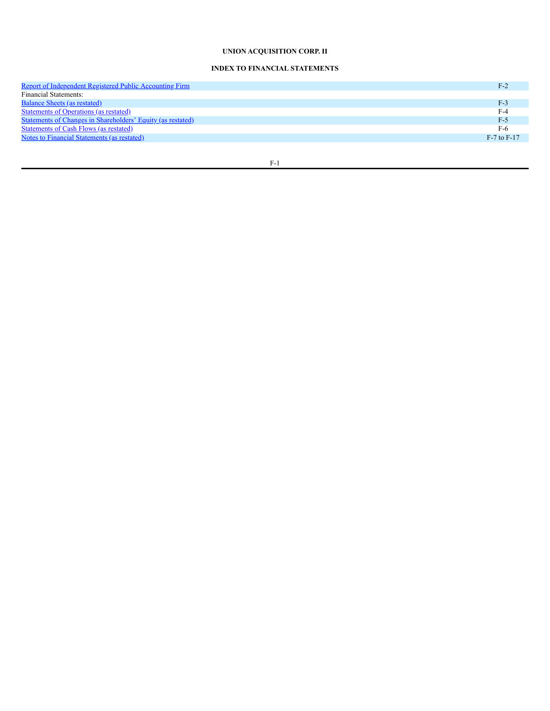# **UNION ACQUISITION CORP. II**

# **INDEX TO FINANCIAL STATEMENTS**

| <b>Report of Independent Registered Public Accounting Firm</b>     | F-2             |
|--------------------------------------------------------------------|-----------------|
| <b>Financial Statements:</b>                                       |                 |
| Balance Sheets (as restated)                                       | $F-3$           |
| <b>Statements of Operations (as restated)</b>                      | $F-4$           |
| <b>Statements of Changes in Shareholders' Equity (as restated)</b> | F-5             |
| <b>Statements of Cash Flows (as restated)</b>                      | $F-6$           |
| Notes to Financial Statements (as restated)                        | $F-7$ to $F-17$ |
|                                                                    |                 |

F-1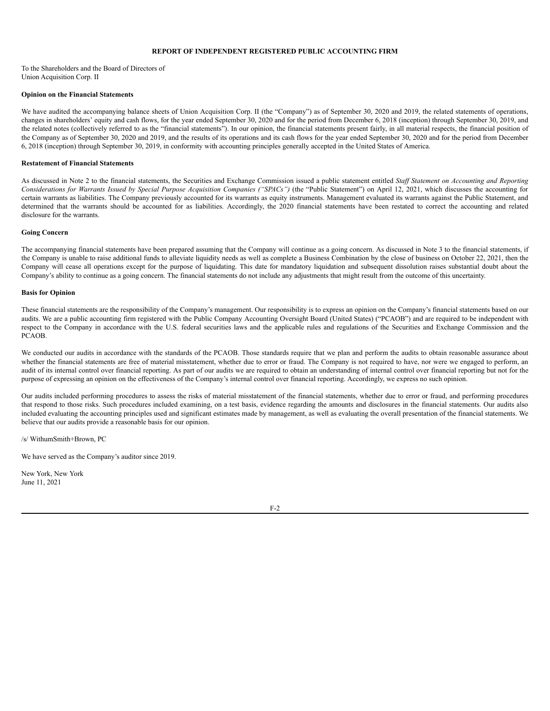## **REPORT OF INDEPENDENT REGISTERED PUBLIC ACCOUNTING FIRM**

<span id="page-46-0"></span>To the Shareholders and the Board of Directors of Union Acquisition Corp. II

#### **Opinion on the Financial Statements**

We have audited the accompanying balance sheets of Union Acquisition Corp. II (the "Company") as of September 30, 2020 and 2019, the related statements of operations, changes in shareholders' equity and cash flows, for the year ended September 30, 2020 and for the period from December 6, 2018 (inception) through September 30, 2019, and the related notes (collectively referred to as the "financial statements"). In our opinion, the financial statements present fairly, in all material respects, the financial position of the Company as of September 30, 2020 and 2019, and the results of its operations and its cash flows for the year ended September 30, 2020 and for the period from December 6, 2018 (inception) through September 30, 2019, in conformity with accounting principles generally accepted in the United States of America.

#### **Restatement of Financial Statements**

As discussed in Note 2 to the financial statements, the Securities and Exchange Commission issued a public statement entitled *Staf Statement on Accounting and Reporting* Considerations for Warrants Issued by Special Purpose Acquisition Companies ("SPACs") (the "Public Statement") on April 12, 2021, which discusses the accounting for certain warrants as liabilities. The Company previously accounted for its warrants as equity instruments. Management evaluated its warrants against the Public Statement, and determined that the warrants should be accounted for as liabilities. Accordingly, the 2020 financial statements have been restated to correct the accounting and related disclosure for the warrants.

## **Going Concern**

The accompanying financial statements have been prepared assuming that the Company will continue as a going concern. As discussed in Note 3 to the financial statements, if the Company is unable to raise additional funds to alleviate liquidity needs as well as complete a Business Combination by the close of business on October 22, 2021, then the Company will cease all operations except for the purpose of liquidating. This date for mandatory liquidation and subsequent dissolution raises substantial doubt about the Company's ability to continue as a going concern. The financial statements do not include any adjustments that might result from the outcome of this uncertainty.

#### **Basis for Opinion**

These financial statements are the responsibility of the Company's management. Our responsibility is to express an opinion on the Company's financial statements based on our audits. We are a public accounting firm registered with the Public Company Accounting Oversight Board (United States) ("PCAOB") and are required to be independent with respect to the Company in accordance with the U.S. federal securities laws and the applicable rules and regulations of the Securities and Exchange Commission and the PCAOB.

We conducted our audits in accordance with the standards of the PCAOB. Those standards require that we plan and perform the audits to obtain reasonable assurance about whether the financial statements are free of material misstatement, whether due to error or fraud. The Company is not required to have, nor were we engaged to perform, an audit of its internal control over financial reporting. As part of our audits we are required to obtain an understanding of internal control over financial reporting but not for the purpose of expressing an opinion on the effectiveness of the Company's internal control over financial reporting. Accordingly, we express no such opinion.

Our audits included performing procedures to assess the risks of material misstatement of the financial statements, whether due to error or fraud, and performing procedures that respond to those risks. Such procedures included examining, on a test basis, evidence regarding the amounts and disclosures in the financial statements. Our audits also included evaluating the accounting principles used and significant estimates made by management, as well as evaluating the overall presentation of the financial statements. We believe that our audits provide a reasonable basis for our opinion.

/s/ WithumSmith+Brown, PC

We have served as the Company's auditor since 2019.

New York, New York June 11, 2021

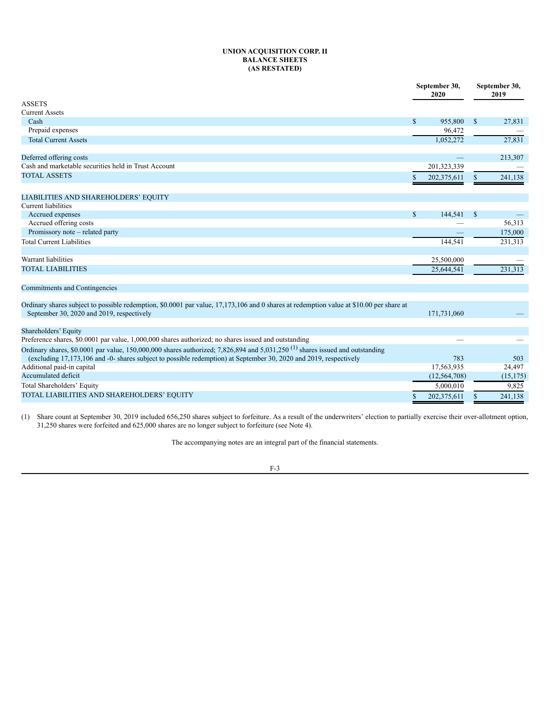## **UNION ACQUISITION CORP. II BALANCE SHEETS (AS RESTATED)**

<span id="page-47-0"></span>

|                                                                                                                                                                                      |              | September 30,<br>2020 | September 30,<br>2019 |           |
|--------------------------------------------------------------------------------------------------------------------------------------------------------------------------------------|--------------|-----------------------|-----------------------|-----------|
| <b>ASSETS</b>                                                                                                                                                                        |              |                       |                       |           |
| <b>Current Assets</b>                                                                                                                                                                |              |                       |                       |           |
| Cash                                                                                                                                                                                 | $\mathbb{S}$ | 955,800               | $\mathbb{S}$          | 27,831    |
| Prepaid expenses                                                                                                                                                                     |              | 96,472                |                       |           |
| <b>Total Current Assets</b>                                                                                                                                                          |              | 1,052,272             |                       | 27,831    |
| Deferred offering costs                                                                                                                                                              |              |                       |                       | 213,307   |
| Cash and marketable securities held in Trust Account                                                                                                                                 |              | 201,323,339           |                       |           |
| <b>TOTAL ASSETS</b>                                                                                                                                                                  | S            | 202,375,611           | S                     | 241,138   |
| LIABILITIES AND SHAREHOLDERS' EQUITY                                                                                                                                                 |              |                       |                       |           |
| <b>Current liabilities</b>                                                                                                                                                           |              |                       |                       |           |
| Accrued expenses                                                                                                                                                                     | $\mathbb{S}$ | 144,541               | \$                    |           |
| Accrued offering costs                                                                                                                                                               |              |                       |                       | 56,313    |
| Promissory note - related party                                                                                                                                                      |              |                       |                       | 175,000   |
| <b>Total Current Liabilities</b>                                                                                                                                                     |              | 144.541               |                       | 231,313   |
| Warrant liabilities                                                                                                                                                                  |              | 25,500,000            |                       |           |
| <b>TOTAL LIABILITIES</b>                                                                                                                                                             |              | 25,644,541            |                       | 231,313   |
| Commitments and Contingencies                                                                                                                                                        |              |                       |                       |           |
| Ordinary shares subject to possible redemption, \$0.0001 par value, 17,173,106 and 0 shares at redemption value at \$10.00 per share at<br>September 30, 2020 and 2019, respectively |              | 171,731,060           |                       |           |
| Shareholders' Equity                                                                                                                                                                 |              |                       |                       |           |
| Preference shares, \$0.0001 par value, 1,000,000 shares authorized; no shares issued and outstanding                                                                                 |              |                       |                       |           |
| Ordinary shares, \$0.0001 par value, 150,000,000 shares authorized; 7,826,894 and 5,031,250 <sup>(1)</sup> shares issued and outstanding                                             |              |                       |                       |           |
| (excluding 17,173,106 and -0- shares subject to possible redemption) at September 30, 2020 and 2019, respectively                                                                    |              | 783                   |                       | 503       |
| Additional paid-in capital                                                                                                                                                           |              | 17,563,935            |                       | 24,497    |
| Accumulated deficit                                                                                                                                                                  |              | (12, 564, 708)        |                       | (15, 175) |
| Total Shareholders' Equity                                                                                                                                                           |              | 5,000,010             |                       | 9,825     |
| TOTAL LIABILITIES AND SHAREHOLDERS' EQUITY                                                                                                                                           | \$           | 202,375,611           | \$                    | 241,138   |

(1) Share count at September 30, 2019 included 656,250 shares subject to forfeiture. As a result of the underwriters' election to partially exercise their over-allotment option, 31,250 shares were forfeited and 625,000 shares are no longer subject to forfeiture (see Note 4).

The accompanying notes are an integral part of the financial statements.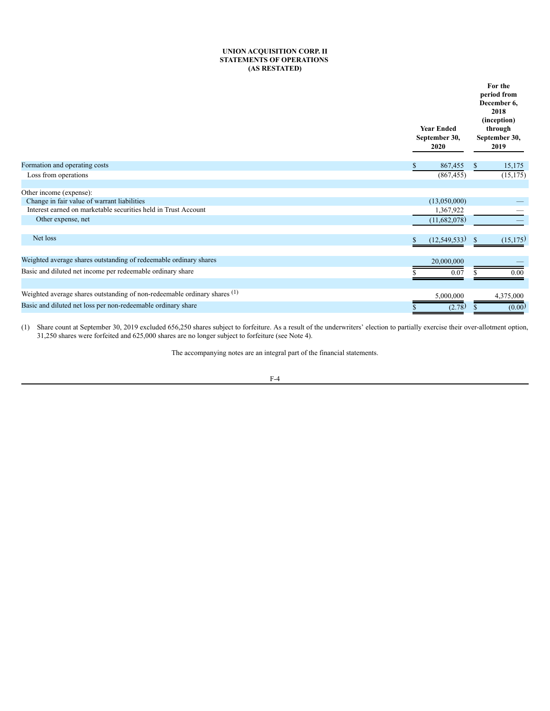# **UNION ACQUISITION CORP. II STATEMENTS OF OPERATIONS (AS RESTATED)**

<span id="page-48-0"></span>

|                                                                           | <b>Year Ended</b><br>September 30,<br>2020 | For the<br>period from<br>December 6,<br>2018<br>(inception)<br>through<br>September 30,<br>2019 |  |  |
|---------------------------------------------------------------------------|--------------------------------------------|--------------------------------------------------------------------------------------------------|--|--|
| Formation and operating costs                                             | 867,455                                    | 15,175<br><sup>\$</sup>                                                                          |  |  |
| Loss from operations                                                      | (867, 455)                                 | (15, 175)                                                                                        |  |  |
| Other income (expense):                                                   |                                            |                                                                                                  |  |  |
| Change in fair value of warrant liabilities                               | (13,050,000)                               |                                                                                                  |  |  |
| Interest earned on marketable securities held in Trust Account            | 1,367,922                                  |                                                                                                  |  |  |
| Other expense, net                                                        | (11,682,078)                               |                                                                                                  |  |  |
| Net loss                                                                  | (12, 549, 533)                             | (15, 175)<br>$\mathbf{s}$                                                                        |  |  |
| Weighted average shares outstanding of redeemable ordinary shares         | 20,000,000                                 |                                                                                                  |  |  |
| Basic and diluted net income per redeemable ordinary share                | 0.07                                       | 0.00                                                                                             |  |  |
| Weighted average shares outstanding of non-redeemable ordinary shares (1) | 5,000,000                                  | 4,375,000                                                                                        |  |  |
| Basic and diluted net loss per non-redeemable ordinary share              | (2.78)                                     | (0.00)                                                                                           |  |  |

(1) Share count at September 30, 2019 excluded 656,250 shares subject to forfeiture. As a result of the underwriters' election to partially exercise their over-allotment option, 31,250 shares were forfeited and 625,000 shares are no longer subject to forfeiture (see Note 4).

The accompanying notes are an integral part of the financial statements.

$$
F-4
$$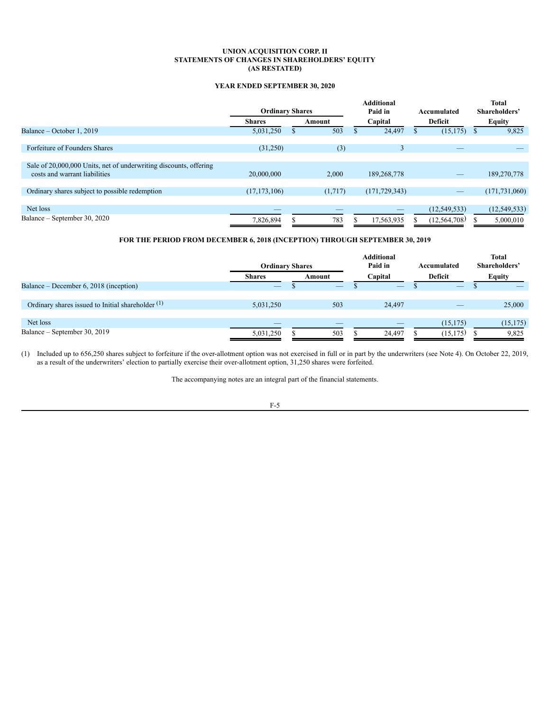## **UNION ACQUISITION CORP. II STATEMENTS OF CHANGES IN SHAREHOLDERS' EQUITY (AS RESTATED)**

# **YEAR ENDED SEPTEMBER 30, 2020**

<span id="page-49-0"></span>

|                                                                                                    | <b>Ordinary Shares</b> |         |         | <b>Additional</b><br>Paid in |         | Accumulated    |               | Total<br>Shareholders' |
|----------------------------------------------------------------------------------------------------|------------------------|---------|---------|------------------------------|---------|----------------|---------------|------------------------|
|                                                                                                    | <b>Shares</b>          | Amount  | Capital |                              | Deficit |                | <b>Equity</b> |                        |
| Balance – October 1, 2019                                                                          | 5,031,250              | 503     |         | 24,497                       |         | (15, 175)      |               | 9,825                  |
| Forfeiture of Founders Shares                                                                      | (31,250)               | (3)     |         | 3                            |         |                |               |                        |
| Sale of 20,000,000 Units, net of underwriting discounts, offering<br>costs and warrant liabilities | 20,000,000             | 2.000   |         | 189,268,778                  |         |                |               | 189,270,778            |
| Ordinary shares subject to possible redemption                                                     | (17, 173, 106)         | (1,717) |         | (171, 729, 343)              |         |                |               | (171, 731, 060)        |
| Net loss<br>Balance – September 30, 2020                                                           |                        |         |         |                              |         | (12, 549, 533) |               | (12, 549, 533)         |
|                                                                                                    | 7.826.894              | 783     |         | 17,563,935                   |         | (12, 564, 708) |               | 5,000,010              |

# **FOR THE PERIOD FROM DECEMBER 6, 2018 (INCEPTION) THROUGH SEPTEMBER 30, 2019**

|                                                              | <b>Ordinary Shares</b> |        | <b>Additional</b><br>Paid in | Accumulated | <b>Total</b><br>Shareholders' |
|--------------------------------------------------------------|------------------------|--------|------------------------------|-------------|-------------------------------|
|                                                              | <b>Shares</b>          | Amount | Capital                      | Deficit     | <b>Equity</b>                 |
| Balance – December 6, 2018 (inception)                       |                        |        |                              |             |                               |
|                                                              |                        |        |                              |             |                               |
| Ordinary shares issued to Initial shareholder <sup>(1)</sup> | 5,031,250              | 503    | 24,497                       |             | 25,000                        |
|                                                              |                        |        |                              |             |                               |
| Net loss                                                     |                        |        |                              | (15, 175)   | (15, 175)                     |
| Balance – September 30, 2019                                 | 5,031,250              | 503    | 24.497                       | (15, 175)   | 9,825                         |

(1) Included up to 656,250 shares subject to forfeiture if the over-allotment option was not exercised in full or in part by the underwriters (see Note 4). On October 22, 2019, as a result of the underwriters' election to partially exercise their over-allotment option, 31,250 shares were forfeited.

The accompanying notes are an integral part of the financial statements.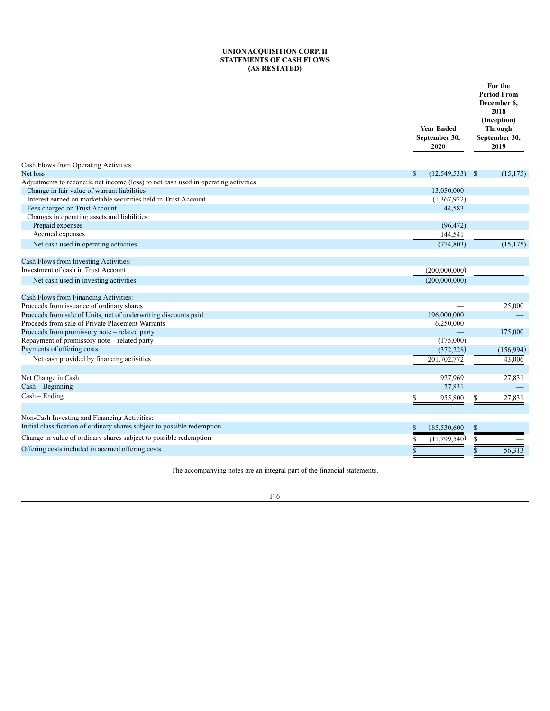#### **UNION ACQUISITION CORP. II STATEMENTS OF CASH FLOWS (AS RESTATED)**

<span id="page-50-0"></span>

|                                                                                      | <b>Year Ended</b><br>September 30,<br>2020 | For the<br><b>Period From</b><br>December 6,<br>2018<br>(Inception)<br><b>Through</b><br>September 30,<br>2019 |  |  |
|--------------------------------------------------------------------------------------|--------------------------------------------|----------------------------------------------------------------------------------------------------------------|--|--|
| Cash Flows from Operating Activities:                                                |                                            |                                                                                                                |  |  |
| Net loss                                                                             | $\mathbb{S}$<br>(12, 549, 533)             | $\mathcal{S}$<br>(15, 175)                                                                                     |  |  |
| Adjustments to reconcile net income (loss) to net cash used in operating activities: |                                            |                                                                                                                |  |  |
| Change in fair value of warrant liabilities                                          | 13,050,000                                 |                                                                                                                |  |  |
| Interest earned on marketable securities held in Trust Account                       | (1,367,922)                                |                                                                                                                |  |  |
| Fees charged on Trust Account                                                        | 44,583                                     |                                                                                                                |  |  |
| Changes in operating assets and liabilities:<br>Prepaid expenses                     | (96, 472)                                  |                                                                                                                |  |  |
| Accrued expenses                                                                     |                                            |                                                                                                                |  |  |
|                                                                                      | 144,541                                    |                                                                                                                |  |  |
| Net cash used in operating activities                                                | (774, 803)                                 | (15, 175)                                                                                                      |  |  |
| Cash Flows from Investing Activities:                                                |                                            |                                                                                                                |  |  |
| Investment of cash in Trust Account                                                  | (200,000,000)                              |                                                                                                                |  |  |
| Net cash used in investing activities                                                | (200,000,000)                              |                                                                                                                |  |  |
| Cash Flows from Financing Activities:                                                |                                            |                                                                                                                |  |  |
| Proceeds from issuance of ordinary shares                                            |                                            | 25,000                                                                                                         |  |  |
| Proceeds from sale of Units, net of underwriting discounts paid                      | 196,000,000                                |                                                                                                                |  |  |
| Proceeds from sale of Private Placement Warrants                                     | 6,250,000                                  |                                                                                                                |  |  |
| Proceeds from promissory note - related party                                        |                                            | 175,000                                                                                                        |  |  |
| Repayment of promissory note - related party                                         | (175,000)                                  |                                                                                                                |  |  |
| Payments of offering costs                                                           | (372, 228)                                 | (156,994)                                                                                                      |  |  |
| Net cash provided by financing activities                                            | 201,702,772                                | 43.006                                                                                                         |  |  |
| Net Change in Cash                                                                   | 927,969                                    | 27,831                                                                                                         |  |  |
| $Cash - Beginning$                                                                   | 27,831                                     |                                                                                                                |  |  |
| $Cash - Ending$                                                                      | \$<br>955,800                              | 27,831                                                                                                         |  |  |
|                                                                                      |                                            | \$                                                                                                             |  |  |
| Non-Cash Investing and Financing Activities:                                         |                                            |                                                                                                                |  |  |
| Initial classification of ordinary shares subject to possible redemption             | 185,530,600<br>\$                          | \$                                                                                                             |  |  |
| Change in value of ordinary shares subject to possible redemption                    | (11, 799, 540)<br>S                        |                                                                                                                |  |  |
| Offering costs included in accrued offering costs                                    | $\mathbf{s}$                               | 56.313<br>\$                                                                                                   |  |  |

The accompanying notes are an integral part of the financial statements.

# F-6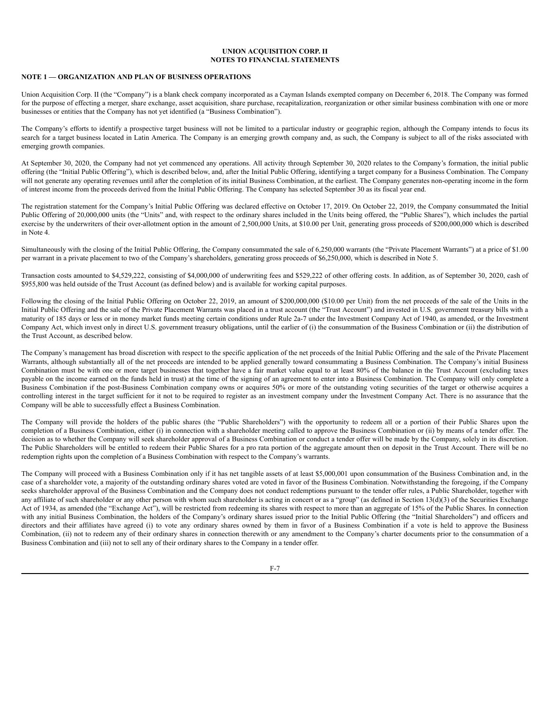## <span id="page-51-0"></span>**NOTE 1 — ORGANIZATION AND PLAN OF BUSINESS OPERATIONS**

Union Acquisition Corp. II (the "Company") is a blank check company incorporated as a Cayman Islands exempted company on December 6, 2018. The Company was formed for the purpose of effecting a merger, share exchange, asset acquisition, share purchase, recapitalization, reorganization or other similar business combination with one or more businesses or entities that the Company has not yet identified (a "Business Combination").

The Company's efforts to identify a prospective target business will not be limited to a particular industry or geographic region, although the Company intends to focus its search for a target business located in Latin America. The Company is an emerging growth company and, as such, the Company is subject to all of the risks associated with emerging growth companies.

At September 30, 2020, the Company had not yet commenced any operations. All activity through September 30, 2020 relates to the Company's formation, the initial public offering (the "Initial Public Offering"), which is described below, and, after the Initial Public Offering, identifying a target company for a Business Combination. The Company will not generate any operating revenues until after the completion of its initial Business Combination, at the earliest. The Company generates non-operating income in the form of interest income from the proceeds derived from the Initial Public Offering. The Company has selected September 30 as its fiscal year end.

The registration statement for the Company's Initial Public Offering was declared effective on October 17, 2019. On October 22, 2019, the Company consummated the Initial Public Offering of 20,000,000 units (the "Units" and, with respect to the ordinary shares included in the Units being offered, the "Public Shares"), which includes the partial exercise by the underwriters of their over-allotment option in the amount of 2,500,000 Units, at \$10.00 per Unit, generating gross proceeds of \$200,000,000 which is described in Note 4.

Simultaneously with the closing of the Initial Public Offering, the Company consummated the sale of 6,250,000 warrants (the "Private Placement Warrants") at a price of \$1.00 per warrant in a private placement to two of the Company's shareholders, generating gross proceeds of \$6,250,000, which is described in Note 5.

Transaction costs amounted to \$4,529,222, consisting of \$4,000,000 of underwriting fees and \$529,222 of other offering costs. In addition, as of September 30, 2020, cash of \$955,800 was held outside of the Trust Account (as defined below) and is available for working capital purposes.

Following the closing of the Initial Public Offering on October 22, 2019, an amount of \$200,000,000 (\$10.00 per Unit) from the net proceeds of the sale of the Units in the Initial Public Offering and the sale of the Private Placement Warrants was placed in a trust account (the "Trust Account") and invested in U.S. government treasury bills with a maturity of 185 days or less or in money market funds meeting certain conditions under Rule 2a-7 under the Investment Company Act of 1940, as amended, or the Investment Company Act, which invest only in direct U.S. government treasury obligations, until the earlier of (i) the consummation of the Business Combination or (ii) the distribution of the Trust Account, as described below.

The Company's management has broad discretion with respect to the specific application of the net proceeds of the Initial Public Offering and the sale of the Private Placement Warrants, although substantially all of the net proceeds are intended to be applied generally toward consummating a Business Combination. The Company's initial Business Combination must be with one or more target businesses that together have a fair market value equal to at least 80% of the balance in the Trust Account (excluding taxes payable on the income earned on the funds held in trust) at the time of the signing of an agreement to enter into a Business Combination. The Company will only complete a Business Combination if the post-Business Combination company owns or acquires 50% or more of the outstanding voting securities of the target or otherwise acquires a controlling interest in the target sufficient for it not to be required to register as an investment company under the Investment Company Act. There is no assurance that the Company will be able to successfully effect a Business Combination.

The Company will provide the holders of the public shares (the "Public Shareholders") with the opportunity to redeem all or a portion of their Public Shares upon the completion of a Business Combination, either (i) in connection with a shareholder meeting called to approve the Business Combination or (ii) by means of a tender offer. The decision as to whether the Company will seek shareholder approval of a Business Combination or conduct a tender offer will be made by the Company, solely in its discretion. The Public Shareholders will be entitled to redeem their Public Shares for a pro rata portion of the aggregate amount then on deposit in the Trust Account. There will be no redemption rights upon the completion of a Business Combination with respect to the Company's warrants.

The Company will proceed with a Business Combination only if it has net tangible assets of at least \$5,000,001 upon consummation of the Business Combination and, in the case of a shareholder vote, a majority of the outstanding ordinary shares voted are voted in favor of the Business Combination. Notwithstanding the foregoing, if the Company seeks shareholder approval of the Business Combination and the Company does not conduct redemptions pursuant to the tender offer rules, a Public Shareholder, together with any affiliate of such shareholder or any other person with whom such shareholder is acting in concert or as a "group" (as defined in Section 13(d)(3) of the Securities Exchange Act of 1934, as amended (the "Exchange Act"), will be restricted from redeeming its shares with respect to more than an aggregate of 15% of the Public Shares. In connection with any initial Business Combination, the holders of the Company's ordinary shares issued prior to the Initial Public Offering (the "Initial Shareholders") and officers and directors and their affiliates have agreed (i) to vote any ordinary shares owned by them in favor of a Business Combination if a vote is held to approve the Business Combination, (ii) not to redeem any of their ordinary shares in connection therewith or any amendment to the Company's charter documents prior to the consummation of a Business Combination and (iii) not to sell any of their ordinary shares to the Company in a tender offer.

F-7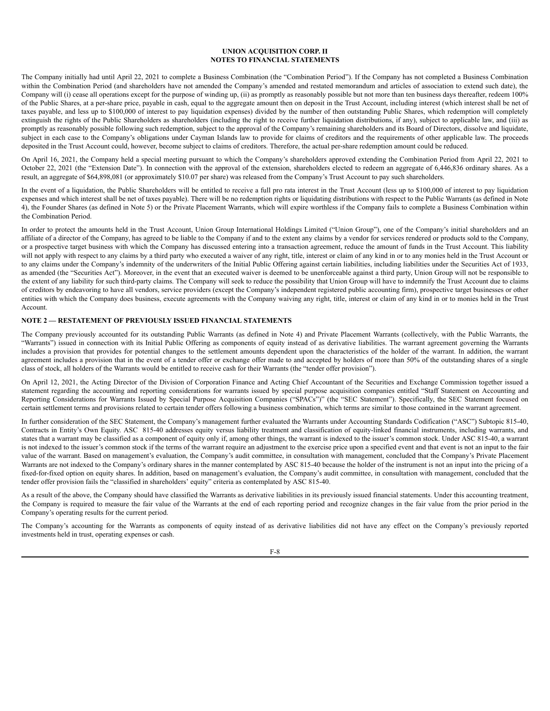The Company initially had until April 22, 2021 to complete a Business Combination (the "Combination Period"). If the Company has not completed a Business Combination within the Combination Period (and shareholders have not amended the Company's amended and restated memorandum and articles of association to extend such date), the Company will (i) cease all operations except for the purpose of winding up, (ii) as promptly as reasonably possible but not more than ten business days thereafter, redeem 100% of the Public Shares, at a per-share price, payable in cash, equal to the aggregate amount then on deposit in the Trust Account, including interest (which interest shall be net of taxes payable, and less up to \$100,000 of interest to pay liquidation expenses) divided by the number of then outstanding Public Shares, which redemption will completely extinguish the rights of the Public Shareholders as shareholders (including the right to receive further liquidation distributions, if any), subject to applicable law, and (iii) as promptly as reasonably possible following such redemption, subject to the approval of the Company's remaining shareholders and its Board of Directors, dissolve and liquidate, subject in each case to the Company's obligations under Cayman Islands law to provide for claims of creditors and the requirements of other applicable law. The proceeds deposited in the Trust Account could, however, become subject to claims of creditors. Therefore, the actual per-share redemption amount could be reduced.

On April 16, 2021, the Company held a special meeting pursuant to which the Company's shareholders approved extending the Combination Period from April 22, 2021 to October 22, 2021 (the "Extension Date"). In connection with the approval of the extension, shareholders elected to redeem an aggregate of 6,446,836 ordinary shares. As a result, an aggregate of \$64,898,081 (or approximately \$10.07 per share) was released from the Company's Trust Account to pay such shareholders.

In the event of a liquidation, the Public Shareholders will be entitled to receive a full pro rata interest in the Trust Account (less up to \$100,000 of interest to pay liquidation expenses and which interest shall be net of taxes payable). There will be no redemption rights or liquidating distributions with respect to the Public Warrants (as defined in Note 4), the Founder Shares (as defined in Note 5) or the Private Placement Warrants, which will expire worthless if the Company fails to complete a Business Combination within the Combination Period.

In order to protect the amounts held in the Trust Account, Union Group International Holdings Limited ("Union Group"), one of the Company's initial shareholders and an affiliate of a director of the Company, has agreed to be liable to the Company if and to the extent any claims by a vendor for services rendered or products sold to the Company, or a prospective target business with which the Company has discussed entering into a transaction agreement, reduce the amount of funds in the Trust Account. This liability will not apply with respect to any claims by a third party who executed a waiver of any right, title, interest or claim of any kind in or to any monies held in the Trust Account or to any claims under the Company's indemnity of the underwriters of the Initial Public Offering against certain liabilities, including liabilities under the Securities Act of 1933, as amended (the "Securities Act"). Moreover, in the event that an executed waiver is deemed to be unenforceable against a third party, Union Group will not be responsible to the extent of any liability for such third-party claims. The Company will seek to reduce the possibility that Union Group will have to indemnify the Trust Account due to claims of creditors by endeavoring to have all vendors, service providers (except the Company's independent registered public accounting firm), prospective target businesses or other entities with which the Company does business, execute agreements with the Company waiving any right, title, interest or claim of any kind in or to monies held in the Trust Account.

# **NOTE 2 — RESTATEMENT OF PREVIOUSLY ISSUED FINANCIAL STATEMENTS**

The Company previously accounted for its outstanding Public Warrants (as defined in Note 4) and Private Placement Warrants (collectively, with the Public Warrants, the "Warrants") issued in connection with its Initial Public Offering as components of equity instead of as derivative liabilities. The warrant agreement governing the Warrants includes a provision that provides for potential changes to the settlement amounts dependent upon the characteristics of the holder of the warrant. In addition, the warrant agreement includes a provision that in the event of a tender offer or exchange offer made to and accepted by holders of more than 50% of the outstanding shares of a single class of stock, all holders of the Warrants would be entitled to receive cash for their Warrants (the "tender offer provision").

On April 12, 2021, the Acting Director of the Division of Corporation Finance and Acting Chief Accountant of the Securities and Exchange Commission together issued a statement regarding the accounting and reporting considerations for warrants issued by special purpose acquisition companies entitled "Staff Statement on Accounting and Reporting Considerations for Warrants Issued by Special Purpose Acquisition Companies ("SPACs")" (the "SEC Statement"). Specifically, the SEC Statement focused on certain settlement terms and provisions related to certain tender offers following a business combination, which terms are similar to those contained in the warrant agreement.

In further consideration of the SEC Statement, the Company's management further evaluated the Warrants under Accounting Standards Codification ("ASC") Subtopic 815-40, Contracts in Entity's Own Equity. ASC 815-40 addresses equity versus liability treatment and classification of equity-linked financial instruments, including warrants, and states that a warrant may be classified as a component of equity only if, among other things, the warrant is indexed to the issuer's common stock. Under ASC 815-40, a warrant is not indexed to the issuer's common stock if the terms of the warrant require an adjustment to the exercise price upon a specified event and that event is not an input to the fair value of the warrant. Based on management's evaluation, the Company's audit committee, in consultation with management, concluded that the Company's Private Placement Warrants are not indexed to the Company's ordinary shares in the manner contemplated by ASC 815-40 because the holder of the instrument is not an input into the pricing of a fixed-for-fixed option on equity shares. In addition, based on management's evaluation, the Company's audit committee, in consultation with management, concluded that the tender offer provision fails the "classified in shareholders' equity" criteria as contemplated by ASC 815-40.

As a result of the above, the Company should have classified the Warrants as derivative liabilities in its previously issued financial statements. Under this accounting treatment, the Company is required to measure the fair value of the Warrants at the end of each reporting period and recognize changes in the fair value from the prior period in the Company's operating results for the current period.

The Company's accounting for the Warrants as components of equity instead of as derivative liabilities did not have any effect on the Company's previously reported investments held in trust, operating expenses or cash.

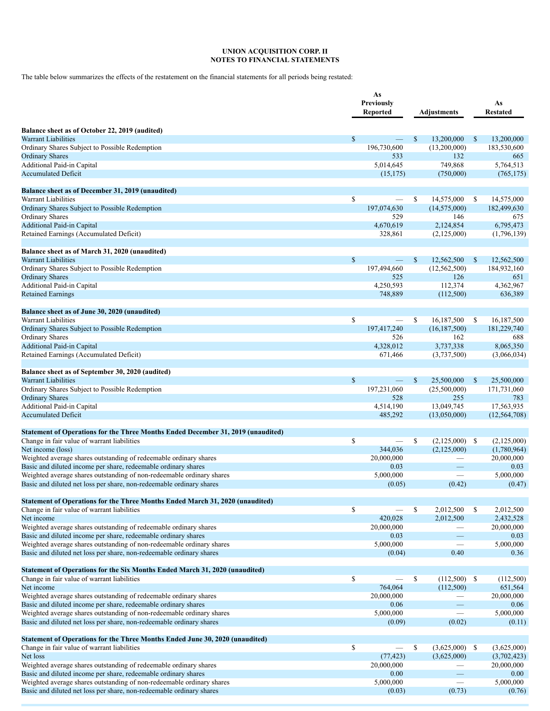The table below summarizes the effects of the restatement on the financial statements for all periods being restated:

|                                                                                                                                               | As<br>Previously<br><b>Reported</b> |              | <b>Adjustments</b>              |              | As<br><b>Restated</b>     |
|-----------------------------------------------------------------------------------------------------------------------------------------------|-------------------------------------|--------------|---------------------------------|--------------|---------------------------|
| Balance sheet as of October 22, 2019 (audited)                                                                                                |                                     |              |                                 |              |                           |
| <b>Warrant Liabilities</b><br>Ordinary Shares Subject to Possible Redemption                                                                  | \$<br>196,730,600                   | $\mathbb{S}$ | 13,200,000<br>(13,200,000)      | $\mathbb{S}$ | 13,200,000<br>183,530,600 |
| <b>Ordinary Shares</b>                                                                                                                        | 533                                 |              | 132                             |              | 665                       |
| Additional Paid-in Capital                                                                                                                    | 5,014,645                           |              | 749,868                         |              | 5,764,513                 |
| <b>Accumulated Deficit</b>                                                                                                                    | (15, 175)                           |              | (750,000)                       |              | (765, 175)                |
| Balance sheet as of December 31, 2019 (unaudited)                                                                                             |                                     |              |                                 |              |                           |
| Warrant Liabilities                                                                                                                           | \$                                  | \$           | 14,575,000                      | \$           | 14,575,000                |
| Ordinary Shares Subject to Possible Redemption                                                                                                | 197,074,630                         |              | (14, 575, 000)                  |              | 182,499,630               |
| Ordinary Shares                                                                                                                               | 529                                 |              | 146                             |              | 675                       |
| Additional Paid-in Capital                                                                                                                    | 4,670,619                           |              | 2,124,854                       |              | 6,795,473                 |
| Retained Earnings (Accumulated Deficit)                                                                                                       | 328,861                             |              | (2,125,000)                     |              | (1,796,139)               |
| Balance sheet as of March 31, 2020 (unaudited)                                                                                                |                                     |              |                                 |              |                           |
| Warrant Liabilities                                                                                                                           | \$                                  | $\mathbb{S}$ | 12,562,500                      | $\mathbb{S}$ | 12,562,500                |
| Ordinary Shares Subject to Possible Redemption                                                                                                | 197,494,660                         |              | (12, 562, 500)                  |              | 184,932,160               |
| <b>Ordinary Shares</b><br>Additional Paid-in Capital                                                                                          | 525<br>4,250,593                    |              | 126<br>112,374                  |              | 651<br>4,362,967          |
| <b>Retained Earnings</b>                                                                                                                      | 748,889                             |              | (112,500)                       |              | 636,389                   |
|                                                                                                                                               |                                     |              |                                 |              |                           |
| Balance sheet as of June 30, 2020 (unaudited)                                                                                                 |                                     |              |                                 |              |                           |
| Warrant Liabilities                                                                                                                           | \$                                  | \$           | 16,187,500                      | \$           | 16,187,500                |
| Ordinary Shares Subject to Possible Redemption<br><b>Ordinary Shares</b>                                                                      | 197,417,240<br>526                  |              | (16, 187, 500)<br>162           |              | 181,229,740<br>688        |
| <b>Additional Paid-in Capital</b>                                                                                                             | 4,328,012                           |              | 3,737,338                       |              | 8,065,350                 |
| Retained Earnings (Accumulated Deficit)                                                                                                       | 671,466                             |              | (3,737,500)                     |              | (3,066,034)               |
|                                                                                                                                               |                                     |              |                                 |              |                           |
| Balance sheet as of September 30, 2020 (audited)                                                                                              |                                     |              |                                 |              |                           |
| Warrant Liabilities                                                                                                                           | \$<br>$\overline{\phantom{0}}$      | $\mathbb{S}$ | 25,500,000                      | $\mathbb{S}$ | 25,500,000                |
| Ordinary Shares Subject to Possible Redemption<br><b>Ordinary Shares</b>                                                                      | 197,231,060<br>528                  |              | (25,500,000)<br>255             |              | 171,731,060<br>783        |
| Additional Paid-in Capital                                                                                                                    | 4,514,190                           |              | 13,049,745                      |              | 17,563,935                |
| <b>Accumulated Deficit</b>                                                                                                                    | 485,292                             |              | (13,050,000)                    |              | (12, 564, 708)            |
|                                                                                                                                               |                                     |              |                                 |              |                           |
| Statement of Operations for the Three Months Ended December 31, 2019 (unaudited)<br>Change in fair value of warrant liabilities               | \$<br>$\overline{\phantom{m}}$      | \$           | $(2,125,000)$ \$                |              | (2,125,000)               |
| Net income (loss)                                                                                                                             | 344,036                             |              | (2,125,000)                     |              | (1,780,964)               |
| Weighted average shares outstanding of redeemable ordinary shares                                                                             | 20,000,000                          |              |                                 |              | 20,000,000                |
| Basic and diluted income per share, redeemable ordinary shares                                                                                | 0.03                                |              |                                 |              | 0.03                      |
| Weighted average shares outstanding of non-redeemable ordinary shares                                                                         | 5,000,000                           |              | $\overline{\phantom{m}}$        |              | 5,000,000                 |
| Basic and diluted net loss per share, non-redeemable ordinary shares                                                                          | (0.05)                              |              | (0.42)                          |              | (0.47)                    |
| Statement of Operations for the Three Months Ended March 31, 2020 (unaudited)                                                                 |                                     |              |                                 |              |                           |
| Change in fair value of warrant liabilities                                                                                                   | \$                                  | \$           | 2,012,500                       | \$           | 2,012,500                 |
| Net income                                                                                                                                    | 420,028                             |              | 2,012,500                       |              | 2,432,528                 |
| Weighted average shares outstanding of redeemable ordinary shares<br>Basic and diluted income per share, redeemable ordinary shares           | 20,000,000<br>0.03                  |              | $\hspace{0.1mm}-\hspace{0.1mm}$ |              | 20,000,000<br>0.03        |
| Weighted average shares outstanding of non-redeemable ordinary shares                                                                         | 5,000,000                           |              |                                 |              | 5,000,000                 |
| Basic and diluted net loss per share, non-redeemable ordinary shares                                                                          | (0.04)                              |              | 0.40                            |              | 0.36                      |
|                                                                                                                                               |                                     |              |                                 |              |                           |
| Statement of Operations for the Six Months Ended March 31, 2020 (unaudited)<br>Change in fair value of warrant liabilities                    | \$                                  | \$           | $(112,500)$ \$                  |              | (112,500)                 |
| Net income                                                                                                                                    | 764,064                             |              | (112,500)                       |              | 651,564                   |
| Weighted average shares outstanding of redeemable ordinary shares                                                                             | 20,000,000                          |              |                                 |              | 20,000,000                |
| Basic and diluted income per share, redeemable ordinary shares                                                                                | 0.06                                |              |                                 |              | 0.06                      |
| Weighted average shares outstanding of non-redeemable ordinary shares                                                                         | 5,000,000                           |              |                                 |              | 5,000,000                 |
| Basic and diluted net loss per share, non-redeemable ordinary shares                                                                          | (0.09)                              |              | (0.02)                          |              | (0.11)                    |
| <b>Statement of Operations for the Three Months Ended June 30, 2020 (unaudited)</b>                                                           |                                     |              |                                 |              |                           |
| Change in fair value of warrant liabilities                                                                                                   | \$                                  | \$           | $(3,625,000)$ \$                |              | (3,625,000)               |
| Net loss                                                                                                                                      | (77, 423)                           |              | (3,625,000)                     |              | (3,702,423)               |
| Weighted average shares outstanding of redeemable ordinary shares                                                                             | 20,000,000                          |              |                                 |              | 20,000,000                |
| Basic and diluted income per share, redeemable ordinary shares                                                                                | 0.00                                |              |                                 |              | 0.00<br>5,000,000         |
| Weighted average shares outstanding of non-redeemable ordinary shares<br>Basic and diluted net loss per share, non-redeemable ordinary shares | 5,000,000<br>(0.03)                 |              | (0.73)                          |              | (0.76)                    |
|                                                                                                                                               |                                     |              |                                 |              |                           |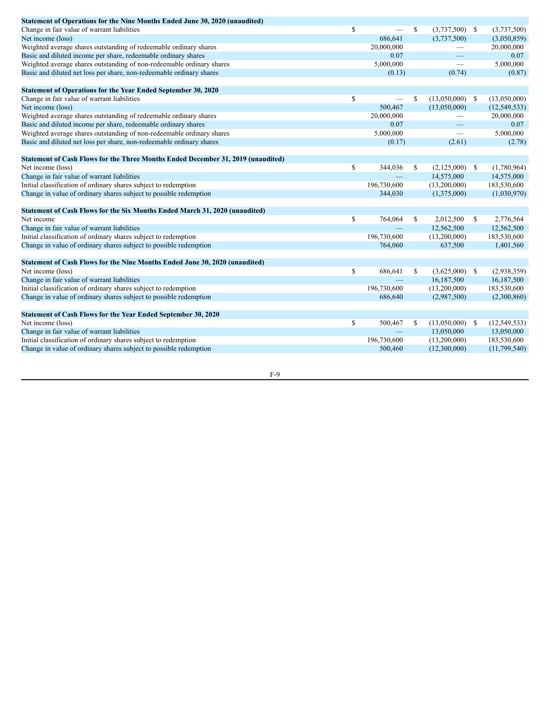| Statement of Operations for the Nine Months Ended June 30, 2020 (unaudited)        |               |    |                   |              |                |
|------------------------------------------------------------------------------------|---------------|----|-------------------|--------------|----------------|
| Change in fair value of warrant liabilities                                        | \$            | \$ | $(3,737,500)$ \$  |              | (3,737,500)    |
| Net income (loss)                                                                  | 686,641       |    | (3,737,500)       |              | (3,050,859)    |
| Weighted average shares outstanding of redeemable ordinary shares                  | 20,000,000    |    |                   |              | 20,000,000     |
| Basic and diluted income per share, redeemable ordinary shares                     | 0.07          |    |                   |              | 0.07           |
| Weighted average shares outstanding of non-redeemable ordinary shares              | 5,000,000     |    |                   |              | 5,000,000      |
| Basic and diluted net loss per share, non-redeemable ordinary shares               | (0.13)        |    | (0.74)            |              | (0.87)         |
| <b>Statement of Operations for the Year Ended September 30, 2020</b>               |               |    |                   |              |                |
| Change in fair value of warrant liabilities                                        | \$            | \$ | $(13,050,000)$ \$ |              | (13,050,000)   |
| Net income (loss)                                                                  | 500,467       |    | (13,050,000)      |              | (12, 549, 533) |
| Weighted average shares outstanding of redeemable ordinary shares                  | 20,000,000    |    |                   |              | 20,000,000     |
| Basic and diluted income per share, redeemable ordinary shares                     | 0.07          |    |                   |              | 0.07           |
| Weighted average shares outstanding of non-redeemable ordinary shares              | 5,000,000     |    |                   |              | 5,000,000      |
| Basic and diluted net loss per share, non-redeemable ordinary shares               | (0.17)        |    | (2.61)            |              | (2.78)         |
| Statement of Cash Flows for the Three Months Ended December 31, 2019 (unaudited)   |               |    |                   |              |                |
| Net income (loss)                                                                  | \$<br>344,036 | S. | $(2,125,000)$ \$  |              | (1,780,964)    |
| Change in fair value of warrant liabilities                                        |               |    | 14,575,000        |              | 14,575,000     |
| Initial classification of ordinary shares subject to redemption                    | 196,730,600   |    | (13,200,000)      |              | 183,530,600    |
| Change in value of ordinary shares subject to possible redemption                  | 344,030       |    | (1,375,000)       |              | (1,030,970)    |
| <b>Statement of Cash Flows for the Six Months Ended March 31, 2020 (unaudited)</b> |               |    |                   |              |                |
| Net income                                                                         | \$<br>764,064 | \$ | 2,012,500         | <sup>S</sup> | 2,776,564      |
| Change in fair value of warrant liabilities                                        |               |    | 12,562,500        |              | 12,562,500     |
| Initial classification of ordinary shares subject to redemption                    | 196,730,600   |    | (13,200,000)      |              | 183,530,600    |
| Change in value of ordinary shares subject to possible redemption                  | 764,060       |    | 637,500           |              | 1,401,560      |
| Statement of Cash Flows for the Nine Months Ended June 30, 2020 (unaudited)        |               |    |                   |              |                |
| Net income (loss)                                                                  | \$<br>686,641 | \$ | $(3,625,000)$ \$  |              | (2,938,359)    |
| Change in fair value of warrant liabilities                                        |               |    | 16,187,500        |              | 16,187,500     |
| Initial classification of ordinary shares subject to redemption                    | 196,730,600   |    | (13,200,000)      |              | 183,530,600    |
| Change in value of ordinary shares subject to possible redemption                  | 686,640       |    | (2,987,500)       |              | (2,300,860)    |
| Statement of Cash Flows for the Year Ended September 30, 2020                      |               |    |                   |              |                |
| Net income (loss)                                                                  | \$<br>500,467 | S. | $(13,050,000)$ \$ |              | (12, 549, 533) |
| Change in fair value of warrant liabilities                                        |               |    | 13,050,000        |              | 13,050,000     |
| Initial classification of ordinary shares subject to redemption                    | 196,730,600   |    | (13,200,000)      |              | 183,530,600    |
| Change in value of ordinary shares subject to possible redemption                  | 500,460       |    | (12,300,000)      |              | (11,799,540)   |
|                                                                                    |               |    |                   |              |                |

F-9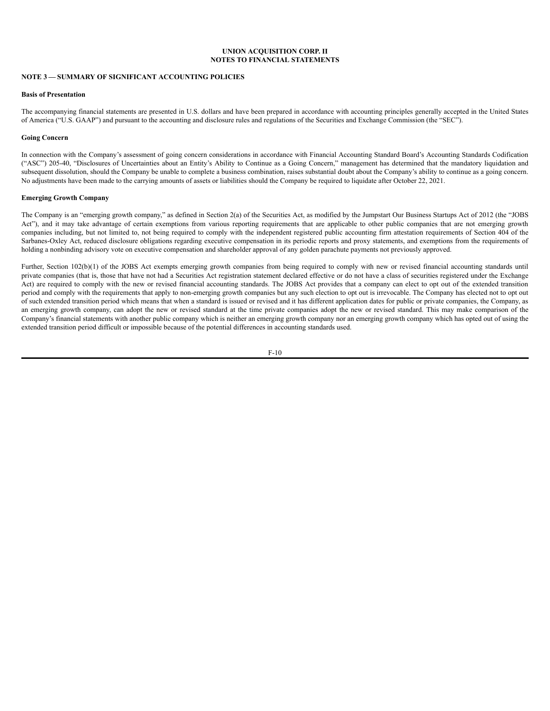# **NOTE 3 — SUMMARY OF SIGNIFICANT ACCOUNTING POLICIES**

#### **Basis of Presentation**

The accompanying financial statements are presented in U.S. dollars and have been prepared in accordance with accounting principles generally accepted in the United States of America ("U.S. GAAP") and pursuant to the accounting and disclosure rules and regulations of the Securities and Exchange Commission (the "SEC").

## **Going Concern**

In connection with the Company's assessment of going concern considerations in accordance with Financial Accounting Standard Board's Accounting Standards Codification ("ASC") 205-40, "Disclosures of Uncertainties about an Entity's Ability to Continue as a Going Concern," management has determined that the mandatory liquidation and subsequent dissolution, should the Company be unable to complete a business combination, raises substantial doubt about the Company's ability to continue as a going concern. No adjustments have been made to the carrying amounts of assets or liabilities should the Company be required to liquidate after October 22, 2021.

## **Emerging Growth Company**

The Company is an "emerging growth company," as defined in Section 2(a) of the Securities Act, as modified by the Jumpstart Our Business Startups Act of 2012 (the "JOBS Act"), and it may take advantage of certain exemptions from various reporting requirements that are applicable to other public companies that are not emerging growth companies including, but not limited to, not being required to comply with the independent registered public accounting firm attestation requirements of Section 404 of the Sarbanes-Oxley Act, reduced disclosure obligations regarding executive compensation in its periodic reports and proxy statements, and exemptions from the requirements of holding a nonbinding advisory vote on executive compensation and shareholder approval of any golden parachute payments not previously approved.

Further, Section 102(b)(1) of the JOBS Act exempts emerging growth companies from being required to comply with new or revised financial accounting standards until private companies (that is, those that have not had a Securities Act registration statement declared effective or do not have a class of securities registered under the Exchange Act) are required to comply with the new or revised financial accounting standards. The JOBS Act provides that a company can elect to opt out of the extended transition period and comply with the requirements that apply to non-emerging growth companies but any such election to opt out is irrevocable. The Company has elected not to opt out of such extended transition period which means that when a standard is issued or revised and it has different application dates for public or private companies, the Company, as an emerging growth company, can adopt the new or revised standard at the time private companies adopt the new or revised standard. This may make comparison of the Company's financial statements with another public company which is neither an emerging growth company nor an emerging growth company which has opted out of using the extended transition period difficult or impossible because of the potential differences in accounting standards used.

$$
F-10
$$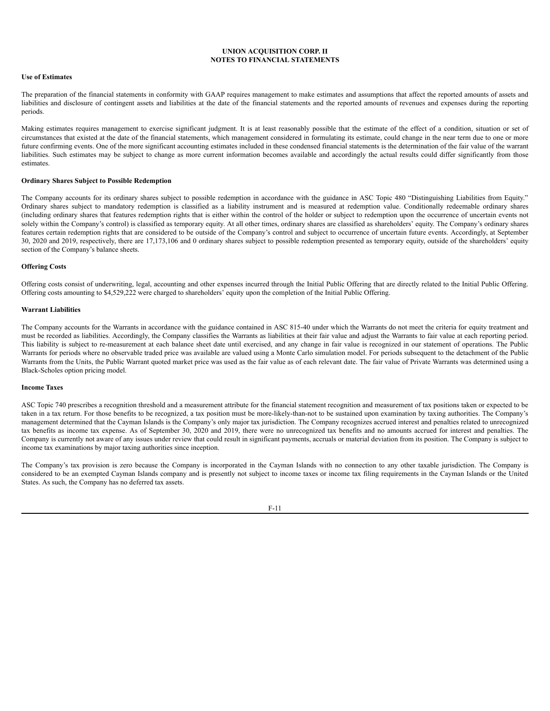## **Use of Estimates**

The preparation of the financial statements in conformity with GAAP requires management to make estimates and assumptions that affect the reported amounts of assets and liabilities and disclosure of contingent assets and liabilities at the date of the financial statements and the reported amounts of revenues and expenses during the reporting periods.

Making estimates requires management to exercise significant judgment. It is at least reasonably possible that the estimate of the effect of a condition, situation or set of circumstances that existed at the date of the financial statements, which management considered in formulating its estimate, could change in the near term due to one or more future confirming events. One of the more significant accounting estimates included in these condensed financial statements is the determination of the fair value of the warrant liabilities. Such estimates may be subject to change as more current information becomes available and accordingly the actual results could differ significantly from those estimates.

#### **Ordinary Shares Subject to Possible Redemption**

The Company accounts for its ordinary shares subject to possible redemption in accordance with the guidance in ASC Topic 480 "Distinguishing Liabilities from Equity." Ordinary shares subject to mandatory redemption is classified as a liability instrument and is measured at redemption value. Conditionally redeemable ordinary shares (including ordinary shares that features redemption rights that is either within the control of the holder or subject to redemption upon the occurrence of uncertain events not solely within the Company's control) is classified as temporary equity. At all other times, ordinary shares are classified as shareholders' equity. The Company's ordinary shares features certain redemption rights that are considered to be outside of the Company's control and subject to occurrence of uncertain future events. Accordingly, at September 30, 2020 and 2019, respectively, there are 17,173,106 and 0 ordinary shares subject to possible redemption presented as temporary equity, outside of the shareholders' equity section of the Company's balance sheets.

#### **Offering Costs**

Offering costs consist of underwriting, legal, accounting and other expenses incurred through the Initial Public Offering that are directly related to the Initial Public Offering. Offering costs amounting to \$4,529,222 were charged to shareholders' equity upon the completion of the Initial Public Offering.

#### **Warrant Liabilities**

The Company accounts for the Warrants in accordance with the guidance contained in ASC 815-40 under which the Warrants do not meet the criteria for equity treatment and must be recorded as liabilities. Accordingly, the Company classifies the Warrants as liabilities at their fair value and adjust the Warrants to fair value at each reporting period. This liability is subject to re-measurement at each balance sheet date until exercised, and any change in fair value is recognized in our statement of operations. The Public Warrants for periods where no observable traded price was available are valued using a Monte Carlo simulation model. For periods subsequent to the detachment of the Public Warrants from the Units, the Public Warrant quoted market price was used as the fair value as of each relevant date. The fair value of Private Warrants was determined using a Black-Scholes option pricing model.

#### **Income Taxes**

ASC Topic 740 prescribes a recognition threshold and a measurement attribute for the financial statement recognition and measurement of tax positions taken or expected to be taken in a tax return. For those benefits to be recognized, a tax position must be more-likely-than-not to be sustained upon examination by taxing authorities. The Company's management determined that the Cayman Islands is the Company's only major tax jurisdiction. The Company recognizes accrued interest and penalties related to unrecognized tax benefits as income tax expense. As of September 30, 2020 and 2019, there were no unrecognized tax benefits and no amounts accrued for interest and penalties. The Company is currently not aware of any issues under review that could result in significant payments, accruals or material deviation from its position. The Company is subject to income tax examinations by major taxing authorities since inception.

The Company's tax provision is zero because the Company is incorporated in the Cayman Islands with no connection to any other taxable jurisdiction. The Company is considered to be an exempted Cayman Islands company and is presently not subject to income taxes or income tax filing requirements in the Cayman Islands or the United States. As such, the Company has no deferred tax assets.

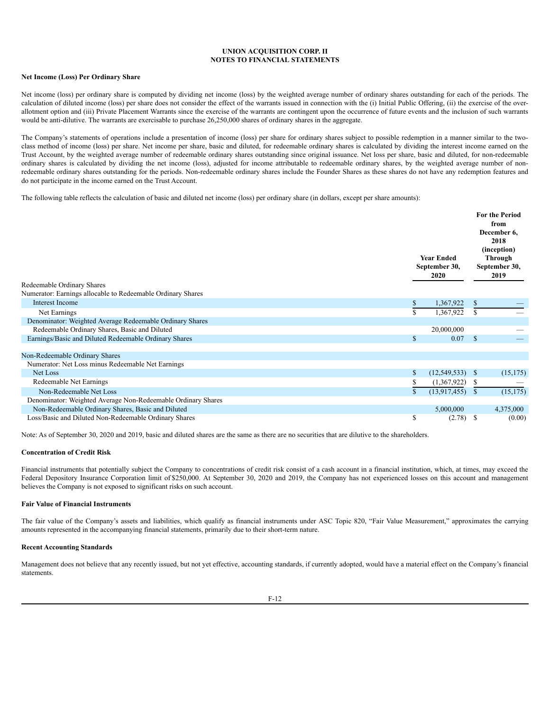## **Net Income (Loss) Per Ordinary Share**

Net income (loss) per ordinary share is computed by dividing net income (loss) by the weighted average number of ordinary shares outstanding for each of the periods. The calculation of diluted income (loss) per share does not consider the effect of the warrants issued in connection with the (i) Initial Public Offering, (ii) the exercise of the overallotment option and (iii) Private Placement Warrants since the exercise of the warrants are contingent upon the occurrence of future events and the inclusion of such warrants would be anti-dilutive. The warrants are exercisable to purchase 26,250,000 shares of ordinary shares in the aggregate.

The Company's statements of operations include a presentation of income (loss) per share for ordinary shares subject to possible redemption in a manner similar to the twoclass method of income (loss) per share. Net income per share, basic and diluted, for redeemable ordinary shares is calculated by dividing the interest income earned on the Trust Account, by the weighted average number of redeemable ordinary shares outstanding since original issuance. Net loss per share, basic and diluted, for non-redeemable ordinary shares is calculated by dividing the net income (loss), adjusted for income attributable to redeemable ordinary shares, by the weighted average number of nonredeemable ordinary shares outstanding for the periods. Non-redeemable ordinary shares include the Founder Shares as these shares do not have any redemption features and do not participate in the income earned on the Trust Account.

The following table reflects the calculation of basic and diluted net income (loss) per ordinary share (in dollars, except per share amounts):

|                                                              |    | <b>Year Ended</b><br>September 30,<br><b>2020</b> |              | <b>For the Period</b><br>from<br>December 6,<br>2018<br>(inception)<br>Through<br>September 30,<br>2019 |
|--------------------------------------------------------------|----|---------------------------------------------------|--------------|---------------------------------------------------------------------------------------------------------|
| Redeemable Ordinary Shares                                   |    |                                                   |              |                                                                                                         |
| Numerator: Earnings allocable to Redeemable Ordinary Shares  |    |                                                   |              |                                                                                                         |
| Interest Income                                              | \$ | 1,367,922                                         | \$           |                                                                                                         |
| Net Earnings                                                 | \$ | 1,367,922                                         | S            |                                                                                                         |
| Denominator: Weighted Average Redeemable Ordinary Shares     |    |                                                   |              |                                                                                                         |
| Redeemable Ordinary Shares, Basic and Diluted                |    | 20,000,000                                        |              |                                                                                                         |
| Earnings/Basic and Diluted Redeemable Ordinary Shares        | \$ | 0.07                                              | $\mathbf{s}$ |                                                                                                         |
|                                                              |    |                                                   |              |                                                                                                         |
| Non-Redeemable Ordinary Shares                               |    |                                                   |              |                                                                                                         |
| Numerator: Net Loss minus Redeemable Net Earnings            |    |                                                   |              |                                                                                                         |
| Net Loss                                                     | \$ | (12, 549, 533)                                    | <sup>S</sup> | (15, 175)                                                                                               |
| Redeemable Net Earnings                                      | S. | (1,367,922)                                       | S            |                                                                                                         |
| Non-Redeemable Net Loss                                      |    | (13,917,455)                                      | S            | (15, 175)                                                                                               |
| Denominator: Weighted Average Non-Redeemable Ordinary Shares |    |                                                   |              |                                                                                                         |
| Non-Redeemable Ordinary Shares, Basic and Diluted            |    | 5,000,000                                         |              | 4,375,000                                                                                               |
| Loss/Basic and Diluted Non-Redeemable Ordinary Shares        | \$ | (2.78)                                            | S            | (0.00)                                                                                                  |

Note: As of September 30, 2020 and 2019, basic and diluted shares are the same as there are no securities that are dilutive to the shareholders.

#### **Concentration of Credit Risk**

Financial instruments that potentially subject the Company to concentrations of credit risk consist of a cash account in a financial institution, which, at times, may exceed the Federal Depository Insurance Corporation limit of \$250,000. At September 30, 2020 and 2019, the Company has not experienced losses on this account and management believes the Company is not exposed to significant risks on such account.

## **Fair Value of Financial Instruments**

The fair value of the Company's assets and liabilities, which qualify as financial instruments under ASC Topic 820, "Fair Value Measurement," approximates the carrying amounts represented in the accompanying financial statements, primarily due to their short-term nature.

#### **Recent Accounting Standards**

Management does not believe that any recently issued, but not yet effective, accounting standards, if currently adopted, would have a material effect on the Company's financial statements.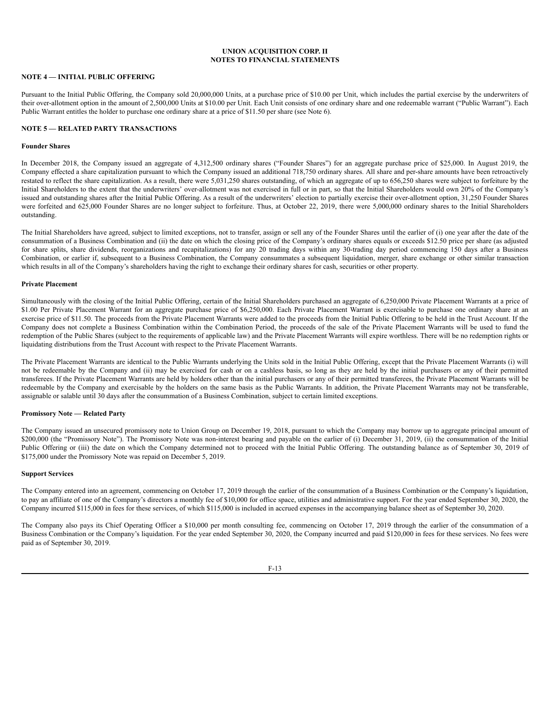# **NOTE 4 — INITIAL PUBLIC OFFERING**

Pursuant to the Initial Public Offering, the Company sold 20,000,000 Units, at a purchase price of \$10.00 per Unit, which includes the partial exercise by the underwriters of their over-allotment option in the amount of 2,500,000 Units at \$10.00 per Unit. Each Unit consists of one ordinary share and one redeemable warrant ("Public Warrant"). Each Public Warrant entitles the holder to purchase one ordinary share at a price of \$11.50 per share (see Note 6).

## **NOTE 5 — RELATED PARTY TRANSACTIONS**

## **Founder Shares**

In December 2018, the Company issued an aggregate of 4,312,500 ordinary shares ("Founder Shares") for an aggregate purchase price of \$25,000. In August 2019, the Company effected a share capitalization pursuant to which the Company issued an additional 718,750 ordinary shares. All share and per-share amounts have been retroactively restated to reflect the share capitalization. As a result, there were 5,031,250 shares outstanding, of which an aggregate of up to 656,250 shares were subject to forfeiture by the Initial Shareholders to the extent that the underwriters' over-allotment was not exercised in full or in part, so that the Initial Shareholders would own 20% of the Company's issued and outstanding shares after the Initial Public Offering. As a result of the underwriters' election to partially exercise their over-allotment option, 31,250 Founder Shares were forfeited and 625,000 Founder Shares are no longer subject to forfeiture. Thus, at October 22, 2019, there were 5,000,000 ordinary shares to the Initial Shareholders outstanding.

The Initial Shareholders have agreed, subject to limited exceptions, not to transfer, assign or sell any of the Founder Shares until the earlier of (i) one year after the date of the consummation of a Business Combination and (ii) the date on which the closing price of the Company's ordinary shares equals or exceeds \$12.50 price per share (as adjusted for share splits, share dividends, reorganizations and recapitalizations) for any 20 trading days within any 30-trading day period commencing 150 days after a Business Combination, or earlier if, subsequent to a Business Combination, the Company consummates a subsequent liquidation, merger, share exchange or other similar transaction which results in all of the Company's shareholders having the right to exchange their ordinary shares for cash, securities or other property.

#### **Private Placement**

Simultaneously with the closing of the Initial Public Offering, certain of the Initial Shareholders purchased an aggregate of 6,250,000 Private Placement Warrants at a price of \$1.00 Per Private Placement Warrant for an aggregate purchase price of \$6,250,000. Each Private Placement Warrant is exercisable to purchase one ordinary share at an exercise price of \$11.50. The proceeds from the Private Placement Warrants were added to the proceeds from the Initial Public Offering to be held in the Trust Account. If the Company does not complete a Business Combination within the Combination Period, the proceeds of the sale of the Private Placement Warrants will be used to fund the redemption of the Public Shares (subject to the requirements of applicable law) and the Private Placement Warrants will expire worthless. There will be no redemption rights or liquidating distributions from the Trust Account with respect to the Private Placement Warrants.

The Private Placement Warrants are identical to the Public Warrants underlying the Units sold in the Initial Public Offering, except that the Private Placement Warrants (i) will not be redeemable by the Company and (ii) may be exercised for cash or on a cashless basis, so long as they are held by the initial purchasers or any of their permitted transferees. If the Private Placement Warrants are held by holders other than the initial purchasers or any of their permitted transferees, the Private Placement Warrants will be redeemable by the Company and exercisable by the holders on the same basis as the Public Warrants. In addition, the Private Placement Warrants may not be transferable, assignable or salable until 30 days after the consummation of a Business Combination, subject to certain limited exceptions.

#### **Promissory Note — Related Party**

The Company issued an unsecured promissory note to Union Group on December 19, 2018, pursuant to which the Company may borrow up to aggregate principal amount of \$200,000 (the "Promissory Note"). The Promissory Note was non-interest bearing and payable on the earlier of (i) December 31, 2019, (ii) the consummation of the Initial Public Offering or (iii) the date on which the Company determined not to proceed with the Initial Public Offering. The outstanding balance as of September 30, 2019 of \$175,000 under the Promissory Note was repaid on December 5, 2019.

#### **Support Services**

The Company entered into an agreement, commencing on October 17, 2019 through the earlier of the consummation of a Business Combination or the Company's liquidation, to pay an affiliate of one of the Company's directors a monthly fee of \$10,000 for office space, utilities and administrative support. For the year ended September 30, 2020, the Company incurred \$115,000 in fees for these services, of which \$115,000 is included in accrued expenses in the accompanying balance sheet as of September 30, 2020.

The Company also pays its Chief Operating Officer a \$10,000 per month consulting fee, commencing on October 17, 2019 through the earlier of the consummation of a Business Combination or the Company's liquidation. For the year ended September 30, 2020, the Company incurred and paid \$120,000 in fees for these services. No fees were paid as of September 30, 2019.

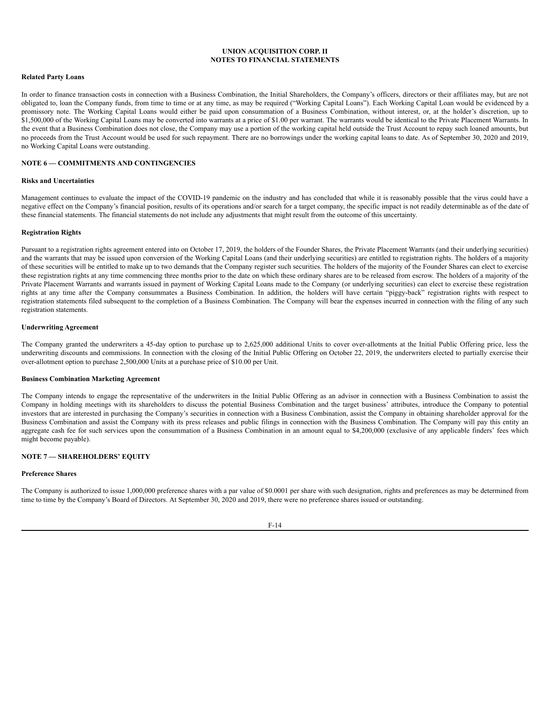#### **Related Party Loans**

In order to finance transaction costs in connection with a Business Combination, the Initial Shareholders, the Company's officers, directors or their affiliates may, but are not obligated to, loan the Company funds, from time to time or at any time, as may be required ("Working Capital Loans"). Each Working Capital Loan would be evidenced by a promissory note. The Working Capital Loans would either be paid upon consummation of a Business Combination, without interest, or, at the holder's discretion, up to \$1,500,000 of the Working Capital Loans may be converted into warrants at a price of \$1.00 per warrant. The warrants would be identical to the Private Placement Warrants. In the event that a Business Combination does not close, the Company may use a portion of the working capital held outside the Trust Account to repay such loaned amounts, but no proceeds from the Trust Account would be used for such repayment. There are no borrowings under the working capital loans to date. As of September 30, 2020 and 2019, no Working Capital Loans were outstanding.

### **NOTE 6 — COMMITMENTS AND CONTINGENCIES**

## **Risks and Uncertainties**

Management continues to evaluate the impact of the COVID-19 pandemic on the industry and has concluded that while it is reasonably possible that the virus could have a negative effect on the Company's financial position, results of its operations and/or search for a target company, the specific impact is not readily determinable as of the date of these financial statements. The financial statements do not include any adjustments that might result from the outcome of this uncertainty.

### **Registration Rights**

Pursuant to a registration rights agreement entered into on October 17, 2019, the holders of the Founder Shares, the Private Placement Warrants (and their underlying securities) and the warrants that may be issued upon conversion of the Working Capital Loans (and their underlying securities) are entitled to registration rights. The holders of a majority of these securities will be entitled to make up to two demands that the Company register such securities. The holders of the majority of the Founder Shares can elect to exercise these registration rights at any time commencing three months prior to the date on which these ordinary shares are to be released from escrow. The holders of a majority of the Private Placement Warrants and warrants issued in payment of Working Capital Loans made to the Company (or underlying securities) can elect to exercise these registration rights at any time after the Company consummates a Business Combination. In addition, the holders will have certain "piggy-back" registration rights with respect to registration statements filed subsequent to the completion of a Business Combination. The Company will bear the expenses incurred in connection with the filing of any such registration statements.

## **Underwriting Agreement**

The Company granted the underwriters a 45-day option to purchase up to 2,625,000 additional Units to cover over-allotments at the Initial Public Offering price, less the underwriting discounts and commissions. In connection with the closing of the Initial Public Offering on October 22, 2019, the underwriters elected to partially exercise their over-allotment option to purchase 2,500,000 Units at a purchase price of \$10.00 per Unit.

### **Business Combination Marketing Agreement**

The Company intends to engage the representative of the underwriters in the Initial Public Offering as an advisor in connection with a Business Combination to assist the Company in holding meetings with its shareholders to discuss the potential Business Combination and the target business' attributes, introduce the Company to potential investors that are interested in purchasing the Company's securities in connection with a Business Combination, assist the Company in obtaining shareholder approval for the Business Combination and assist the Company with its press releases and public filings in connection with the Business Combination. The Company will pay this entity an aggregate cash fee for such services upon the consummation of a Business Combination in an amount equal to \$4,200,000 (exclusive of any applicable finders' fees which might become payable).

## **NOTE 7 — SHAREHOLDERS' EQUITY**

## **Preference Shares**

The Company is authorized to issue 1,000,000 preference shares with a par value of \$0.0001 per share with such designation, rights and preferences as may be determined from time to time by the Company's Board of Directors. At September 30, 2020 and 2019, there were no preference shares issued or outstanding.

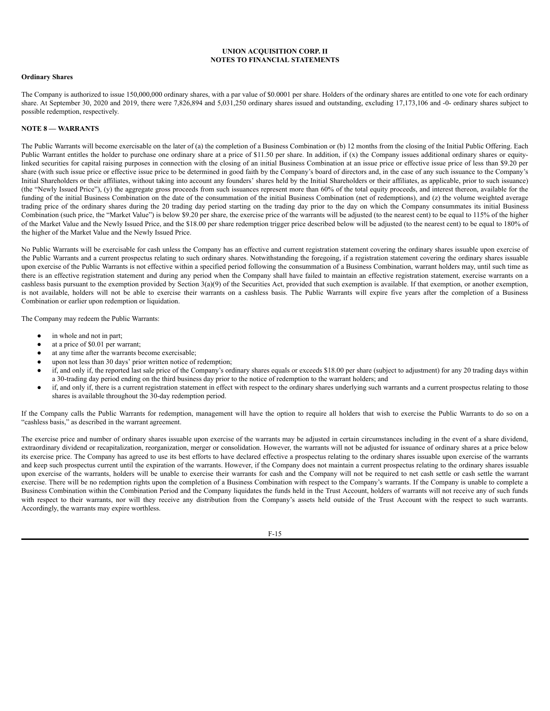## **Ordinary Shares**

The Company is authorized to issue 150,000,000 ordinary shares, with a par value of \$0.0001 per share. Holders of the ordinary shares are entitled to one vote for each ordinary share. At September 30, 2020 and 2019, there were 7,826,894 and 5,031,250 ordinary shares issued and outstanding, excluding 17,173,106 and -0- ordinary shares subject to possible redemption, respectively.

## **NOTE 8 — WARRANTS**

The Public Warrants will become exercisable on the later of (a) the completion of a Business Combination or (b) 12 months from the closing of the Initial Public Offering. Each Public Warrant entitles the holder to purchase one ordinary share at a price of \$11.50 per share. In addition, if (x) the Company issues additional ordinary shares or equitylinked securities for capital raising purposes in connection with the closing of an initial Business Combination at an issue price or effective issue price of less than \$9.20 per share (with such issue price or effective issue price to be determined in good faith by the Company's board of directors and, in the case of any such issuance to the Company's Initial Shareholders or their affiliates, without taking into account any founders' shares held by the Initial Shareholders or their affiliates, as applicable, prior to such issuance) (the "Newly Issued Price"), (y) the aggregate gross proceeds from such issuances represent more than 60% of the total equity proceeds, and interest thereon, available for the funding of the initial Business Combination on the date of the consummation of the initial Business Combination (net of redemptions), and (z) the volume weighted average trading price of the ordinary shares during the 20 trading day period starting on the trading day prior to the day on which the Company consummates its initial Business Combination (such price, the "Market Value") is below \$9.20 per share, the exercise price of the warrants will be adjusted (to the nearest cent) to be equal to 115% of the higher of the Market Value and the Newly Issued Price, and the \$18.00 per share redemption trigger price described below will be adjusted (to the nearest cent) to be equal to 180% of the higher of the Market Value and the Newly Issued Price.

No Public Warrants will be exercisable for cash unless the Company has an effective and current registration statement covering the ordinary shares issuable upon exercise of the Public Warrants and a current prospectus relating to such ordinary shares. Notwithstanding the foregoing, if a registration statement covering the ordinary shares issuable upon exercise of the Public Warrants is not effective within a specified period following the consummation of a Business Combination, warrant holders may, until such time as there is an effective registration statement and during any period when the Company shall have failed to maintain an effective registration statement, exercise warrants on a cashless basis pursuant to the exemption provided by Section 3(a)(9) of the Securities Act, provided that such exemption is available. If that exemption, or another exemption, is not available, holders will not be able to exercise their warrants on a cashless basis. The Public Warrants will expire five years after the completion of a Business Combination or earlier upon redemption or liquidation.

The Company may redeem the Public Warrants:

- in whole and not in part;
- at a price of \$0.01 per warrant;
- at any time after the warrants become exercisable;
- upon not less than 30 days' prior written notice of redemption;
- if, and only if, the reported last sale price of the Company's ordinary shares equals or exceeds \$18.00 per share (subject to adjustment) for any 20 trading days within a 30-trading day period ending on the third business day prior to the notice of redemption to the warrant holders; and
- if, and only if, there is a current registration statement in effect with respect to the ordinary shares underlying such warrants and a current prospectus relating to those shares is available throughout the 30-day redemption period.

If the Company calls the Public Warrants for redemption, management will have the option to require all holders that wish to exercise the Public Warrants to do so on a "cashless basis," as described in the warrant agreement.

The exercise price and number of ordinary shares issuable upon exercise of the warrants may be adjusted in certain circumstances including in the event of a share dividend, extraordinary dividend or recapitalization, reorganization, merger or consolidation. However, the warrants will not be adjusted for issuance of ordinary shares at a price below its exercise price. The Company has agreed to use its best efforts to have declared effective a prospectus relating to the ordinary shares issuable upon exercise of the warrants and keep such prospectus current until the expiration of the warrants. However, if the Company does not maintain a current prospectus relating to the ordinary shares issuable upon exercise of the warrants, holders will be unable to exercise their warrants for cash and the Company will not be required to net cash settle or cash settle the warrant exercise. There will be no redemption rights upon the completion of a Business Combination with respect to the Company's warrants. If the Company is unable to complete a Business Combination within the Combination Period and the Company liquidates the funds held in the Trust Account, holders of warrants will not receive any of such funds with respect to their warrants, nor will they receive any distribution from the Company's assets held outside of the Trust Account with the respect to such warrants. Accordingly, the warrants may expire worthless.

F-15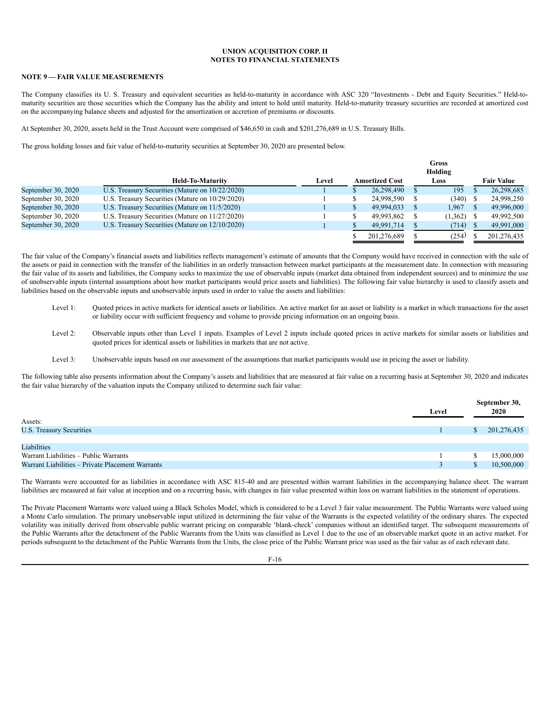# **NOTE 9 — FAIR VALUE MEASUREMENTS**

The Company classifies its U. S. Treasury and equivalent securities as held-to-maturity in accordance with ASC 320 "Investments - Debt and Equity Securities." Held-tomaturity securities are those securities which the Company has the ability and intent to hold until maturity. Held-to-maturity treasury securities are recorded at amortized cost on the accompanying balance sheets and adjusted for the amortization or accretion of premiums or discounts.

At September 30, 2020, assets held in the Trust Account were comprised of \$46,650 in cash and \$201,276,689 in U.S. Treasury Bills.

The gross holding losses and fair value of held-to-maturity securities at September 30, 2020 are presented below.

|                    |                                                 |       | Gross<br>Holding |                       |  |         |  |                   |
|--------------------|-------------------------------------------------|-------|------------------|-----------------------|--|---------|--|-------------------|
|                    | <b>Held-To-Maturity</b>                         | Level |                  | <b>Amortized Cost</b> |  | Loss    |  | <b>Fair Value</b> |
| September 30, 2020 | U.S. Treasury Securities (Mature on 10/22/2020) |       |                  | 26.298.490            |  | 195     |  | 26,298,685        |
| September 30, 2020 | U.S. Treasury Securities (Mature on 10/29/2020) |       |                  | 24.998.590            |  | (340)   |  | 24,998,250        |
| September 30, 2020 | U.S. Treasury Securities (Mature on 11/5/2020)  |       |                  | 49.994.033            |  | 1.967   |  | 49,996,000        |
| September 30, 2020 | U.S. Treasury Securities (Mature on 11/27/2020) |       |                  | 49.993.862            |  | (1,362) |  | 49,992,500        |
| September 30, 2020 | U.S. Treasury Securities (Mature on 12/10/2020) |       |                  | 49.991.714            |  | (714)   |  | 49,991,000        |
|                    |                                                 |       |                  | 201.276.689           |  | (254)   |  | 201.276.435       |

The fair value of the Company's financial assets and liabilities reflects management's estimate of amounts that the Company would have received in connection with the sale of the assets or paid in connection with the transfer of the liabilities in an orderly transaction between market participants at the measurement date. In connection with measuring the fair value of its assets and liabilities, the Company seeks to maximize the use of observable inputs (market data obtained from independent sources) and to minimize the use of unobservable inputs (internal assumptions about how market participants would price assets and liabilities). The following fair value hierarchy is used to classify assets and liabilities based on the observable inputs and unobservable inputs used in order to value the assets and liabilities:

- Level 1: Quoted prices in active markets for identical assets or liabilities. An active market for an asset or liability is a market in which transactions for the asset or liability occur with sufficient frequency and volume to provide pricing information on an ongoing basis.
- Level 2: Observable inputs other than Level 1 inputs. Examples of Level 2 inputs include quoted prices in active markets for similar assets or liabilities and quoted prices for identical assets or liabilities in markets that are not active.
- Level 3: Unobservable inputs based on our assessment of the assumptions that market participants would use in pricing the asset or liability.

The following table also presents information about the Company's assets and liabilities that are measured at fair value on a recurring basis at September 30, 2020 and indicates the fair value hierarchy of the valuation inputs the Company utilized to determine such fair value:

|                                                  |       |    | September 30, |
|--------------------------------------------------|-------|----|---------------|
|                                                  | Level |    | 2020          |
| Assets:                                          |       |    |               |
| U.S. Treasury Securities                         |       | S. | 201,276,435   |
|                                                  |       |    |               |
| Liabilities                                      |       |    |               |
| Warrant Liabilities - Public Warrants            |       |    | 15,000,000    |
| Warrant Liabilities - Private Placement Warrants |       |    | 10,500,000    |

The Warrants were accounted for as liabilities in accordance with ASC 815-40 and are presented within warrant liabilities in the accompanying balance sheet. The warrant liabilities are measured at fair value at inception and on a recurring basis, with changes in fair value presented within loss on warrant liabilities in the statement of operations.

The Private Placement Warrants were valued using a Black Scholes Model, which is considered to be a Level 3 fair value measurement. The Public Warrants were valued using a Monte Carlo simulation. The primary unobservable input utilized in determining the fair value of the Warrants is the expected volatility of the ordinary shares. The expected volatility was initially derived from observable public warrant pricing on comparable 'blank-check' companies without an identified target. The subsequent measurements of the Public Warrants after the detachment of the Public Warrants from the Units was classified as Level 1 due to the use of an observable market quote in an active market. For periods subsequent to the detachment of the Public Warrants from the Units, the close price of the Public Warrant price was used as the fair value as of each relevant date.

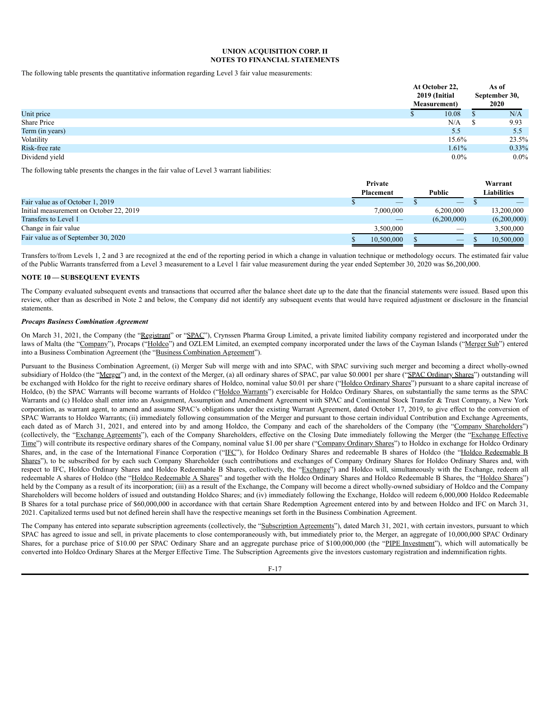The following table presents the quantitative information regarding Level 3 fair value measurements:

|                 | At October 22,<br>2019 (Initial<br><b>Measurement</b> ) |               | As of<br>September 30,<br>2020 |  |
|-----------------|---------------------------------------------------------|---------------|--------------------------------|--|
| Unit price      | 10.08                                                   | <sup>S</sup>  | N/A                            |  |
| Share Price     | N/A                                                     | <sup>\$</sup> | 9.93                           |  |
| Term (in years) | 5.5                                                     |               | 5.5                            |  |
| Volatility      | 15.6%                                                   |               | 23.5%                          |  |
| Risk-free rate  | 1.61%                                                   |               | 0.33%                          |  |
| Dividend yield  | $0.0\%$                                                 |               | $0.0\%$                        |  |

The following table presents the changes in the fair value of Level 3 warrant liabilities:

|                                         | Private          |  |             |  | Warrant     |  |  |
|-----------------------------------------|------------------|--|-------------|--|-------------|--|--|
|                                         | <b>Placement</b> |  | Public      |  | Liabilities |  |  |
| Fair value as of October 1, 2019        |                  |  |             |  |             |  |  |
| Initial measurement on October 22, 2019 | 7.000.000        |  | 6.200.000   |  | 13,200,000  |  |  |
| Transfers to Level 1                    |                  |  | (6,200,000) |  | (6,200,000) |  |  |
| Change in fair value                    | 3.500,000        |  |             |  | 3.500,000   |  |  |
| Fair value as of September 30, 2020     | 10.500,000       |  |             |  | 10.500.000  |  |  |

Transfers to/from Levels 1, 2 and 3 are recognized at the end of the reporting period in which a change in valuation technique or methodology occurs. The estimated fair value of the Public Warrants transferred from a Level 3 measurement to a Level 1 fair value measurement during the year ended September 30, 2020 was \$6,200,000.

# **NOTE 10 — SUBSEQUENT EVENTS**

The Company evaluated subsequent events and transactions that occurred after the balance sheet date up to the date that the financial statements were issued. Based upon this review, other than as described in Note 2 and below, the Company did not identify any subsequent events that would have required adjustment or disclosure in the financial statements.

### *Procaps Business Combination Agreement*

On March 31, 2021, the Company (the "Registrant" or "SPAC"), Crynssen Pharma Group Limited, a private limited liability company registered and incorporated under the laws of Malta (the "Company"), Procaps ("Holdco") and OZLEM Limited, an exempted company incorporated under the laws of the Cayman Islands ("Merger Sub") entered into a Business Combination Agreement (the "Business Combination Agreement").

Pursuant to the Business Combination Agreement, (i) Merger Sub will merge with and into SPAC, with SPAC surviving such merger and becoming a direct wholly-owned subsidiary of Holdco (the "Merger") and, in the context of the Merger, (a) all ordinary shares of SPAC, par value \$0.0001 per share ("SPAC Ordinary Shares") outstanding will be exchanged with Holdco for the right to receive ordinary shares of Holdco, nominal value \$0.01 per share ("Holdco Ordinary Shares") pursuant to a share capital increase of Holdco, (b) the SPAC Warrants will become warrants of Holdco ("Holdco Warrants") exercisable for Holdco Ordinary Shares, on substantially the same terms as the SPAC Warrants and (c) Holdco shall enter into an Assignment, Assumption and Amendment Agreement with SPAC and Continental Stock Transfer & Trust Company, a New York corporation, as warrant agent, to amend and assume SPAC's obligations under the existing Warrant Agreement, dated October 17, 2019, to give effect to the conversion of SPAC Warrants to Holdco Warrants; (ii) immediately following consummation of the Merger and pursuant to those certain individual Contribution and Exchange Agreements, each dated as of March 31, 2021, and entered into by and among Holdco, the Company and each of the shareholders of the Company (the "Company Shareholders") (collectively, the "Exchange Agreements"), each of the Company Shareholders, effective on the Closing Date immediately following the Merger (the "Exchange Effective Time") will contribute its respective ordinary shares of the Company, nominal value \$1.00 per share ("Company Ordinary Shares") to Holdco in exchange for Holdco Ordinary Shares, and, in the case of the International Finance Corporation ("IFC"), for Holdco Ordinary Shares and redeemable B shares of Holdco (the "Holdco Redeemable B Shares"), to be subscribed for by each such Company Shareholder (such contributions and exchanges of Company Ordinary Shares for Holdco Ordinary Shares and, with respect to IFC, Holdco Ordinary Shares and Holdco Redeemable B Shares, collectively, the "Exchange") and Holdco will, simultaneously with the Exchange, redeem all redeemable A shares of Holdco (the "Holdco Redeemable A Shares" and together with the Holdco Ordinary Shares and Holdco Redeemable B Shares, the "Holdco Shares") held by the Company as a result of its incorporation; (iii) as a result of the Exchange, the Company will become a direct wholly-owned subsidiary of Holdco and the Company Shareholders will become holders of issued and outstanding Holdco Shares; and (iv) immediately following the Exchange, Holdco will redeem 6,000,000 Holdco Redeemable B Shares for a total purchase price of \$60,000,000 in accordance with that certain Share Redemption Agreement entered into by and between Holdco and IFC on March 31, 2021. Capitalized terms used but not defined herein shall have the respective meanings set forth in the Business Combination Agreement.

The Company has entered into separate subscription agreements (collectively, the "Subscription Agreements"), dated March 31, 2021, with certain investors, pursuant to which SPAC has agreed to issue and sell, in private placements to close contemporaneously with, but immediately prior to, the Merger, an aggregate of 10,000,000 SPAC Ordinary Shares, for a purchase price of \$10.00 per SPAC Ordinary Share and an aggregate purchase price of \$100,000,000 (the "PIPE Investment"), which will automatically be converted into Holdco Ordinary Shares at the Merger Effective Time. The Subscription Agreements give the investors customary registration and indemnification rights.

F-17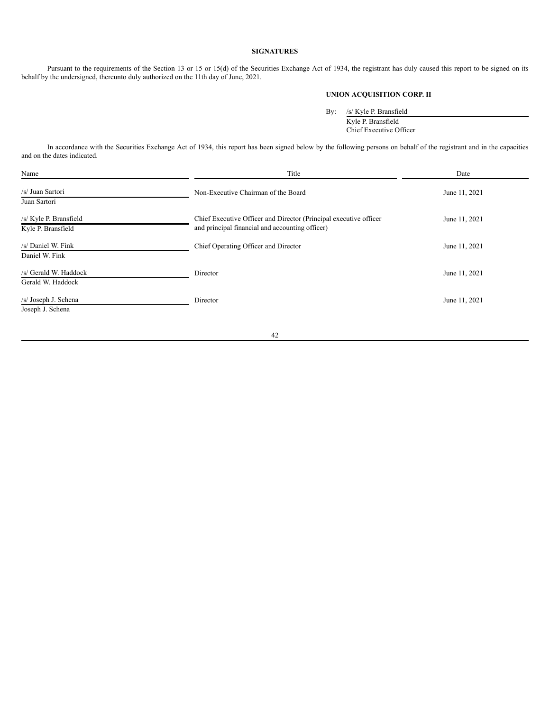# **SIGNATURES**

Pursuant to the requirements of the Section 13 or 15 or 15(d) of the Securities Exchange Act of 1934, the registrant has duly caused this report to be signed on its behalf by the undersigned, thereunto duly authorized on the 11th day of June, 2021.

# **UNION ACQUISITION CORP. II**

By: /s/ Kyle P. Bransfield

Kyle P. Bransfield Chief Executive Officer

In accordance with the Securities Exchange Act of 1934, this report has been signed below by the following persons on behalf of the registrant and in the capacities and on the dates indicated.

| Name                                         | Title                                                                                                                | Date          |
|----------------------------------------------|----------------------------------------------------------------------------------------------------------------------|---------------|
| /s/ Juan Sartori<br>Juan Sartori             | Non-Executive Chairman of the Board                                                                                  | June 11, 2021 |
| /s/ Kyle P. Bransfield<br>Kyle P. Bransfield | Chief Executive Officer and Director (Principal executive officer<br>and principal financial and accounting officer) | June 11, 2021 |
| /s/ Daniel W. Fink<br>Daniel W. Fink         | Chief Operating Officer and Director                                                                                 | June 11, 2021 |
| /s/ Gerald W. Haddock<br>Gerald W. Haddock   | Director                                                                                                             | June 11, 2021 |
| /s/ Joseph J. Schena<br>Joseph J. Schena     | Director                                                                                                             | June 11, 2021 |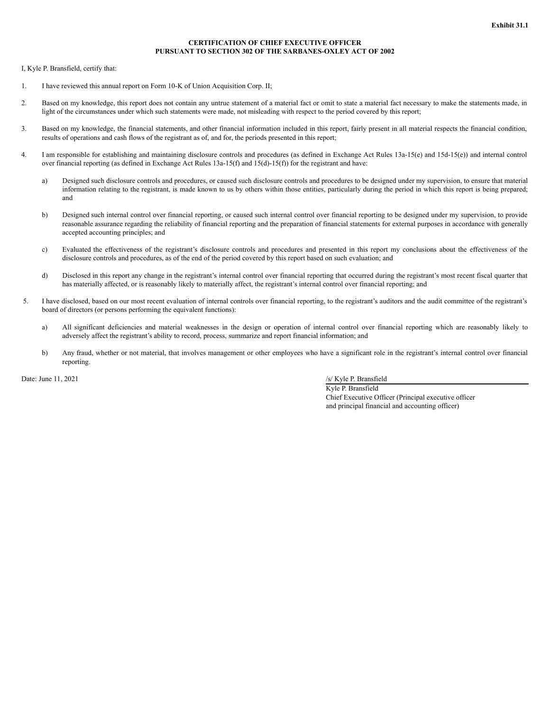## **CERTIFICATION OF CHIEF EXECUTIVE OFFICER PURSUANT TO SECTION 302 OF THE SARBANES-OXLEY ACT OF 2002**

I, Kyle P. Bransfield, certify that:

- 1. I have reviewed this annual report on Form 10-K of Union Acquisition Corp. II;
- 2. Based on my knowledge, this report does not contain any untrue statement of a material fact or omit to state a material fact necessary to make the statements made, in light of the circumstances under which such statements were made, not misleading with respect to the period covered by this report;
- 3. Based on my knowledge, the financial statements, and other financial information included in this report, fairly present in all material respects the financial condition, results of operations and cash flows of the registrant as of, and for, the periods presented in this report;
- 4. I am responsible for establishing and maintaining disclosure controls and procedures (as defined in Exchange Act Rules 13a-15(e) and 15d-15(e)) and internal control over financial reporting (as defined in Exchange Act Rules 13a-15(f) and 15(d)-15(f)) for the registrant and have:
	- a) Designed such disclosure controls and procedures, or caused such disclosure controls and procedures to be designed under my supervision, to ensure that material information relating to the registrant, is made known to us by others within those entities, particularly during the period in which this report is being prepared; and
	- b) Designed such internal control over financial reporting, or caused such internal control over financial reporting to be designed under my supervision, to provide reasonable assurance regarding the reliability of financial reporting and the preparation of financial statements for external purposes in accordance with generally accepted accounting principles; and
	- c) Evaluated the effectiveness of the registrant's disclosure controls and procedures and presented in this report my conclusions about the effectiveness of the disclosure controls and procedures, as of the end of the period covered by this report based on such evaluation; and
	- d) Disclosed in this report any change in the registrant's internal control over financial reporting that occurred during the registrant's most recent fiscal quarter that has materially affected, or is reasonably likely to materially affect, the registrant's internal control over financial reporting; and
- 5. I have disclosed, based on our most recent evaluation of internal controls over financial reporting, to the registrant's auditors and the audit committee of the registrant's board of directors (or persons performing the equivalent functions):
	- a) All significant deficiencies and material weaknesses in the design or operation of internal control over financial reporting which are reasonably likely to adversely affect the registrant's ability to record, process, summarize and report financial information; and
	- b) Any fraud, whether or not material, that involves management or other employees who have a significant role in the registrant's internal control over financial reporting.

Date: June 11, 2021 /s/ Kyle P. Bransfield

Kyle P. Bransfield Chief Executive Officer (Principal executive officer and principal financial and accounting officer)